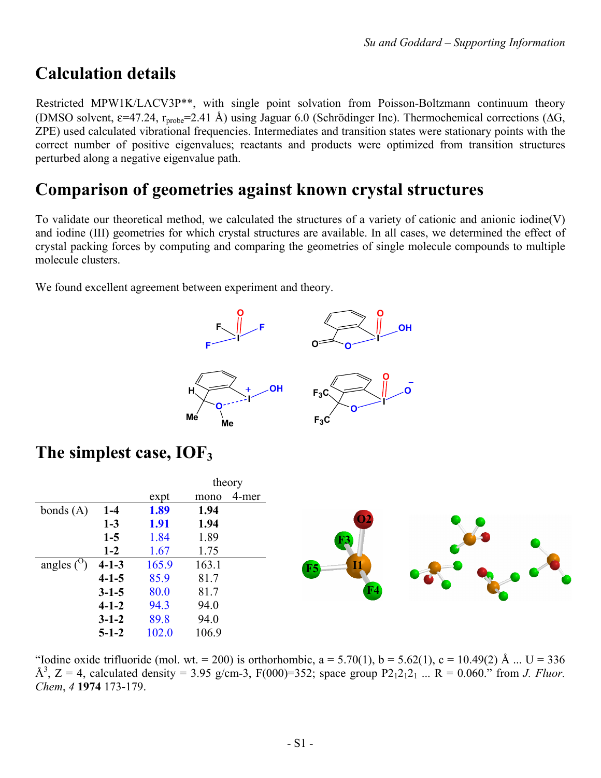## **Calculation details**

Restricted MPW1K/LACV3P\*\*, with single point solvation from Poisson-Boltzmann continuum theory (DMSO solvent,  $\varepsilon$ =47.24, r<sub>probe</sub>=2.41 Å) using Jaguar 6.0 (Schrödinger Inc). Thermochemical corrections ( $\Delta G$ , ZPE) used calculated vibrational frequencies. Intermediates and transition states were stationary points with the correct number of positive eigenvalues; reactants and products were optimized from transition structures perturbed along a negative eigenvalue path.

### **Comparison of geometries against known crystal structures**

To validate our theoretical method, we calculated the structures of a variety of cationic and anionic iodine(V) and iodine (III) geometries for which crystal structures are available. In all cases, we determined the effect of crystal packing forces by computing and comparing the geometries of single molecule compounds to multiple molecule clusters.

We found excellent agreement between experiment and theory.



### **The simplest case, IOF3**

|                   |             |             | theory        |                          |  |
|-------------------|-------------|-------------|---------------|--------------------------|--|
|                   |             | expt        | 4-mer<br>mono |                          |  |
| bonds $(A)$       | $1-4$       | 1.89        | 1.94          |                          |  |
|                   | $1-3$       | <b>1.91</b> | 1.94          | $\overline{\mathbf{O2}}$ |  |
|                   | $1-5$       | 1.84        | 1.89          | F <sub>3</sub>           |  |
|                   | $1 - 2$     | 1.67        | 1.75          |                          |  |
| angles $(^\circ)$ | $4 - 1 - 3$ | 165.9       | 163.1         | <b>IV</b><br>$_{\rm F}$  |  |
|                   | $4 - 1 - 5$ | 85.9        | 81.7          |                          |  |
|                   | $3 - 1 - 5$ | 80.0        | 81.7          |                          |  |
|                   | $4 - 1 - 2$ | 94.3        | 94.0          |                          |  |
|                   | $3 - 1 - 2$ | 89.8        | 94.0          |                          |  |
|                   | $5 - 1 - 2$ | 102.0       | 106.9         |                          |  |

"Iodine oxide trifluoride (mol. wt. = 200) is orthorhombic,  $a = 5.70(1)$ ,  $b = 5.62(1)$ ,  $c = 10.49(2)$  Å ... U = 336  $\AA^3$ , Z = 4, calculated density = 3.95 g/cm-3, F(000)=352; space group P2<sub>1</sub>2<sub>1</sub>2<sub>1</sub>... R = 0.060." from *J. Fluor. Chem*, *4* **1974** 173-179.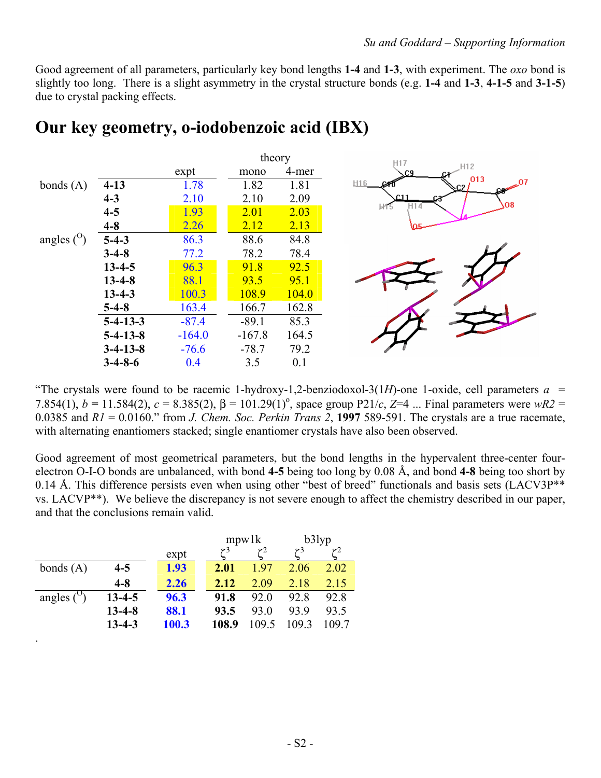Good agreement of all parameters, particularly key bond lengths **1-4** and **1-3**, with experiment. The *oxo* bond is slightly too long. There is a slight asymmetry in the crystal structure bonds (e.g. **1-4** and **1-3**, **4-1-5** and **3-1-5**) due to crystal packing effects.

| 4-mer<br>expt<br>mono<br>.013<br>H <sub>16</sub><br>1.78<br>1.82<br>1.81<br>$4 - 13$<br>$\sqrt{2}$<br>$4 - 3$<br>2.10<br>2.10<br>2.09<br>$4 - 5$<br>1.93<br>2.01<br>2.03<br>$4 - 8$<br>2.13<br>2.26<br>2.12<br>$5-4-3$<br>86.3<br>84.8<br>88.6<br>78.2<br>78.4<br>77.2<br>$3-4-8$<br>96.3<br>91.8<br>92.5<br>$13 - 4 - 5$<br>$13 - 4 - 8$<br>95.1<br>88.1<br>93.5<br>$13 - 4 - 3$<br>108.9<br>104.0<br>100.3<br>163.4<br>162.8<br>$5-4-8$<br>166.7<br>$5 - 4 - 13 - 3$<br>$-87.4$<br>$-89.1$<br>85.3<br>164.5<br>$5 - 4 - 13 - 8$<br>$-164.0$<br>$-167.8$<br>79.2<br>$-76.6$<br>$-78.7$<br>$3-4-13-8$<br>3.5<br>0.1<br>$3-4-8-6$<br>0.4 |                       |  | theory |           |
|-----------------------------------------------------------------------------------------------------------------------------------------------------------------------------------------------------------------------------------------------------------------------------------------------------------------------------------------------------------------------------------------------------------------------------------------------------------------------------------------------------------------------------------------------------------------------------------------------------------------------------------------|-----------------------|--|--------|-----------|
|                                                                                                                                                                                                                                                                                                                                                                                                                                                                                                                                                                                                                                         |                       |  |        | H12       |
|                                                                                                                                                                                                                                                                                                                                                                                                                                                                                                                                                                                                                                         | bonds $(A)$           |  |        | $\sim 07$ |
|                                                                                                                                                                                                                                                                                                                                                                                                                                                                                                                                                                                                                                         |                       |  |        | O8        |
|                                                                                                                                                                                                                                                                                                                                                                                                                                                                                                                                                                                                                                         |                       |  |        |           |
|                                                                                                                                                                                                                                                                                                                                                                                                                                                                                                                                                                                                                                         |                       |  |        |           |
|                                                                                                                                                                                                                                                                                                                                                                                                                                                                                                                                                                                                                                         | angles $\binom{0}{0}$ |  |        |           |
|                                                                                                                                                                                                                                                                                                                                                                                                                                                                                                                                                                                                                                         |                       |  |        |           |
|                                                                                                                                                                                                                                                                                                                                                                                                                                                                                                                                                                                                                                         |                       |  |        |           |
|                                                                                                                                                                                                                                                                                                                                                                                                                                                                                                                                                                                                                                         |                       |  |        |           |
|                                                                                                                                                                                                                                                                                                                                                                                                                                                                                                                                                                                                                                         |                       |  |        |           |
|                                                                                                                                                                                                                                                                                                                                                                                                                                                                                                                                                                                                                                         |                       |  |        |           |
|                                                                                                                                                                                                                                                                                                                                                                                                                                                                                                                                                                                                                                         |                       |  |        |           |
|                                                                                                                                                                                                                                                                                                                                                                                                                                                                                                                                                                                                                                         |                       |  |        |           |
|                                                                                                                                                                                                                                                                                                                                                                                                                                                                                                                                                                                                                                         |                       |  |        |           |
|                                                                                                                                                                                                                                                                                                                                                                                                                                                                                                                                                                                                                                         |                       |  |        |           |

### **Our key geometry, o-iodobenzoic acid (IBX)**

"The crystals were found to be racemic 1-hydroxy-1,2-benziodoxol-3(1*H*)-one 1-oxide, cell parameters  $a =$ 7.854(1),  $b = 11.584(2)$ ,  $c = 8.385(2)$ ,  $β = 101.29(1)$ <sup>o</sup>, space group P21/*c*, *Z*=4 ... Final parameters were *wR2* = 0.0385 and  $RI = 0.0160$ ." from *J. Chem. Soc. Perkin Trans 2*, 1997 589-591. The crystals are a true racemate, with alternating enantiomers stacked; single enantiomer crystals have also been observed.

Good agreement of most geometrical parameters, but the bond lengths in the hypervalent three-center fourelectron O-I-O bonds are unbalanced, with bond **4-5** being too long by 0.08 Å, and bond **4-8** being too short by 0.14 Å. This difference persists even when using other "best of breed" functionals and basis sets (LACV3P<sup>\*\*</sup> vs. LACVP\*\*). We believe the discrepancy is not severe enough to affect the chemistry described in our paper, and that the conclusions remain valid.

|             |              |       |       | mpw1k |      | b3lyp |
|-------------|--------------|-------|-------|-------|------|-------|
|             |              | expt  |       | 2ع    | 3م   |       |
| bonds $(A)$ | $4 - 5$      | 1.93  | 2.01  | 197   | 2.06 | 2.02  |
|             | $4 - 8$      | 2.26  | 2.12  | 2.09  | 2.18 | 2.15  |
| angles (    | $13 - 4 - 5$ | 96.3  | 91.8  | 92.0  | 92.8 | 92.8  |
|             | $13 - 4 - 8$ | 88.1  | 93.5  | 93.0  | 93.9 | 93.5  |
|             | $13 - 4 - 3$ | 100.3 | 108.9 | 109.5 | 1093 | 109.7 |

.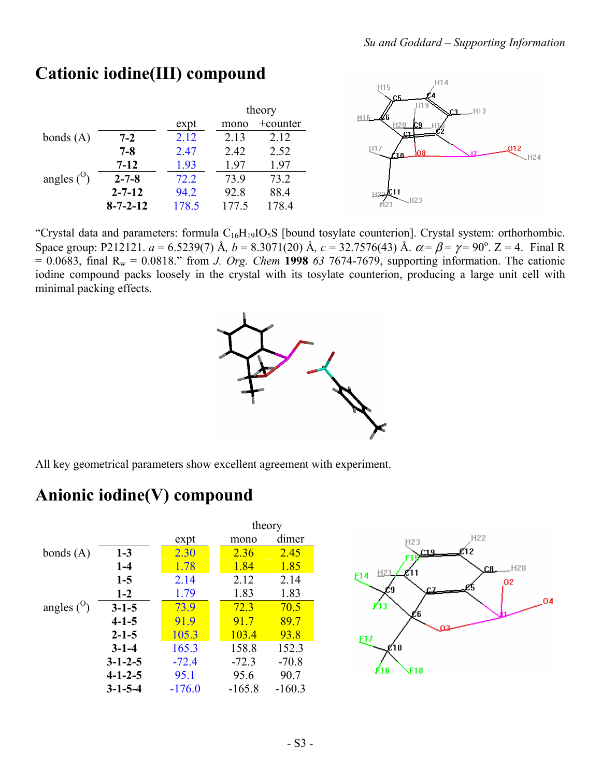

### **Cationic iodine(III) compound**

"Crystal data and parameters: formula  $C_{16}H_{19}IO_5S$  [bound tosylate counterion]. Crystal system: orthorhombic. Space group: P212121.  $a = 6.5239(7)$  Å,  $b = 8.3071(20)$  Å,  $c = 32.7576(43)$  Å.  $\alpha = \beta = \gamma = 90^{\circ}$ . Z = 4. Final R  $= 0.0683$ , final R<sub>w</sub> = 0.0818.<sup>n</sup> from *J. Org. Chem* **1998** *63* 7674-7679, supporting information. The cationic iodine compound packs loosely in the crystal with its tosylate counterion, producing a large unit cell with minimal packing effects.



All key geometrical parameters show excellent agreement with experiment.

### **Anionic iodine(V) compound**



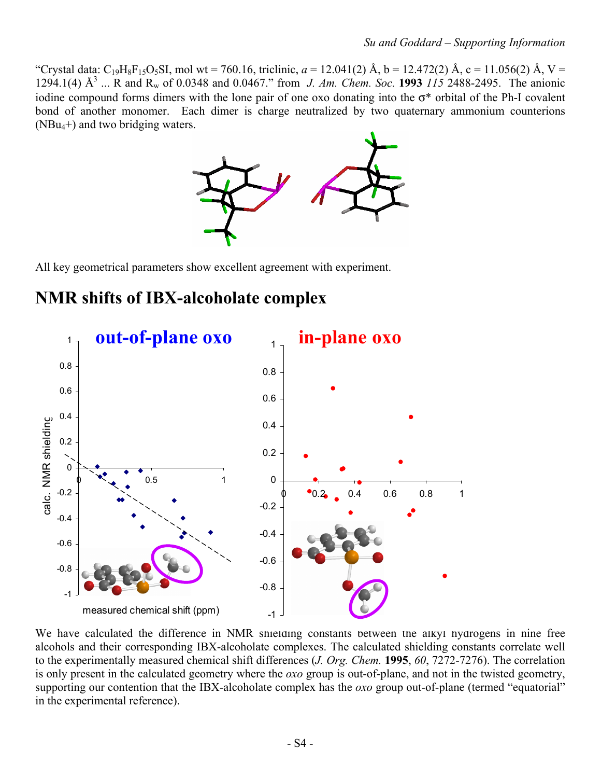<sup>"</sup>Crystal data: C<sub>19</sub>H<sub>8</sub>F<sub>15</sub>O<sub>5</sub>SI, mol wt = 760.16, triclinic, *a* = 12.041(2) Å, b = 12.472(2) Å, c = 11.056(2) Å, V = 1294.1(4) Å<sup>3</sup> ... R and R<sub>w</sub> of 0.0348 and 0.0467." from *J. Am. Chem. Soc.* **1993** 115 2488-2495. The anionic iodine compound forms dimers with the lone pair of one oxo donating into the  $\sigma^*$  orbital of the Ph-I covalent bond of another monomer. Each dimer is charge neutralized by two quaternary ammonium counterions (NBu4+) and two bridging waters.



All key geometrical parameters show excellent agreement with experiment.

### **NMR shifts of IBX-alcoholate complex**



We have calculated the difference in NMR shielding constants between the alkyl hydrogens in nine free alcohols and their corresponding IBX-alcoholate complexes. The calculated shielding constants correlate well to the experimentally measured chemical shift differences (*J. Org. Chem.* **1995**, *60*, 7272-7276). The correlation is only present in the calculated geometry where the *oxo* group is out-of-plane, and not in the twisted geometry, supporting our contention that the IBX-alcoholate complex has the *oxo* group out-of-plane (termed "equatorial" in the experimental reference).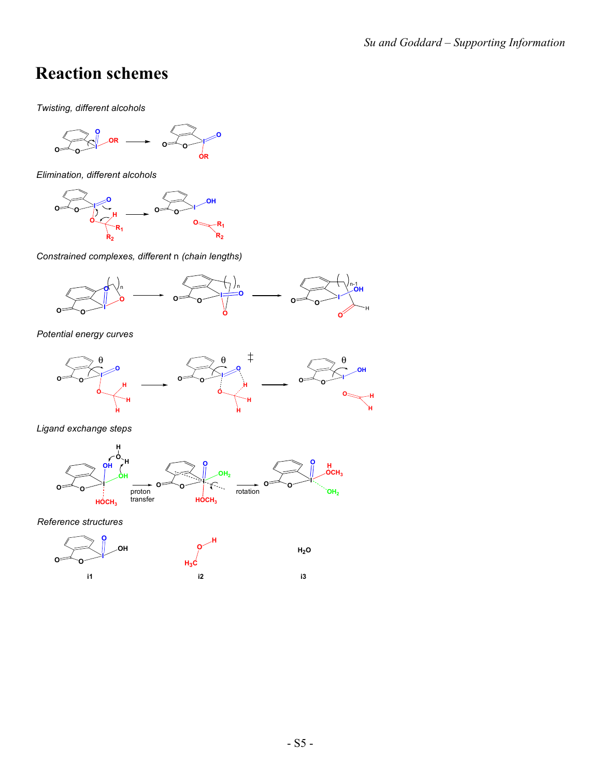## **Reaction schemes**

*Twisting, different alcohols*

$$
\begin{array}{ccc}\n & & \\
\hline\n & & \\
\hline\n & & \\
\hline\n & & \\
\hline\n & & \\
\hline\n & & \\
\hline\n & & \\
\hline\n & & \\
\hline\n & & \\
\hline\n & & \\
\hline\n & & \\
\hline\n & & \\
\hline\n & & \\
\hline\n & & \\
\hline\n & & \\
\hline\n & & \\
\hline\n & & \\
\hline\n & & \\
\hline\n & & \\
\hline\n & & \\
\hline\n & & \\
\hline\n & & \\
\hline\n & & \\
\hline\n & & \\
\hline\n & & \\
\hline\n & & \\
\hline\n & & \\
\hline\n & & \\
\hline\n & & \\
\hline\n & & \\
\hline\n & & \\
\hline\n & & \\
\hline\n & & \\
\hline\n & & \\
\hline\n & & \\
\hline\n & & \\
\hline\n & & \\
\hline\n & & \\
\hline\n & & \\
\hline\n & & \\
\hline\n & & \\
\hline\n & & \\
\hline\n & & \\
\hline\n & & \\
\hline\n & & \\
\hline\n & & \\
\hline\n & & \\
\hline\n & & \\
\hline\n & & \\
\hline\n & & \\
\hline\n & & \\
\hline\n & & \\
\hline\n & & \\
\hline\n & & \\
\hline\n & & \\
\hline\n & & \\
\hline\n & & \\
\hline\n & & \\
\hline\n & & \\
\hline\n & & \\
\hline\n & & \\
\hline\n & & \\
\hline\n & & \\
\hline\n & & \\
\hline\n & & \\
\hline\n & & \\
\hline\n & & \\
\hline\n & & \\
\hline\n & & \\
\hline\n & & \\
\hline\n & & \\
\hline\n & & \\
\hline\n & & \\
\hline\n & & \\
\hline\n & & \\
\hline\n & & \\
\hline\n & & \\
\hline\n & & \\
\hline\n & & \\
\hline\n & & \\
\hline\n & & \\
\hline\n & & \\
\hline\n & & \\
\hline\n & & \\
\hline\n & & \\
\hline\n & & \\
\hline\n & & \\
\hline\n & & \\
\hline\n & & \\
\hline\n & & \\
\hline\n & & \\
\hline\n & & \\
\hline\n & & \\
\hline\n & & \\
\hline\n & & \\
\hline\n & & \\
\hline\n & & \\
\hline\n & & \\
\hline\n & & \\
\hline\n & & \\
\hline\n & & \\
\hline\n & & \\
\hline\n & & \\
\hline\n & & \\
\hline\n & & \\
\hline\n & & \\
\hline\n & & \\
\hline\n & & \\
$$

*Elimination, different alcohols*



*Constrained complexes, different* n *(chain lengths)*



*Potential energy curves*



*Ligand exchange steps*



*Reference structures*

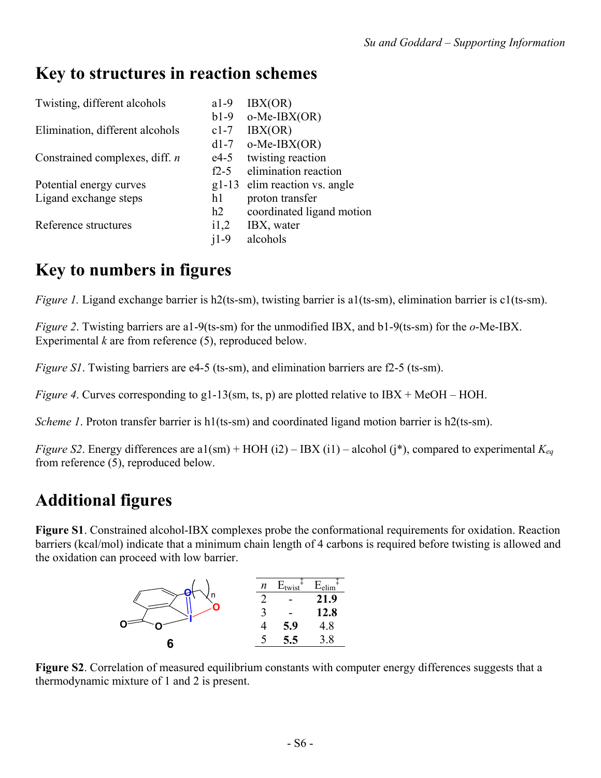### **Key to structures in reaction schemes**

| Twisting, different alcohols     | $a1-9$  | IBX(OR)                   |
|----------------------------------|---------|---------------------------|
|                                  | $b1-9$  | $o-Me-IBX(OR)$            |
| Elimination, different alcohols  | $c1-7$  | IBX(OR)                   |
|                                  | $d1-7$  | $o-Me-IBX(OR)$            |
| Constrained complexes, diff. $n$ | $e4-5$  | twisting reaction         |
|                                  | $f2-5$  | elimination reaction      |
| Potential energy curves          | $g1-13$ | elim reaction vs. angle   |
| Ligand exchange steps            | h1      | proton transfer           |
|                                  | h2      | coordinated ligand motion |
| Reference structures             | i1,2    | IBX, water                |
|                                  | $i1-9$  | alcohols                  |

# **Key to numbers in figures**

*Figure 1.* Ligand exchange barrier is h2(ts-sm), twisting barrier is a1(ts-sm), elimination barrier is c1(ts-sm).

*Figure 2*. Twisting barriers are a1-9(ts-sm) for the unmodified IBX, and b1-9(ts-sm) for the *o*-Me-IBX. Experimental *k* are from reference (5), reproduced below.

*Figure S1*. Twisting barriers are e4-5 (ts-sm), and elimination barriers are f2-5 (ts-sm).

*Figure 4.* Curves corresponding to g1-13(sm, ts, p) are plotted relative to IBX + MeOH – HOH.

*Scheme 1*. Proton transfer barrier is h1(ts-sm) and coordinated ligand motion barrier is h2(ts-sm).

*Figure S2*. Energy differences are a1(sm) + HOH (i2) – IBX (i1) – alcohol (j\*), compared to experimental  $K_{eq}$ from reference (5), reproduced below.

# **Additional figures**

**Figure S1**. Constrained alcohol-IBX complexes probe the conformational requirements for oxidation. Reaction barriers (kcal/mol) indicate that a minimum chain length of 4 carbons is required before twisting is allowed and the oxidation can proceed with low barrier.



**Figure S2**. Correlation of measured equilibrium constants with computer energy differences suggests that a thermodynamic mixture of 1 and 2 is present.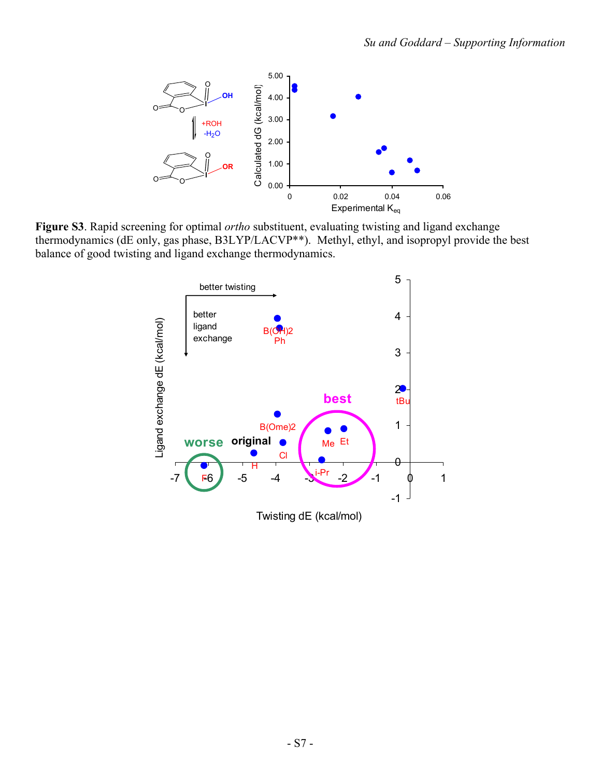

**Figure S3**. Rapid screening for optimal *ortho* substituent, evaluating twisting and ligand exchange thermodynamics (dE only, gas phase, B3LYP/LACVP\*\*). Methyl, ethyl, and isopropyl provide the best balance of good twisting and ligand exchange thermodynamics.



Twisting dE (kcal/mol)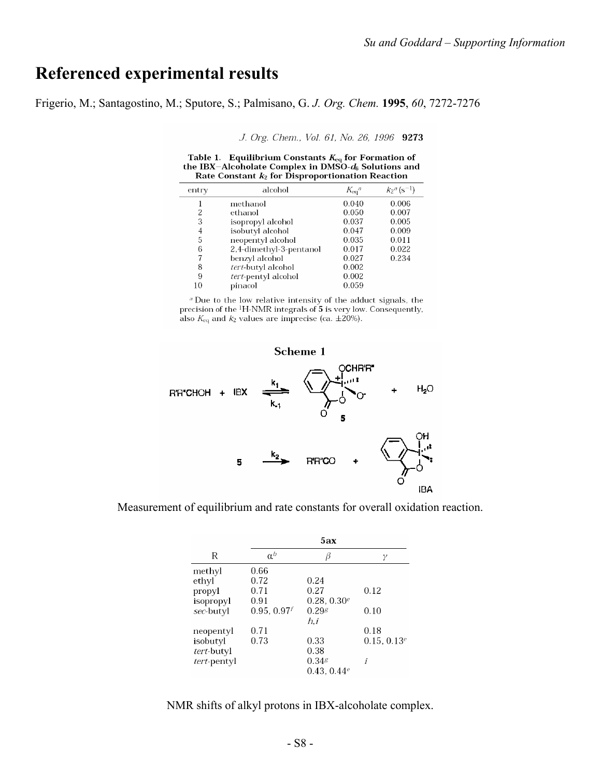### **Referenced experimental results**

Frigerio, M.; Santagostino, M.; Sputore, S.; Palmisano, G. *J. Org. Chem.* **1995**, *60*, 7272-7276

J. Org. Chem., Vol. 61, No. 26, 1996 9273

Table 1. Equilibrium Constants  $K_{eq}$  for Formation of the IBX-Alcoholate Complex in DMSO- $d_6$  Solutions and Rate Constant  $k_2$  for Disproportionation Reaction

| entry | alcohol                 | $K_{eq}^a$ | $k_2$ <sup>a</sup> (s <sup>-1</sup> ) |
|-------|-------------------------|------------|---------------------------------------|
|       | methanol                | 0.040      | 0.006                                 |
|       | ethanol                 | 0.050      | 0.007                                 |
| 3     | isopropyl alcohol       | 0.037      | 0.005                                 |
| 4     | isobutyl alcohol        | 0.047      | 0.009                                 |
| 5     | neopentyl alcohol       | 0.035      | 0.011                                 |
| 6     | 2,4-dimethyl-3-pentanol | 0.017      | 0.022                                 |
|       | benzyl alcohol          | 0.027      | 0.234                                 |
| 8     | tert-butyl alcohol      | 0.002      |                                       |
| 9     | tert-pentyl alcohol     | 0.002      |                                       |
| 10    | pinacol                 | 0.059      |                                       |

 $a$  Due to the low relative intensity of the adduct signals, the precision of the <sup>1</sup>H-NMR integrals of 5 is very low. Consequently, also  $K_{eq}$  and  $k_2$  values are imprecise (ca.  $\pm 20\%$ ).



Measurement of equilibrium and rate constants for overall oxidation reaction.

|             | 5ax        |                     |                |  |  |  |  |  |
|-------------|------------|---------------------|----------------|--|--|--|--|--|
| R           | $\alpha^b$ |                     | γ              |  |  |  |  |  |
| methyl      | 0.66       |                     |                |  |  |  |  |  |
| ethyl       | 0.72       | 0.24                |                |  |  |  |  |  |
| propyl      | 0.71       | 0.27                | 0.12           |  |  |  |  |  |
| isopropyl   | 0.91       | $0.28, 0.30^e$      |                |  |  |  |  |  |
| sec-butyl   | 0.95, 0.97 | $0.29$ <sup>g</sup> | 0.10           |  |  |  |  |  |
|             |            | h.i                 |                |  |  |  |  |  |
| neopentyl   | 0.71       |                     | 0.18           |  |  |  |  |  |
| isobutyl    | 0.73       | 0.33                | $0.15, 0.13^e$ |  |  |  |  |  |
| tert-butyl  |            | 0.38                |                |  |  |  |  |  |
| tert-pentyl |            | 0.34g               | i              |  |  |  |  |  |
|             |            | 0.43, $0.44e$       |                |  |  |  |  |  |

NMR shifts of alkyl protons in IBX-alcoholate complex.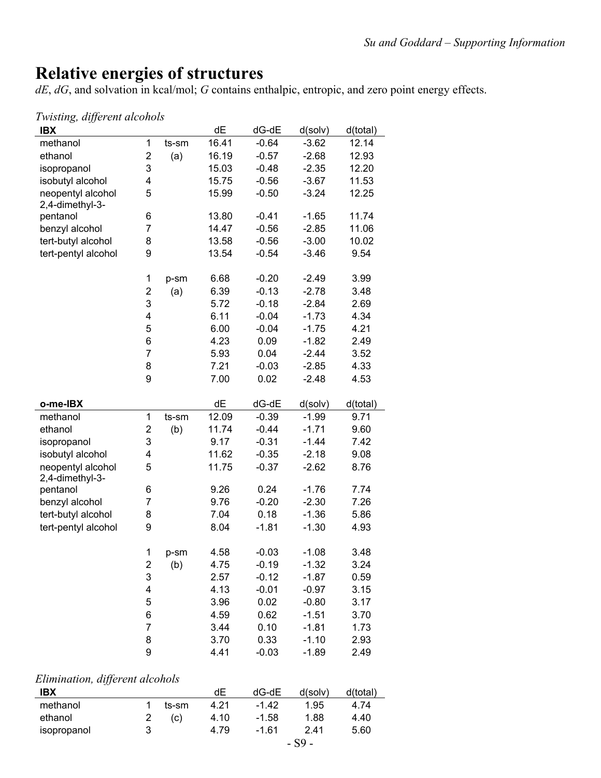## **Relative energies of structures**

*dE*, *dG*, and solvation in kcal/mol; *G* contains enthalpic, entropic, and zero point energy effects.

#### *Twisting, different alcohols*

| <b>IBX</b>                           |                         |       | dE    | dG-dE   | d(solv) | d(total) |
|--------------------------------------|-------------------------|-------|-------|---------|---------|----------|
| methanol                             | 1                       | ts-sm | 16.41 | $-0.64$ | $-3.62$ | 12.14    |
| ethanol                              | 2                       | (a)   | 16.19 | $-0.57$ | $-2.68$ | 12.93    |
| isopropanol                          | 3                       |       | 15.03 | $-0.48$ | $-2.35$ | 12.20    |
| isobutyl alcohol                     | 4                       |       | 15.75 | $-0.56$ | $-3.67$ | 11.53    |
| neopentyl alcohol<br>2,4-dimethyl-3- | 5                       |       | 15.99 | $-0.50$ | $-3.24$ | 12.25    |
| pentanol                             | 6                       |       | 13.80 | $-0.41$ | $-1.65$ | 11.74    |
| benzyl alcohol                       | 7                       |       | 14.47 | $-0.56$ | $-2.85$ | 11.06    |
| tert-butyl alcohol                   | 8                       |       | 13.58 | $-0.56$ | $-3.00$ | 10.02    |
| tert-pentyl alcohol                  | 9                       |       | 13.54 | $-0.54$ | $-3.46$ | 9.54     |
|                                      | 1                       | p-sm  | 6.68  | $-0.20$ | $-2.49$ | 3.99     |
|                                      | 2                       | (a)   | 6.39  | $-0.13$ | $-2.78$ | 3.48     |
|                                      | 3                       |       | 5.72  | $-0.18$ | $-2.84$ | 2.69     |
|                                      | 4                       |       | 6.11  | $-0.04$ | $-1.73$ | 4.34     |
|                                      | 5                       |       | 6.00  | $-0.04$ | $-1.75$ | 4.21     |
|                                      | 6                       |       | 4.23  | 0.09    | $-1.82$ | 2.49     |
|                                      | $\overline{7}$          |       | 5.93  | 0.04    | $-2.44$ | 3.52     |
|                                      | 8                       |       | 7.21  | $-0.03$ | $-2.85$ | 4.33     |
|                                      | 9                       |       | 7.00  | 0.02    | $-2.48$ | 4.53     |
|                                      |                         |       |       |         |         |          |
| o-me-IBX                             |                         |       | dE    | dG-dE   | d(solv) | d(total) |
| methanol                             | 1                       | ts-sm | 12.09 | $-0.39$ | $-1.99$ | 9.71     |
| ethanol                              | 2                       | (b)   | 11.74 | $-0.44$ | $-1.71$ | 9.60     |
| isopropanol                          | 3                       |       | 9.17  | $-0.31$ | $-1.44$ | 7.42     |
| isobutyl alcohol                     | 4                       |       | 11.62 | $-0.35$ | $-2.18$ | 9.08     |
| neopentyl alcohol<br>2,4-dimethyl-3- | 5                       |       | 11.75 | $-0.37$ | $-2.62$ | 8.76     |
| pentanol                             | 6                       |       | 9.26  | 0.24    | $-1.76$ | 7.74     |
| benzyl alcohol                       | 7                       |       | 9.76  | $-0.20$ | $-2.30$ | 7.26     |
| tert-butyl alcohol                   | 8                       |       | 7.04  | 0.18    | $-1.36$ | 5.86     |
| tert-pentyl alcohol                  | 9                       |       | 8.04  | $-1.81$ | $-1.30$ | 4.93     |
|                                      | 1                       | p-sm  | 4.58  | $-0.03$ | $-1.08$ | 3.48     |
|                                      | $\overline{\mathbf{c}}$ | (b)   | 4.75  | $-0.19$ | $-1.32$ | 3.24     |
|                                      | 3                       |       | 2.57  | $-0.12$ | $-1.87$ | 0.59     |
|                                      | 4                       |       | 4.13  | $-0.01$ | $-0.97$ | 3.15     |
|                                      | 5                       |       | 3.96  | 0.02    | $-0.80$ | 3.17     |
|                                      | 6                       |       | 4.59  | 0.62    | $-1.51$ | 3.70     |
|                                      | $\overline{7}$          |       | 3.44  | 0.10    | $-1.81$ | 1.73     |
|                                      | 8                       |       | 3.70  | 0.33    | $-1.10$ | 2.93     |
|                                      | 9                       |       | 4.41  | $-0.03$ | $-1.89$ | 2.49     |

#### *Elimination, different alcohols*

| IBX         |   |       | dE   | $dG-dE$ | d(solv) | d(total) |
|-------------|---|-------|------|---------|---------|----------|
| methanol    |   | ts-sm | 4.21 | $-1.42$ | 1.95    | 4.74     |
| ethanol     |   | (C)   | 4.10 | $-1.58$ | 1.88    | 4.40     |
| isopropanol | 3 |       | 4.79 | $-1.61$ | 2.41    | 5.60     |
|             |   |       |      |         | cΩ      |          |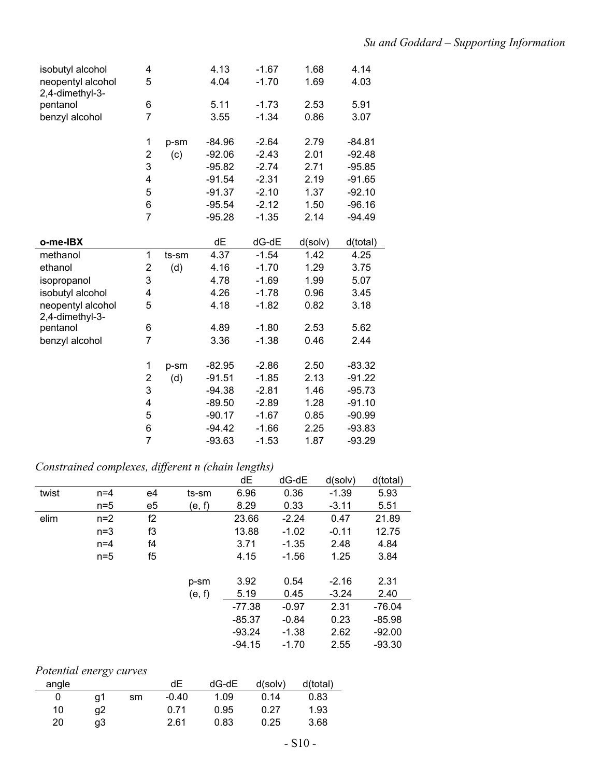| isobutyl alcohol                     | 4                |       | 4.13     | $-1.67$ | 1.68    | 4.14     |
|--------------------------------------|------------------|-------|----------|---------|---------|----------|
| neopentyl alcohol<br>2,4-dimethyl-3- | 5                |       | 4.04     | $-1.70$ | 1.69    | 4.03     |
| pentanol                             | 6                |       | 5.11     | $-1.73$ | 2.53    | 5.91     |
| benzyl alcohol                       | $\overline{7}$   |       | 3.55     | $-1.34$ | 0.86    | 3.07     |
|                                      | 1                | p-sm  | $-84.96$ | $-2.64$ | 2.79    | $-84.81$ |
|                                      | $\boldsymbol{2}$ | (c)   | $-92.06$ | $-2.43$ | 2.01    | $-92.48$ |
|                                      | 3                |       | $-95.82$ | $-2.74$ | 2.71    | $-95.85$ |
|                                      | 4                |       | $-91.54$ | $-2.31$ | 2.19    | $-91.65$ |
|                                      | 5                |       | $-91.37$ | $-2.10$ | 1.37    | $-92.10$ |
|                                      | 6                |       | $-95.54$ | $-2.12$ | 1.50    | $-96.16$ |
|                                      | $\overline{7}$   |       | $-95.28$ | $-1.35$ | 2.14    | $-94.49$ |
| o-me-IBX                             |                  |       | dE       | $dG-dE$ | d(solv) | d(total) |
| methanol                             | 1                | ts-sm | 4.37     | $-1.54$ | 1.42    | 4.25     |
| ethanol                              | 2                | (d)   | 4.16     | $-1.70$ | 1.29    | 3.75     |
| isopropanol                          | 3                |       | 4.78     | $-1.69$ | 1.99    | 5.07     |
| isobutyl alcohol                     | 4                |       | 4.26     | $-1.78$ | 0.96    | 3.45     |
| neopentyl alcohol<br>2,4-dimethyl-3- | 5                |       | 4.18     | $-1.82$ | 0.82    | 3.18     |
| pentanol                             | 6                |       | 4.89     | $-1.80$ | 2.53    | 5.62     |
| benzyl alcohol                       | $\overline{7}$   |       | 3.36     | $-1.38$ | 0.46    | 2.44     |
|                                      | 1                | p-sm  | $-82.95$ | $-2.86$ | 2.50    | $-83.32$ |
|                                      | 2                | (d)   | $-91.51$ | $-1.85$ | 2.13    | $-91.22$ |
|                                      | 3                |       | $-94.38$ | $-2.81$ | 1.46    | $-95.73$ |
|                                      | 4                |       | $-89.50$ | $-2.89$ | 1.28    | $-91.10$ |
|                                      | 5                |       | $-90.17$ | $-1.67$ | 0.85    | $-90.99$ |
|                                      | 6                |       | $-94.42$ | $-1.66$ | 2.25    | $-93.83$ |
|                                      | $\overline{7}$   |       | $-93.63$ | $-1.53$ | 1.87    | $-93.29$ |
|                                      |                  |       |          |         |         |          |

### *Constrained complexes, different n (chain lengths)*

|       |       |    |        | dE       | $dG-dE$ | d(solv) | d(total) |
|-------|-------|----|--------|----------|---------|---------|----------|
| twist | $n=4$ | e4 | ts-sm  | 6.96     | 0.36    | $-1.39$ | 5.93     |
|       | $n=5$ | e5 | (e, f) | 8.29     | 0.33    | $-3.11$ | 5.51     |
| elim  | $n=2$ | f2 |        | 23.66    | $-2.24$ | 0.47    | 21.89    |
|       | $n=3$ | f3 |        | 13.88    | $-1.02$ | $-0.11$ | 12.75    |
|       | $n=4$ | f4 |        | 3.71     | $-1.35$ | 2.48    | 4.84     |
|       | $n=5$ | f5 |        | 4.15     | $-1.56$ | 1.25    | 3.84     |
|       |       |    |        |          |         |         |          |
|       |       |    | p-sm   | 3.92     | 0.54    | $-2.16$ | 2.31     |
|       |       |    | (e, f) | 5.19     | 0.45    | $-3.24$ | 2.40     |
|       |       |    |        | $-77.38$ | $-0.97$ | 2.31    | $-76.04$ |
|       |       |    |        | $-85.37$ | $-0.84$ | 0.23    | -85.98   |
|       |       |    |        | $-93.24$ | $-1.38$ | 2.62    | $-92.00$ |
|       |       |    |        | $-94.15$ | $-1.70$ | 2.55    | $-93.30$ |
|       |       |    |        |          |         |         |          |

#### *Potential energy curves*

| angle |    |    | dЕ      | $dG-dE$ | d(solv) | d(total) |
|-------|----|----|---------|---------|---------|----------|
|       | q1 | sm | $-0.40$ | 1.09    | 0.14    | 0.83     |
| 10    | α2 |    | 0.71    | 0.95    | 0.27    | 1.93     |
| 20    | qЗ |    | 2.61    | 0.83    | 0.25    | 3.68     |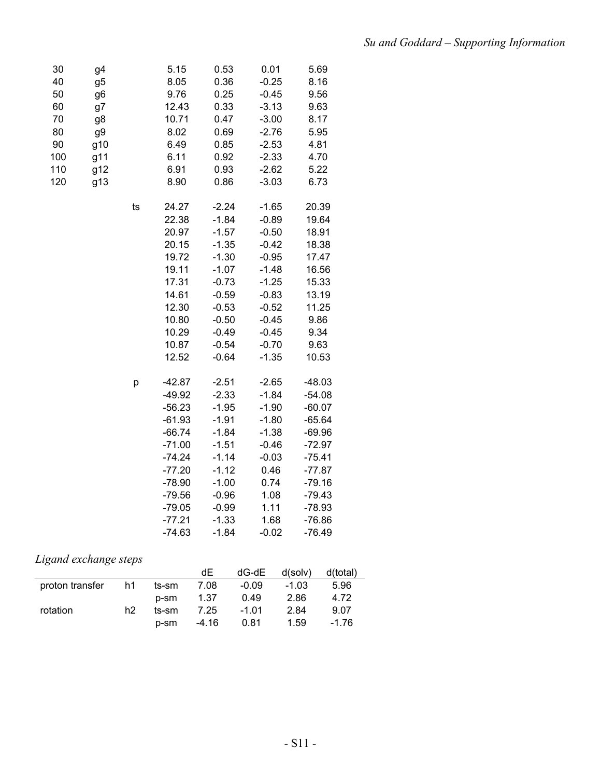| 30  | g4             |    | 5.15     | 0.53    | 0.01    | 5.69     |  |
|-----|----------------|----|----------|---------|---------|----------|--|
| 40  | g5             |    | 8.05     | 0.36    | $-0.25$ | 8.16     |  |
| 50  | g <sub>6</sub> |    | 9.76     | 0.25    | $-0.45$ | 9.56     |  |
| 60  | g7             |    | 12.43    | 0.33    | $-3.13$ | 9.63     |  |
| 70  | g8             |    | 10.71    | 0.47    | $-3.00$ | 8.17     |  |
| 80  | g9             |    | 8.02     | 0.69    | $-2.76$ | 5.95     |  |
| 90  | g10            |    | 6.49     | 0.85    | $-2.53$ | 4.81     |  |
| 100 | g11            |    | 6.11     | 0.92    | $-2.33$ | 4.70     |  |
| 110 | g12            |    | 6.91     | 0.93    | $-2.62$ | 5.22     |  |
| 120 | g13            |    | 8.90     | 0.86    | $-3.03$ | 6.73     |  |
|     |                | ts | 24.27    | $-2.24$ | $-1.65$ | 20.39    |  |
|     |                |    | 22.38    | $-1.84$ | $-0.89$ | 19.64    |  |
|     |                |    | 20.97    | $-1.57$ | $-0.50$ | 18.91    |  |
|     |                |    | 20.15    | $-1.35$ | $-0.42$ | 18.38    |  |
|     |                |    | 19.72    | $-1.30$ | $-0.95$ | 17.47    |  |
|     |                |    | 19.11    | $-1.07$ | $-1.48$ | 16.56    |  |
|     |                |    | 17.31    | $-0.73$ | $-1.25$ | 15.33    |  |
|     |                |    | 14.61    | $-0.59$ | $-0.83$ | 13.19    |  |
|     |                |    | 12.30    | $-0.53$ | $-0.52$ | 11.25    |  |
|     |                |    | 10.80    | $-0.50$ | $-0.45$ | 9.86     |  |
|     |                |    | 10.29    | $-0.49$ | $-0.45$ | 9.34     |  |
|     |                |    | 10.87    | $-0.54$ | $-0.70$ | 9.63     |  |
|     |                |    | 12.52    | $-0.64$ | $-1.35$ | 10.53    |  |
|     |                | р  | $-42.87$ | $-2.51$ | $-2.65$ | $-48.03$ |  |
|     |                |    | $-49.92$ | $-2.33$ | $-1.84$ | $-54.08$ |  |
|     |                |    | $-56.23$ | $-1.95$ | $-1.90$ | $-60.07$ |  |
|     |                |    | $-61.93$ | $-1.91$ | $-1.80$ | $-65.64$ |  |
|     |                |    | $-66.74$ | $-1.84$ | $-1.38$ | $-69.96$ |  |
|     |                |    | $-71.00$ | $-1.51$ | $-0.46$ | $-72.97$ |  |
|     |                |    | $-74.24$ | $-1.14$ | $-0.03$ | $-75.41$ |  |
|     |                |    | $-77.20$ | $-1.12$ | 0.46    | $-77.87$ |  |
|     |                |    | $-78.90$ | $-1.00$ | 0.74    | $-79.16$ |  |
|     |                |    | $-79.56$ | $-0.96$ | 1.08    | $-79.43$ |  |
|     |                |    | $-79.05$ | $-0.99$ | 1.11    | $-78.93$ |  |
|     |                |    | $-77.21$ | $-1.33$ | 1.68    | $-76.86$ |  |
|     |                |    | $-74.63$ | $-1.84$ | $-0.02$ | $-76.49$ |  |

### *Ligand exchange steps*

|                 |    |       | dE    | dG-dE   | d(solv) | d(total) |
|-----------------|----|-------|-------|---------|---------|----------|
| proton transfer | h1 | ts-sm | 7.08  | $-0.09$ | $-1.03$ | 5.96     |
|                 |    | p-sm  | 1.37  | 0.49    | 2.86    | 4.72     |
| rotation        | h2 | ts-sm | 7.25  | $-1.01$ | 2.84    | 9.07     |
|                 |    | p-sm  | -4.16 | 0.81    | 1.59    | -1.76    |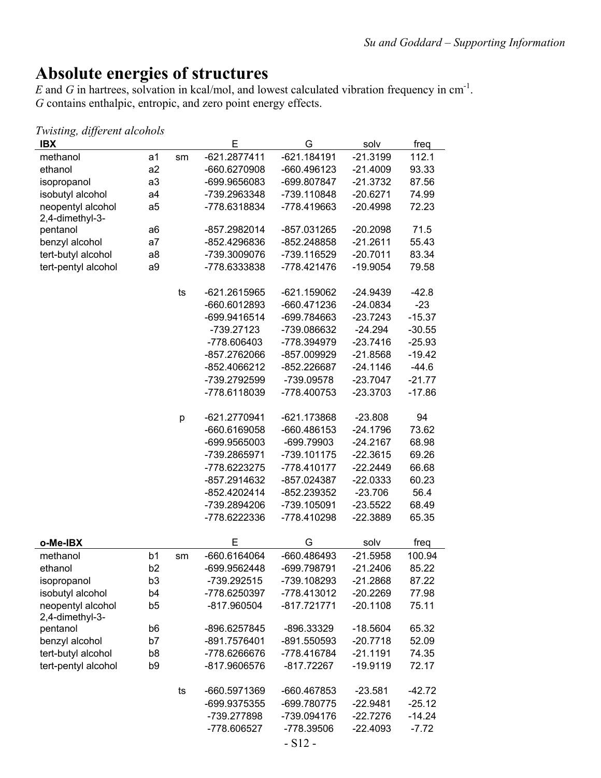### **Absolute energies of structures**

*E* and *G* in hartrees, solvation in kcal/mol, and lowest calculated vibration frequency in cm<sup>-1</sup>. *G* contains enthalpic, entropic, and zero point energy effects.

| Twisting, different alcohols         |                |    |              |               |            |          |
|--------------------------------------|----------------|----|--------------|---------------|------------|----------|
| <b>IBX</b>                           |                |    | Ε            | G             | solv       | freq     |
| methanol                             | a1             | sm | -621.2877411 | $-621.184191$ | $-21.3199$ | 112.1    |
| ethanol                              | a2             |    | -660.6270908 | -660.496123   | $-21.4009$ | 93.33    |
| isopropanol                          | a3             |    | -699.9656083 | -699.807847   | $-21.3732$ | 87.56    |
| isobutyl alcohol                     | a <sub>4</sub> |    | -739.2963348 | -739.110848   | $-20.6271$ | 74.99    |
| neopentyl alcohol<br>2,4-dimethyl-3- | a <sub>5</sub> |    | -778.6318834 | -778.419663   | $-20.4998$ | 72.23    |
| pentanol                             | a6             |    | -857.2982014 | -857.031265   | $-20.2098$ | 71.5     |
| benzyl alcohol                       | a7             |    | -852.4296836 | -852.248858   | $-21.2611$ | 55.43    |
| tert-butyl alcohol                   | a8             |    | -739.3009076 | -739.116529   | $-20.7011$ | 83.34    |
| tert-pentyl alcohol                  | a9             |    | -778.6333838 | -778.421476   | $-19.9054$ | 79.58    |
|                                      |                | ts | -621.2615965 | $-621.159062$ | $-24.9439$ | $-42.8$  |
|                                      |                |    | -660.6012893 | -660.471236   | $-24.0834$ | $-23$    |
|                                      |                |    | -699.9416514 | -699.784663   | $-23.7243$ | $-15.37$ |
|                                      |                |    | -739.27123   | -739.086632   | $-24.294$  | $-30.55$ |
|                                      |                |    | -778.606403  | -778.394979   | $-23.7416$ | $-25.93$ |
|                                      |                |    | -857.2762066 | -857.009929   | $-21.8568$ | $-19.42$ |
|                                      |                |    | -852.4066212 | -852.226687   | $-24.1146$ | $-44.6$  |
|                                      |                |    | -739.2792599 | -739.09578    | $-23.7047$ | $-21.77$ |
|                                      |                |    | -778.6118039 | -778.400753   | $-23.3703$ | $-17.86$ |
|                                      |                | р  | -621.2770941 | $-621.173868$ | $-23.808$  | 94       |
|                                      |                |    | -660.6169058 | -660.486153   | $-24.1796$ | 73.62    |
|                                      |                |    | -699.9565003 | -699.79903    | $-24.2167$ | 68.98    |
|                                      |                |    | -739.2865971 | -739.101175   | $-22.3615$ | 69.26    |
|                                      |                |    | -778.6223275 | -778.410177   | $-22.2449$ | 66.68    |
|                                      |                |    | -857.2914632 | -857.024387   | $-22.0333$ | 60.23    |
|                                      |                |    | -852.4202414 | -852.239352   | $-23.706$  | 56.4     |
|                                      |                |    | -739.2894206 | -739.105091   | $-23.5522$ | 68.49    |
|                                      |                |    | -778.6222336 | -778.410298   | $-22.3889$ | 65.35    |
| o-Me-IBX                             |                |    | E            | G             | solv       | freq     |
| methanol                             | b <sub>1</sub> | sm | -660.6164064 | -660.486493   | $-21.5958$ | 100.94   |
| ethanol                              | b <sub>2</sub> |    | -699.9562448 | -699.798791   | $-21.2406$ | 85.22    |
| isopropanol                          | b <sub>3</sub> |    | -739.292515  | -739.108293   | $-21.2868$ | 87.22    |
| isobutyl alcohol                     | b <sub>4</sub> |    | -778.6250397 | -778.413012   | $-20.2269$ | 77.98    |
| neopentyl alcohol<br>2,4-dimethyl-3- | b <sub>5</sub> |    | -817.960504  | $-817.721771$ | $-20.1108$ | 75.11    |
| pentanol                             | b <sub>6</sub> |    | -896.6257845 | -896.33329    | $-18.5604$ | 65.32    |
| benzyl alcohol                       | b7             |    | -891.7576401 | -891.550593   | $-20.7718$ | 52.09    |
| tert-butyl alcohol                   | b8             |    | -778.6266676 | -778.416784   | $-21.1191$ | 74.35    |
| tert-pentyl alcohol                  | b <sub>9</sub> |    | -817.9606576 | $-817.72267$  | $-19.9119$ | 72.17    |
|                                      |                | ts | -660.5971369 | -660.467853   | $-23.581$  | $-42.72$ |
|                                      |                |    | -699.9375355 | -699.780775   | $-22.9481$ | $-25.12$ |
|                                      |                |    | -739.277898  | -739.094176   | $-22.7276$ | $-14.24$ |
|                                      |                |    | -778.606527  | -778.39506    | $-22.4093$ | $-7.72$  |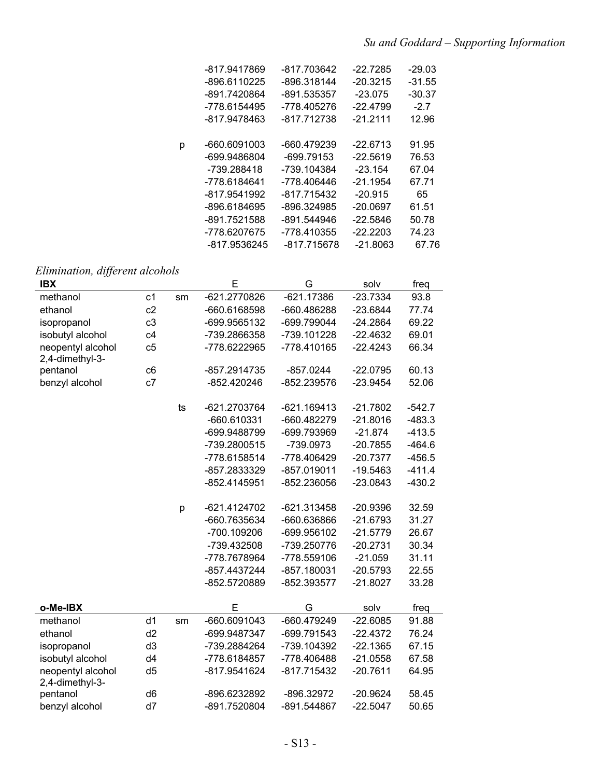| -817.9417869      | -817.703642 | $-22.7285$ | $-29.03$ |
|-------------------|-------------|------------|----------|
| -896.6110225      | -896.318144 | $-20.3215$ | $-31.55$ |
| -891.7420864      | -891.535357 | $-23.075$  | $-30.37$ |
| -778.6154495      | -778.405276 | $-22.4799$ | $-2.7$   |
| -817.9478463      | -817.712738 | $-21.2111$ | 12.96    |
|                   |             |            |          |
| -660.6091003<br>р | -660.479239 | $-22.6713$ | 91.95    |
| -699.9486804      | -699.79153  | $-22.5619$ | 76.53    |
| -739.288418       | -739.104384 | $-23.154$  | 67.04    |
| -778.6184641      | -778.406446 | $-21.1954$ | 67.71    |
| -817.9541992      | -817.715432 | $-20.915$  | 65       |
| -896.6184695      | -896.324985 | $-20.0697$ | 61.51    |
| -891.7521588      | -891.544946 | $-22.5846$ | 50.78    |
| -778.6207675      | -778.410355 | $-22.2203$ | 74.23    |
| -817.9536245      | -817.715678 | $-21.8063$ | 67.76    |
|                   |             |            |          |

### *Elimination, different alcohols*

| <b>IBX</b>                           |                |    | E            | G             | solv       | freq     |
|--------------------------------------|----------------|----|--------------|---------------|------------|----------|
| methanol                             | c <sub>1</sub> | sm | -621.2770826 | $-621.17386$  | $-23.7334$ | 93.8     |
| ethanol                              | c2             |    | -660.6168598 | -660.486288   | $-23.6844$ | 77.74    |
| isopropanol                          | c3             |    | -699.9565132 | -699.799044   | $-24.2864$ | 69.22    |
| isobutyl alcohol                     | c4             |    | -739.2866358 | -739.101228   | $-22.4632$ | 69.01    |
| neopentyl alcohol<br>2,4-dimethyl-3- | c5             |    | -778.6222965 | -778.410165   | $-22.4243$ | 66.34    |
| pentanol                             | c6             |    | -857.2914735 | $-857.0244$   | $-22.0795$ | 60.13    |
| benzyl alcohol                       | c7             |    | -852.420246  | -852.239576   | $-23.9454$ | 52.06    |
|                                      |                | ts | -621.2703764 | $-621.169413$ | $-21.7802$ | $-542.7$ |
|                                      |                |    | -660.610331  | -660.482279   | $-21.8016$ | $-483.3$ |
|                                      |                |    | -699.9488799 | -699.793969   | $-21.874$  | $-413.5$ |
|                                      |                |    | -739.2800515 | -739.0973     | $-20.7855$ | $-464.6$ |
|                                      |                |    | -778.6158514 | -778.406429   | $-20.7377$ | $-456.5$ |
|                                      |                |    | -857.2833329 | -857.019011   | $-19.5463$ | $-411.4$ |
|                                      |                |    | -852.4145951 | -852.236056   | $-23.0843$ | $-430.2$ |
|                                      |                | p  | -621.4124702 | -621.313458   | $-20.9396$ | 32.59    |
|                                      |                |    | -660.7635634 | -660.636866   | $-21.6793$ | 31.27    |
|                                      |                |    | -700.109206  | -699.956102   | $-21.5779$ | 26.67    |
|                                      |                |    | -739.432508  | -739.250776   | $-20.2731$ | 30.34    |
|                                      |                |    | -778.7678964 | -778.559106   | $-21.059$  | 31.11    |
|                                      |                |    | -857.4437244 | -857.180031   | $-20.5793$ | 22.55    |
|                                      |                |    | -852.5720889 | -852.393577   | $-21.8027$ | 33.28    |
| o-Me-IBX                             |                |    | E            | G             | solv       | freq     |
| methanol                             | d <sub>1</sub> | sm | -660.6091043 | -660.479249   | $-22.6085$ | 91.88    |
| ethanol                              | d2             |    | -699.9487347 | -699.791543   | $-22.4372$ | 76.24    |
| isopropanol                          | d3             |    | -739.2884264 | -739.104392   | $-22.1365$ | 67.15    |
| isobutyl alcohol                     | d4             |    | -778.6184857 | -778.406488   | $-21.0558$ | 67.58    |
| neopentyl alcohol<br>2,4-dimethyl-3- | d <sub>5</sub> |    | -817.9541624 | -817.715432   | $-20.7611$ | 64.95    |
| pentanol                             | d <sub>6</sub> |    | -896.6232892 | -896.32972    | $-20.9624$ | 58.45    |
| benzyl alcohol                       | d7             |    | -891.7520804 | -891.544867   | $-22.5047$ | 50.65    |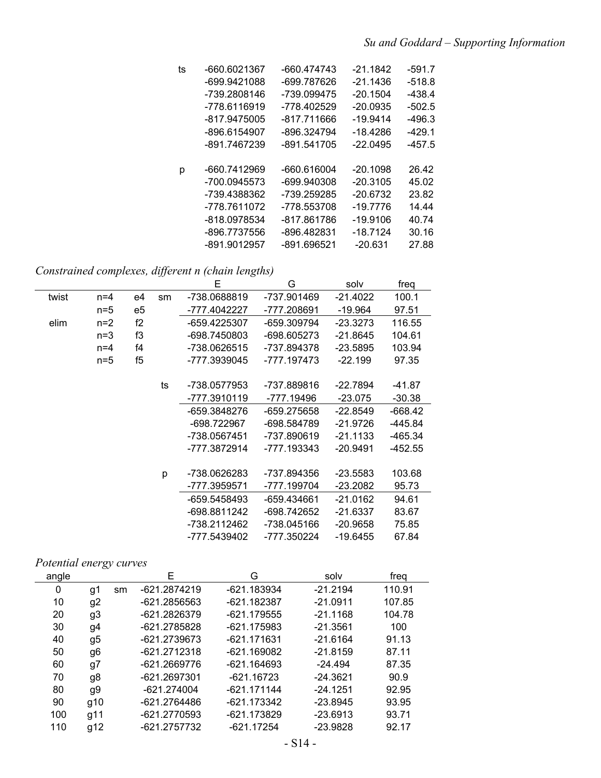| ts | -660.6021367 | -660.474743 | $-21.1842$ | $-591.7$ |
|----|--------------|-------------|------------|----------|
|    | -699.9421088 | -699.787626 | -21.1436   | $-518.8$ |
|    | -739.2808146 | -739.099475 | $-20.1504$ | $-438.4$ |
|    | -778.6116919 | -778.402529 | $-20.0935$ | $-502.5$ |
|    | -817.9475005 | -817.711666 | $-19.9414$ | -496.3   |
|    | -896.6154907 | -896.324794 | -18.4286   | $-429.1$ |
|    | -891.7467239 | -891.541705 | $-22.0495$ | $-457.5$ |
|    |              |             |            |          |
| р  | -660.7412969 | -660.616004 | $-20.1098$ | 26.42    |
|    | -700.0945573 | -699.940308 | $-20.3105$ | 45.02    |
|    | -739.4388362 | -739.259285 | $-20.6732$ | 23.82    |
|    | -778.7611072 | -778.553708 | -19.7776   | 14.44    |
|    | -818.0978534 | -817.861786 | $-19.9106$ | 40.74    |
|    | -896.7737556 | -896.482831 | $-18.7124$ | 30.16    |
|    | -891.9012957 | -891.696521 | $-20.631$  | 27.88    |

*Constrained complexes, different n (chain lengths)*

|       |       |    |    | Е            | G           | solv       | freq      |
|-------|-------|----|----|--------------|-------------|------------|-----------|
| twist | $n=4$ | e4 | sm | -738.0688819 | -737.901469 | -21.4022   | 100.1     |
|       | $n=5$ | e5 |    | -777.4042227 | -777.208691 | -19.964    | 97.51     |
| elim  | $n=2$ | f2 |    | -659.4225307 | -659.309794 | $-23.3273$ | 116.55    |
|       | $n=3$ | f3 |    | -698.7450803 | -698.605273 | $-21.8645$ | 104.61    |
|       | $n=4$ | f4 |    | -738.0626515 | -737.894378 | $-23.5895$ | 103.94    |
|       | $n=5$ | f5 |    | -777.3939045 | -777.197473 | $-22.199$  | 97.35     |
|       |       |    |    |              |             |            |           |
|       |       |    | ts | -738.0577953 | -737.889816 | $-22.7894$ | -41.87    |
|       |       |    |    | -777.3910119 | -777.19496  | $-23.075$  | $-30.38$  |
|       |       |    |    | -659.3848276 | -659.275658 | $-22.8549$ | $-668.42$ |
|       |       |    |    | -698.722967  | -698.584789 | -21.9726   | -445.84   |
|       |       |    |    | -738.0567451 | -737.890619 | $-21.1133$ | -465.34   |
|       |       |    |    | -777.3872914 | -777.193343 | -20.9491   | -452.55   |
|       |       |    |    |              |             |            |           |
|       |       |    | р  | -738.0626283 | -737.894356 | $-23.5583$ | 103.68    |
|       |       |    |    | -777.3959571 | -777.199704 | -23.2082   | 95.73     |
|       |       |    |    | -659.5458493 | -659.434661 | $-21.0162$ | 94.61     |
|       |       |    |    | -698.8811242 | -698.742652 | $-21.6337$ | 83.67     |
|       |       |    |    | -738.2112462 | -738.045166 | $-20.9658$ | 75.85     |
|       |       |    |    | -777.5439402 | -777.350224 | $-19.6455$ | 67.84     |

#### *Potential energy curves*

| angle |                |    | Е            | G             | solv       | frea   |
|-------|----------------|----|--------------|---------------|------------|--------|
| 0     | g1             | sm | -621.2874219 | -621.183934   | $-21.2194$ | 110.91 |
| 10    | g2             |    | -621.2856563 | $-621.182387$ | $-21.0911$ | 107.85 |
| 20    | g <sub>3</sub> |    | -621.2826379 | $-621.179555$ | $-21.1168$ | 104.78 |
| 30    | g4             |    | -621.2785828 | $-621.175983$ | $-21.3561$ | 100    |
| 40    | g5             |    | -621.2739673 | -621.171631   | $-21.6164$ | 91.13  |
| 50    | g6             |    | -621.2712318 | $-621.169082$ | $-21.8159$ | 87.11  |
| 60    | g7             |    | -621.2669776 | $-621.164693$ | $-24.494$  | 87.35  |
| 70    | g8             |    | -621.2697301 | $-621.16723$  | $-24.3621$ | 90.9   |
| 80    | g9             |    | -621.274004  | $-621.171144$ | $-24.1251$ | 92.95  |
| 90    | g10            |    | -621.2764486 | $-621.173342$ | $-23.8945$ | 93.95  |
| 100   | g11            |    | -621.2770593 | $-621.173829$ | $-23.6913$ | 93.71  |
| 110   | g12            |    | -621.2757732 | -621.17254    | $-23.9828$ | 92.17  |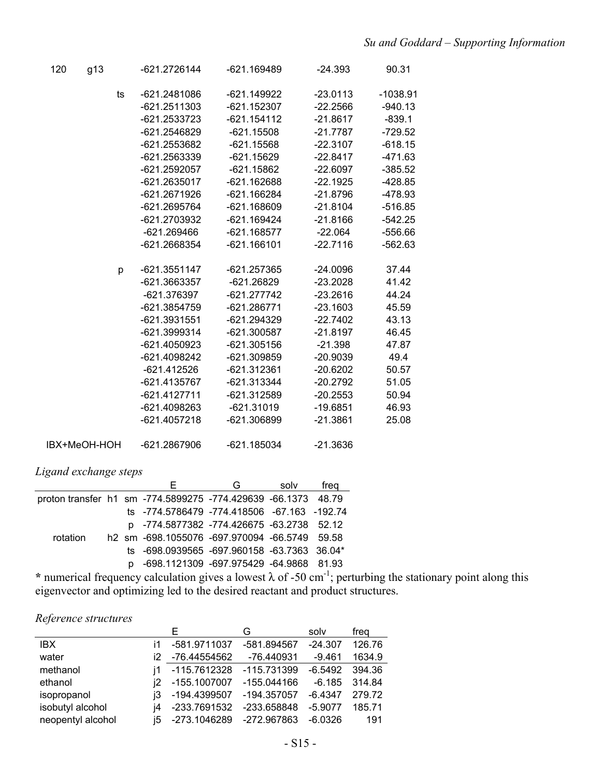| 120          | g13 |    | -621.2726144   | -621.169489   | $-24.393$  | 90.31      |
|--------------|-----|----|----------------|---------------|------------|------------|
|              |     | ts | -621.2481086   | -621.149922   | $-23.0113$ | $-1038.91$ |
|              |     |    | $-621.2511303$ | $-621.152307$ | $-22.2566$ | $-940.13$  |
|              |     |    | -621.2533723   | $-621.154112$ | $-21.8617$ | $-839.1$   |
|              |     |    | -621.2546829   | $-621.15508$  | $-21.7787$ | $-729.52$  |
|              |     |    | -621.2553682   | $-621.15568$  | $-22.3107$ | $-618.15$  |
|              |     |    | -621.2563339   | $-621.15629$  | $-22.8417$ | $-471.63$  |
|              |     |    | -621.2592057   | $-621.15862$  | $-22.6097$ | $-385.52$  |
|              |     |    | -621.2635017   | $-621.162688$ | $-22.1925$ | $-428.85$  |
|              |     |    | -621.2671926   | $-621.166284$ | $-21.8796$ | -478.93    |
|              |     |    | -621.2695764   | $-621.168609$ | $-21.8104$ | $-516.85$  |
|              |     |    | -621.2703932   | -621.169424   | $-21.8166$ | $-542.25$  |
|              |     |    | $-621.269466$  | $-621.168577$ | $-22.064$  | $-556.66$  |
|              |     |    | -621.2668354   | $-621.166101$ | $-22.7116$ | $-562.63$  |
|              |     | p  | -621.3551147   | -621.257365   | $-24.0096$ | 37.44      |
|              |     |    | -621.3663357   | $-621.26829$  | $-23.2028$ | 41.42      |
|              |     |    | -621.376397    | -621.277742   | $-23.2616$ | 44.24      |
|              |     |    | -621.3854759   | $-621.286771$ | $-23.1603$ | 45.59      |
|              |     |    | -621.3931551   | $-621.294329$ | $-22.7402$ | 43.13      |
|              |     |    | -621.3999314   | $-621.300587$ | $-21.8197$ | 46.45      |
|              |     |    | -621.4050923   | $-621.305156$ | $-21.398$  | 47.87      |
|              |     |    | -621.4098242   | $-621.309859$ | $-20.9039$ | 49.4       |
|              |     |    | $-621.412526$  | $-621.312361$ | $-20.6202$ | 50.57      |
|              |     |    | -621.4135767   | $-621.313344$ | $-20.2792$ | 51.05      |
|              |     |    | -621.4127711   | -621.312589   | $-20.2553$ | 50.94      |
|              |     |    | -621.4098263   | $-621.31019$  | $-19.6851$ | 46.93      |
|              |     |    | -621.4057218   | -621.306899   | $-21.3861$ | 25.08      |
| IBX+MeOH-HOH |     |    | -621.2867906   | $-621.185034$ | $-21.3636$ |            |

#### *Ligand exchange steps*

|                                                               |    |                                               | G | solv | frea |
|---------------------------------------------------------------|----|-----------------------------------------------|---|------|------|
| proton transfer h1 sm -774.5899275 -774.429639 -66.1373 48.79 |    |                                               |   |      |      |
|                                                               |    | ts -774.5786479 -774.418506 -67.163 -192.74   |   |      |      |
|                                                               |    | p -774.5877382 -774.426675 -63.2738 52.12     |   |      |      |
| rotation                                                      |    | h2 sm -698.1055076 -697.970094 -66.5749 59.58 |   |      |      |
|                                                               |    | ts -698.0939565 -697.960158 -63.7363 36.04*   |   |      |      |
|                                                               | n. | -698.1121309 -697.975429 -64.9868 81.93       |   |      |      |

\* numerical frequency calculation gives a lowest  $\lambda$  of -50 cm<sup>-1</sup>; perturbing the stationary point along this eigenvector and optimizing led to the desired reactant and product structures.

#### *Reference structures*

|                   |    | ⊢                           | G           | solv      | freg   |
|-------------------|----|-----------------------------|-------------|-----------|--------|
| IBX.              | i1 | -581.9711037                | -581.894567 | $-24.307$ | 126.76 |
| water             |    | i2 -76.44554562             | -76.440931  | $-9.461$  | 1634.9 |
| methanol          | i1 | -115.7612328                | -115.731399 | $-6.5492$ | 394.36 |
| ethanol           |    | i2 -155.1007007             | -155.044166 | $-6.185$  | 314.84 |
| isopropanol       |    | j3 -194.4399507             | -194.357057 | $-6.4347$ | 279.72 |
| isobutyl alcohol  | i4 | -233.7691532                | -233.658848 | $-5.9077$ | 185.71 |
| neopentyl alcohol |    | i5 -273.1046289 -272.967863 |             | -6.0326   | 191    |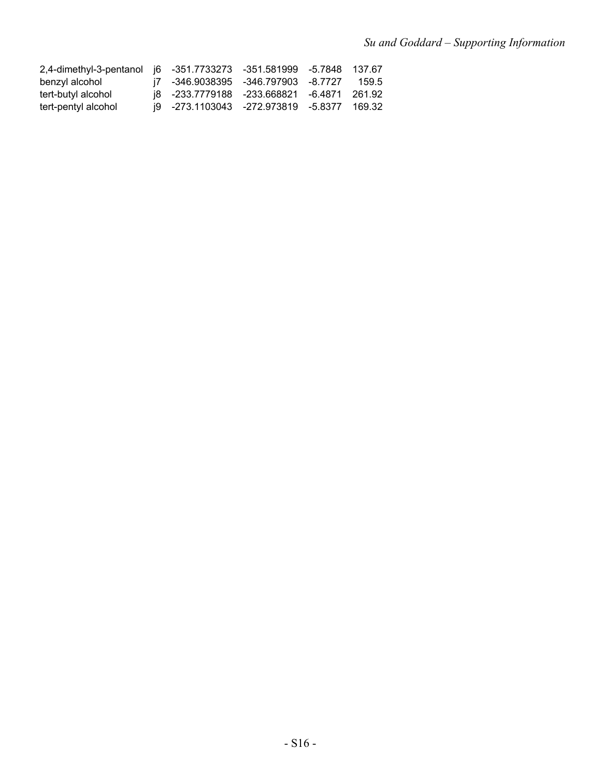| 2,4-dimethyl-3-pentanol i6 -351.7733273 -351.581999 -5.7848 137.67 |                                            |  |       |
|--------------------------------------------------------------------|--------------------------------------------|--|-------|
| benzyl alcohol                                                     | i7 -346.9038395 -346.797903 -8.7727        |  | 159.5 |
| tert-butyl alcohol                                                 | i8 -233.7779188 -233.668821 -6.4871 261.92 |  |       |
| tert-pentyl alcohol                                                | i9 -273.1103043 -272.973819 -5.8377 169.32 |  |       |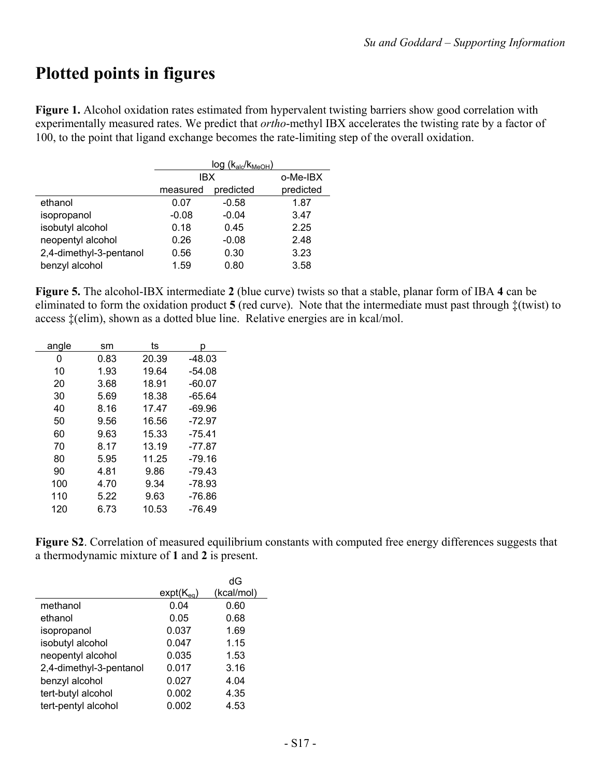# **Plotted points in figures**

**Figure 1.** Alcohol oxidation rates estimated from hypervalent twisting barriers show good correlation with experimentally measured rates. We predict that *ortho*-methyl IBX accelerates the twisting rate by a factor of 100, to the point that ligand exchange becomes the rate-limiting step of the overall oxidation.

|                         | $log (k_{\text{alc}}/k_{\text{MeOH}})$ |           |           |  |  |
|-------------------------|----------------------------------------|-----------|-----------|--|--|
|                         | IBX                                    |           | o-Me-IBX  |  |  |
|                         | measured                               | predicted | predicted |  |  |
| ethanol                 | 0.07                                   | $-0.58$   | 1.87      |  |  |
| isopropanol             | $-0.08$                                | $-0.04$   | 3.47      |  |  |
| isobutyl alcohol        | 0.18                                   | 0.45      | 2.25      |  |  |
| neopentyl alcohol       | 0.26                                   | $-0.08$   | 2.48      |  |  |
| 2,4-dimethyl-3-pentanol | 0.56                                   | 0.30      | 3.23      |  |  |
| benzyl alcohol          | 1.59                                   | 0.80      | 3.58      |  |  |

**Figure 5.** The alcohol-IBX intermediate **2** (blue curve) twists so that a stable, planar form of IBA **4** can be eliminated to form the oxidation product  $5$  (red curve). Note that the intermediate must past through  $\ddagger$ (twist) to access  $\ddagger$ (elim), shown as a dotted blue line. Relative energies are in kcal/mol.

| angle | sm   | ts    | D        |
|-------|------|-------|----------|
| 0     | 0.83 | 20.39 | -48.03   |
| 10    | 1.93 | 19.64 | $-54.08$ |
| 20    | 3.68 | 18.91 | $-60.07$ |
| 30    | 5.69 | 18.38 | $-65.64$ |
| 40    | 8.16 | 17.47 | -69.96   |
| 50    | 9.56 | 16.56 | $-72.97$ |
| 60    | 9.63 | 15.33 | $-75.41$ |
| 70    | 8.17 | 13.19 | $-77.87$ |
| 80    | 5.95 | 11.25 | -79.16   |
| 90    | 4.81 | 9.86  | -79.43   |
| 100   | 4.70 | 9.34  | $-78.93$ |
| 110   | 5.22 | 9.63  | -76.86   |
| 120   | 6.73 | 10.53 | -76.49   |

**Figure S2**. Correlation of measured equilibrium constants with computed free energy differences suggests that a thermodynamic mixture of **1** and **2** is present.

|                         |                | dG         |
|-------------------------|----------------|------------|
|                         | $expt(K_{eq})$ | (kcal/mol) |
| methanol                | 0.04           | 0.60       |
| ethanol                 | 0.05           | 0.68       |
| isopropanol             | 0.037          | 1.69       |
| isobutyl alcohol        | 0.047          | 1.15       |
| neopentyl alcohol       | 0.035          | 1.53       |
| 2,4-dimethyl-3-pentanol | 0.017          | 3.16       |
| benzyl alcohol          | 0.027          | 4.04       |
| tert-butyl alcohol      | 0.002          | 4.35       |
| tert-pentyl alcohol     | 0.002          | 4.53       |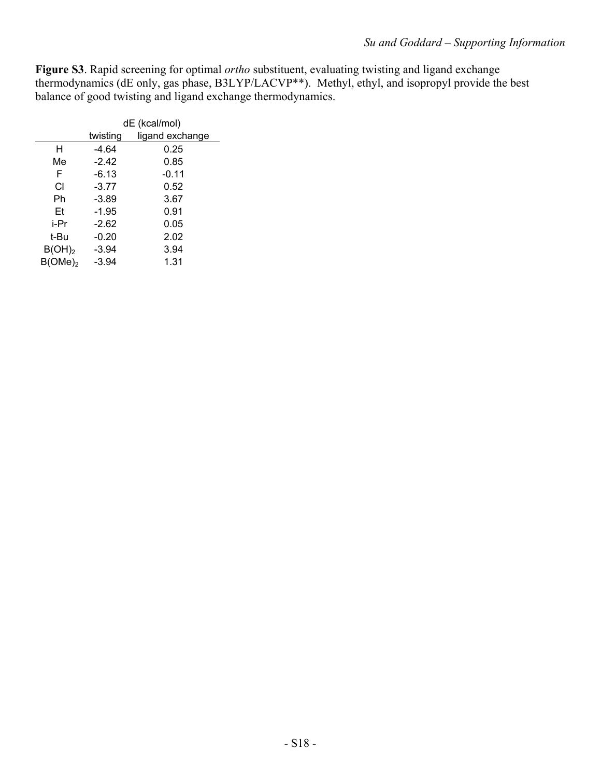**Figure S3**. Rapid screening for optimal *ortho* substituent, evaluating twisting and ligand exchange thermodynamics (dE only, gas phase, B3LYP/LACVP\*\*). Methyl, ethyl, and isopropyl provide the best balance of good twisting and ligand exchange thermodynamics.

|                    | dE (kcal/mol) |                 |  |
|--------------------|---------------|-----------------|--|
|                    | twisting      | ligand exchange |  |
| н                  | -4.64         | 0.25            |  |
| Me                 | $-2.42$       | 0.85            |  |
| F                  | $-6.13$       | $-0.11$         |  |
| СI                 | $-3.77$       | 0.52            |  |
| Ph                 | $-3.89$       | 3.67            |  |
| Et                 | $-1.95$       | 0.91            |  |
| i-Pr               | $-2.62$       | 0.05            |  |
| t-Bu               | $-0.20$       | 2.02            |  |
| B(OH) <sub>2</sub> | $-3.94$       | 3.94            |  |
| $B(OME)_2$         | $-3.94$       | 1.31            |  |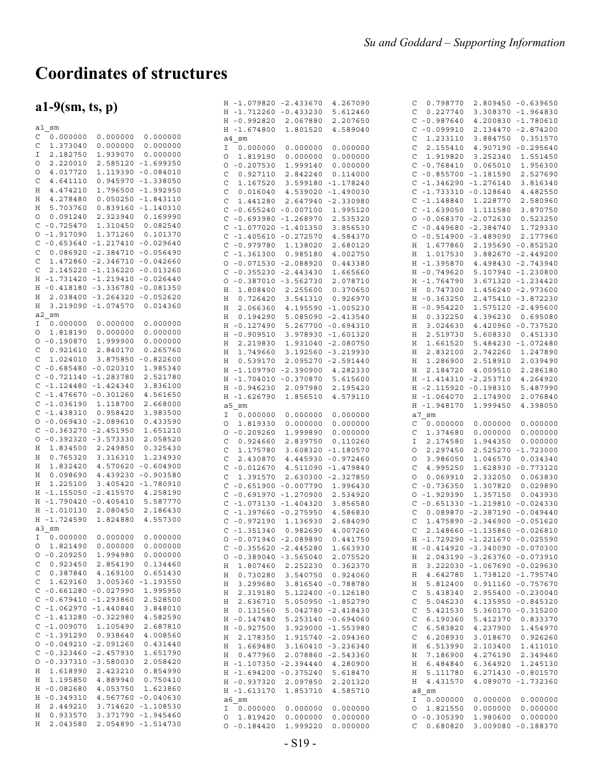# **Coordinates of structures**

|                                        | H -1.079820 -2.433670<br>4.267090           | 0.798770<br>2.809450 -0.639650<br>С         |
|----------------------------------------|---------------------------------------------|---------------------------------------------|
| $a1-9$ (sm, ts, p)                     | H -1.712260 -0.433230<br>5.612460           | 0.227740<br>3.308370 -1.964830<br>C         |
|                                        | 2.067880<br>H -0.992820<br>2.207650         | $C - 0.987640$<br>4.200830 -1.780610        |
| al sm                                  | H -1.674800<br>1.801520<br>4.589040         | $C - 0.099910$<br>2.134470 -2.874200        |
| 0.000000<br>0.000000<br>C<br>0.000000  | a4 sm                                       | 1.233110<br>3.884750<br>0.351570<br>C       |
| 1.373040<br>0.000000<br>0.000000<br>C  | 0.000000<br>0.000000<br>I<br>0.000000       | 2.155410<br>4.907190 -0.295640<br>C         |
| 2.182750<br>1.939070<br>0.000000<br>Ι  | 0.000000<br>1.819190<br>0.000000<br>O       | 1.919820<br>3.252340<br>1.551450<br>C       |
| 2.220010<br>2.585120 -1.699350<br>O    |                                             |                                             |
| 4.017720<br>1.119390 -0.084010<br>O    | $0 - 0.207530$<br>1.999140<br>0.000000      | $C - 0.768410$<br>0.065010<br>1.956300      |
|                                        | 0.927110<br>2.842240<br>0.114000<br>C       | $C - 0.855700 - 1.181590$<br>2.527690       |
| C<br>4.641110<br>$0.945970 - 1.338050$ | 1.167520<br>3.599180 -1.178240<br>C         | $C - 1.346290 - 1.276140$<br>3.816340       |
| 4.474210<br>1.796500 -1.992950<br>Н    | 0.016040<br>4.539020 -1.490030<br>C         | $C - 1.733310 - 0.128640$<br>4.482550       |
| 4.278480<br>$0.050250 - 1.843110$<br>Η | 2.647940 -2.330980<br>C<br>1.441280         | 1.228770<br>$C - 1.148840$<br>2.580960      |
| 5.703760<br>$0.839160 - 1.140310$<br>Н | $C - 0.655240 - 0.007100$<br>1.995120       | $C - 1.639050 1.111580$<br>3.870750         |
| 0.091240<br>2.323940<br>0.169990<br>O  | $C - 0.693980 - 1.268970$<br>2.535320       | $0 - 0.068370 - 2.072630$<br>0.523250       |
| $C - 0.725470$<br>1.310450<br>0.082540 | $C - 1.077020 - 1.401350$<br>3.856530       | $C - 0.449680 - 2.384740$<br>1.729330       |
| $0 - 1.917090$<br>1.371260<br>0.101370 | $C - 1.405610 - 0.272570$<br>4.584370       | $0 - 0.514900 - 3.489090$<br>2.177960       |
| $C - 0.653640 - 1.217410 - 0.029640$   | $C - 0.979780$<br>1.138020<br>2.680120      | 1.677860<br>2.195690 -0.852520<br>Н         |
| $0.086920 -2.384710 -0.056490$<br>C    | $C - 1.361300 0.985180$<br>4.002750         | H 1.017530<br>3.882670 -2.449200            |
| 1.472860 -2.346710 -0.042660<br>C      |                                             |                                             |
| 2.145220 -1.136220 -0.013260<br>C      | $0 - 0.071530 - 2.088920$<br>0.443380       | H -1.395870<br>4.498430 -2.743940           |
| H -1.731420 -1.219410 -0.026440        | $C - 0.355230 - 2.443430$<br>1.665660       | H -0.749620<br>5.107940 -1.230800           |
|                                        | $0 - 0.387010 - 3.562730$<br>2.078710       | H -1.764790<br>3.671320 -1.234420           |
| H -0.418180 -3.336780 -0.081350        | H 1.808400<br>2.255600<br>0.370650          | H 0.747300<br>1.456240 -2.973600            |
| H 2.038400 -3.264320 -0.052620         | 0.726420<br>Η<br>3.541310<br>0.926970       | H -0.363250<br>2.475410 -3.872230           |
| 3.219090 -1.074570 0.014360<br>Н       | 2.066360<br>4.195590 -1.005230<br>H         | H - 0.954220<br>1.575120 -2.495600          |
| a2 sm                                  | 0.194290<br>5.085090 -2.413540<br>Η         | H 0.332250<br>4.396230 0.695080             |
| I 0.000000 0.000000<br>0.000000        | $H - 0.127490$<br>5.267700 -0.694310        | H 3.024630<br>4.420960 -0.737520            |
| 0 1.818190<br>0.000000<br>0.000000     | H -0.909510<br>3.978930 -1.601320           | 2.519730<br>5.608330 0.451330<br>Н          |
| $0 - 0.190870$<br>1.999900<br>0.000000 | H 2.219830<br>1.931040 -2.080750            | 1.661520<br>5.484230 -1.072480<br>Η         |
| 0.921610<br>2.840170<br>0.265760<br>C  | 1.749660<br>3.192560 -3.219930<br>H         | 2.832100<br>2.742260<br>1.247890<br>Η       |
| 1.024010<br>3.875850 -0.822600<br>C    | H 0.539170<br>2.095270 -2.591440            | 1.286900<br>2.518910<br>2.039490<br>Η       |
| $C - 0.685480 - 0.020310$<br>1.985340  |                                             |                                             |
| $C - 0.721140 - 1.283780$<br>2.521780  | H -1.109790 -2.390900<br>4.282330           | 2.286180<br>Η<br>2.184720<br>4.009510       |
| $C - 1.124480 - 1.424340$              | H -1.704010 -0.370870<br>5.615600           | 4.264920<br>H -1.414310 -2.253710           |
| 3.836100                               | $H - 0.946230$<br>2.097980<br>2.195420      | H -2.115920 -0.198310<br>5.487990           |
| $C - 1.476670 - 0.301260$<br>4.561650  | H -1.626790<br>1.856510<br>4.579110         | H -1.064070<br>2.076840<br>2.174900         |
| $C - 1.036190$<br>1.118700<br>2.668000 | a5 sm                                       | H -1.948170<br>1.999450<br>4.398050         |
| $C - 1.438310 0.958420$<br>3.983500    | 0.000000<br>0.000000<br>0.000000<br>I       | a7 sm                                       |
| $0 - 0.069430 - 2.089610$<br>0.433590  | 1.819330<br>0.000000<br>0.000000<br>$\circ$ | 0.000000<br>0.000000<br>0.000000<br>C       |
| $C - 0.363270 - 2.451950$<br>1.651210  | $0 - 0.209260$<br>1.999890<br>0.000000      | 0.000000<br>1.374680<br>0.000000<br>C       |
| $0 - 0.392320 - 3.573330$<br>2.058520  | 0.924660<br>2.839750<br>0.110260<br>C       | 2.174580<br>0.000000<br>1.944350<br>Ι       |
| H 1.834500 2.249850<br>0.325430        | 1.175780<br>3.608320 -1.180570<br>C         | 2.297450<br>2.525270 -1.723000<br>O         |
| 0.765320<br>3.316310<br>1.234930<br>Н  | 2.430870<br>4.445930 -0.972460<br>C         | 3.986050<br>1.046570<br>0.034340<br>O       |
| 1.832420<br>4.570620 -0.604900<br>Н    | $C - 0.012670$<br>4.511090 -1.479840        | 4.995250<br>1.628930 -0.773120<br>C         |
| H<br>0.098690<br>4.439230 -0.903580    |                                             |                                             |
| H 1.225100<br>3.405420 -1.780910       | 1.391570<br>2.630300 -2.327850<br>C         | 0.063830<br>0.069910<br>2.332050<br>O       |
| H -1.155050 -2.415570<br>4.258190      | $C - 0.651900 - 0.007790$<br>1.996430       | $C - 0.736350$<br>1.307820<br>0.029890      |
| H -1.790420 -0.405410<br>5.587770      | $C - 0.691970 - 1.270900$<br>2.534920       | 1.357150<br>$0 - 1.929390$<br>0.043930      |
|                                        | $C - 1.073130 - 1.404320$<br>3.856580       | $C - 0.651330 - 1.219810 - 0.024330$        |
| H -1.010130<br>2.080450<br>2.186430    | $C - 1.397660 - 0.275950$<br>4.586830       | 0.089870 -2.387190 -0.049440<br>C           |
| H -1.724590<br>4.557300<br>1.824880    | $C - 0.972190$<br>1.136930<br>2.684090      | 1.475890 -2.346900 -0.051620<br>C           |
| a3 sm                                  | $C - 1.351340$<br>0.982690<br>4.007260      | 2.148660 -1.135860 -0.026810<br>C           |
| I 0.000000 0.000000<br>0.000000        | $0 - 0.071940 - 2.089890 0.441750$          | H -1.729290 -1.221670 -0.025590             |
| 0 1.821490 0.000000 0.000000           | $C - 0.355620 - 2.445280$ 1.663930          | H -0.414920 -3.340090 -0.070300             |
| $0 - 0.209250$<br>1.994980<br>0.000000 | $0 - 0.389040 - 3.565040 2.075520$          | H 2.043190 -3.263760 -0.073910              |
| 0.923450 2.854190<br>C<br>0.134460     | H 1.807460 2.252230 0.362370                | H 3.222030 -1.067690 -0.029630              |
| 0.387840 4.169100<br>0.651430<br>C     | H 0.730280 3.540750 0.924060                | H 4.642780 1.738120 -1.795740               |
| 1.629160 3.005360 -1.193550<br>C       | H 3.299680<br>3.816540 -0.788780            | 5.812400  0.911160  - 0.757670<br>H         |
| $C - 0.661280 - 0.027990$<br>1.995950  | H 2.319180                                  |                                             |
| $C - 0.679410 - 1.293860$<br>2.528500  | 5.122400 -0.126180                          | 5.438340 2.955400 -0.230040<br>C            |
| $C - 1.062970 - 1.440840$<br>3.848010  | H 2.636710<br>5.050950 -1.852790            | 5.046230<br>4.135950 -0.845320<br>C         |
|                                        | H  0.131560  5.042780  - 2.418430           | 5.421530  5.360170  -0.315200<br>C          |
| $C - 1.413280 - 0.322980$<br>4.582590  | H -0.147480 5.253140 -0.694060              | 6.190360<br>C<br>5.412370 0.833370          |
| $C - 1.009070$ 1.105490<br>2.687810    | H -0.927500 3.929000 -1.553980              | 6.583820<br>4.237900 1.454970<br>C          |
| $C - 1.391290 0.938640$<br>4.008560    | H 2.178350 1.915740 -2.094360               | C<br>6.208930<br>3.018670 0.926260          |
| $0 - 0.049210 - 2.091260$<br>0.431440  | H 1.669480 3.160410 -3.236340               | H 6.513990<br>2.103400 1.411010             |
| $C - 0.323460 - 2.457930$<br>1.651790  | H 0.477960 2.078860 -2.543360               | H 7.186900<br>4.276190 2.349460             |
| $0 - 0.337310 - 3.580030$<br>2.058420  | H -1.107350 -2.394440<br>4.280900           | H 6.484840<br>6.364920 1.245130             |
| H 1.618990 2.423210<br>0.854990        | H -1.694200 -0.375240<br>5.618470           | H 5.111780<br>6.271430 -0.801570            |
| H 1.195850 4.889940<br>0.750410        | H - 0.937320 2.097850<br>2.201320           | H 4.431570<br>4.089070 -1.732360            |
| H -0.082680 4.053750 1.623860          |                                             |                                             |
| H -0.349310 4.567760 -0.040630         | H -1.613170 1.853710<br>4.585710            | a8 sm                                       |
| H 2.449210<br>3.714620 -1.108530       | a6 sm                                       | I.<br>0.000000 0.000000 0.000000            |
| H 0.933570<br>3.371790 -1.945460       | I 0.000000<br>0.000000<br>0.000000          | 1.821550<br>0.000000<br>0.000000<br>$\circ$ |
|                                        | 0 1.819420<br>0.000000<br>0.000000          | $0 - 0.305390$<br>1.980600 0.000000         |
| H 2.043580<br>2.054890 -1.514730       | $0 - 0.184420$ 1.999220<br>0.000000         | $C$ 0.680820<br>3.009080 -0.188370          |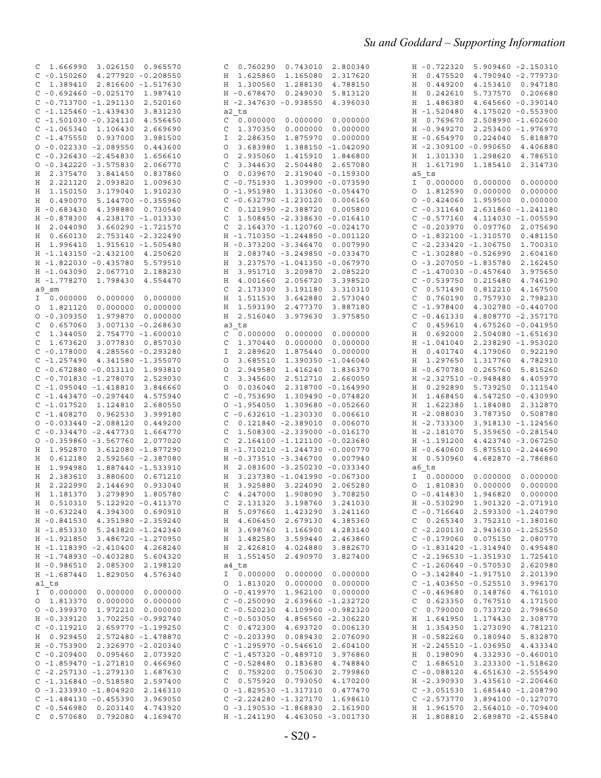| 1.666990 3.026150 0.965570<br>C                                          | 0.760290  0.743010  2.800340<br>C                                    | H -0.722320 5.909460 -2.150310                                 |
|--------------------------------------------------------------------------|----------------------------------------------------------------------|----------------------------------------------------------------|
| $C - 0.150260$ 4.277920 -0.208550                                        | H 1.625860<br>1.165080<br>2.317620                                   | 0.475520<br>4.790940 -2.779730<br>Н                            |
| 1.389410 2.816600 -1.517630<br>C                                         | H 1.300560<br>1.288130<br>4.788150                                   | 0.449200<br>4.153410  0.947180<br>Η                            |
| $C - 0.692460 - 0.025170$<br>1.987410                                    | H -0.678470<br>0.249030<br>5.813120                                  | 5.737570 0.206680<br>Η<br>0.242610                             |
| $C - 0.713700 - 1.291130$<br>2.520160                                    | H -2.347630 -0.938550<br>4.396030                                    | 1.486380<br>4.645660 -0.390140<br>Η                            |
| $C - 1.125460 - 1.439430$<br>3.831230                                    | a2 ts                                                                | H -1.520480<br>4.175020 -0.553900                              |
| $C - 1.501030 - 0.324110$<br>4.556450                                    | 0.000000<br>0.000000<br>0.000000<br>C                                | 0.769670<br>2.508990 -1.602600<br>Н                            |
| $C - 1.065340 1.106430$<br>2.669690                                      | 0.000000<br>1.370350<br>0.000000<br>C                                | 2.253400 -1.976970<br>H -0.949270                              |
| $C - 1.475550 0.937000$<br>3.981500                                      | I<br>2.286350<br>1.875970<br>0.000000                                | H -0.654970<br>0.224040 5.818870                               |
| $0 - 0.022330 - 2.089550$<br>0.443600                                    | 3.683980<br>1.388150 -1.042090<br>$\circ$                            | H -2.309100 -0.990650<br>4.406880                              |
| $C - 0.326430 - 2.454830$<br>1.656610                                    | 2.935060<br>1.415910<br>1.846800<br>$\circ$                          | 1.301330<br>1.298620 4.786510<br>Η                             |
| $0 - 0.342220 - 3.575830$<br>2.066770                                    | 3.344630<br>2.504480<br>2.657080<br>C                                | 1.617190<br>2.314730<br>Η<br>1.185410                          |
| 0.837860<br>H 2.375470 3.841450                                          | 0.039670<br>2.319040 -0.159300<br>$\circ$                            | a5 ts                                                          |
| H 2.221120<br>2.093820<br>1.009630                                       | $C - 0.751930$<br>1.309900 -0.073590                                 | I 0.000000<br>0.000000<br>0.000000                             |
| H 1.150150<br>3.179040<br>1.910230                                       | $0 - 1.951980$<br>1.313060 -0.054470                                 | 1.812590<br>0.000000<br>0.000000<br>O                          |
| H 0.490070<br>5.144700 -0.355960                                         | $C - 0.632790 - 1.230120$<br>0.006160                                | $0 - 0.424060$<br>1.959500<br>0.000000                         |
| $H - 0.683430$<br>4.398880<br>0.730540                                   | 0.121990 -2.388720<br>C<br>0.005800                                  | $C - 0.311640$<br>2.631860 -1.241180                           |
| H -0.878300<br>4.238170 -1.013330                                        | 1.508450 -2.338630 -0.016410<br>C                                    | $C - 0.577160$ 4.114030 -1.005590                              |
| H 2.044090<br>3.660290 -1.721570                                         | 2.164370 -1.120760 -0.024170<br>C                                    | $C - 0.203970$<br>0.097760<br>2.075690                         |
| H 0.660130<br>2.753140 -2.322490                                         | H -1.710350 -1.244850 -0.001120                                      | $0 - 1.832100 - 1.310570$<br>0.481150                          |
| H 1.996410<br>1.915610 -1.505480                                         | H -0.373200 -3.346470<br>0.007990                                    | $C - 2.233420 - 1.306750$<br>1.700310                          |
| H -1.143150 -2.432100<br>4.250620                                        | H 2.083740 -3.249850 -0.033470                                       | $C - 1.302880 - 0.526990$<br>2.604160                          |
| H -1.822030 -0.435780<br>5.579510                                        | 3.237570 -1.041350 -0.067970<br>Η                                    | $0 - 3.207050 - 1.835780$<br>2.162450                          |
| 2.067710<br>2.188230<br>H -1.043090                                      | 3.951710<br>3.209870<br>2.085220<br>Η                                | $C - 1.470030 - 0.457640$<br>3.975650                          |
| H -1.778270<br>1.798430                                                  | 4.001660<br>2.056720<br>3.398520<br>Η                                | $C - 0.539750$<br>0.215480<br>4.746190                         |
| 4.554470                                                                 | 2.173300                                                             |                                                                |
| a9 sm<br>I 0.000000                                                      | 3.191180<br>C<br>3.310310                                            | 0.571490<br>0.812210<br>4.167500<br>C                          |
| 0.000000<br>0.000000                                                     | 1.511530<br>3.642880<br>Η<br>2.573040                                | 0.760190<br>0.757930<br>2.798230<br>C                          |
| 0 1.821120<br>0.000000<br>0.000000                                       | 1.593190<br>2.477370<br>Η<br>3.887180                                | $C - 1.978400$<br>4.302780 -0.440700                           |
| $0 - 0.309350$<br>1.979870<br>0.000000                                   | 2.516040<br>3.979630<br>Η<br>3.975850                                | $C - 0.461330$<br>4.808770 -2.357170                           |
| 0.657060<br>3.007130 -0.268630<br>C                                      | a3 ts                                                                | 0.459610<br>4.675260 -0.041950<br>C                            |
| 1.344050<br>2.754770 -1.600010<br>C                                      | 0.000000<br>0.000000<br>0.000000<br>C                                | 0.692000<br>H<br>2.504080 -1.651630                            |
| 1.673620<br>3.077830<br>C<br>0.857030                                    | 1.370440<br>0.000000<br>0.000000<br>C                                | $H - 1.041040$<br>2.238290 -1.953020                           |
| 4.285560 -0.293280<br>$C - 0.178000$                                     | 2.289620<br>1.875440<br>0.000000<br>I                                | 4.179060 0.922190<br>0.401740<br>Н                             |
| $C - 1.257490$ 4.341580 -1.355070                                        | 3.685510<br>1.390350 -1.046040<br>$\circ$                            | 1.297650<br>1.317760<br>4.782910<br>Η                          |
| $C - 0.672880 - 0.013110$<br>1.993810                                    | 2.949580<br>1.416240<br>1.836370<br>$\circ$                          | H -0.670780<br>0.265760<br>5.815260                            |
| $C - 0.701830 - 1.278070$<br>2.529030                                    | 3.345600<br>2.512710 2.660050<br>C                                   | H -2.327510 -0.948480<br>4.405970                              |
| $C - 1.095040 - 1.418810$<br>3.846660                                    | 0.036040<br>2.318700 -0.164990<br>$\circ$                            | 0.292890<br>5.739250<br>0.111540<br>Η                          |
| $C - 1.443470 - 0.297440$<br>4.575940                                    | $C - 0.753690$<br>1.309490 -0.074820                                 | 1.468450<br>4.547250 -0.430990<br>Н                            |
| $C - 1.017520$ 1.124810<br>2.680550                                      | 1.309680 -0.052660<br>$0 - 1.954050$                                 | 1.622380<br>1.184080 2.312870<br>Н                             |
| $C - 1.408270$ 0.962530<br>3.999180                                      | $C - 0.632610 - 1.230330$<br>0.006610                                | H -2.088030<br>3.787350 0.508780                               |
| $0 - 0.033440 - 2.088120$<br>0.449200                                    | 0.121840 -2.389010<br>0.006070<br>C                                  | H -2.733300<br>3.918130 -1.124560                              |
| $C - 0.334470 - 2.447730$<br>1.664770                                    | 1.508300 -2.339000 -0.016170<br>C                                    | H -2.181070<br>5.359650 -0.281540                              |
| $0 - 0.359860 - 3.567760$<br>2.077020                                    | 2.164100 -1.121100 -0.023680<br>C                                    | 4.423740 -3.067250<br>H -1.191200                              |
| H 1.952870<br>3.612080 -1.877290                                         | H -1.710210 -1.244730 -0.000770                                      | $H - 0.640600$<br>5.875510 -2.244690                           |
| 0.612180<br>2.592560 -2.387080<br>Н                                      | H -0.373510 -3.346700<br>0.007940                                    | 0.530960<br>4.682870 -2.786860<br>Η                            |
| H 1.994980<br>1.887440 -1.533910                                         | 2.083600 -3.250230 -0.033340<br>Η                                    | a6 ts                                                          |
| H<br>2.383610<br>3.880600<br>0.671210                                    | 3.237380 -1.041990 -0.067300<br>Η                                    | 0.000000<br>0.000000<br>I.<br>0.000000                         |
| H 2.222990<br>2.144690<br>0.933040                                       | 3.224090<br>Η<br>3.925880<br>2.065280                                | 0.000000<br>0.000000<br>O<br>1.810830                          |
| H 1.181370<br>3.279890<br>1.805780                                       | 4.247000<br>1.908090<br>3.708250<br>C                                | $0 - 0.414830$<br>1.946820<br>0.000000                         |
| H  0.510310  5.122920  - 0.411370                                        | C 2.131320 3.198760 3.241030                                         | H -0.530290 1.901320 -2.071910                                 |
| H -0.632240 4.394300 0.690910                                            | H 5.097660 1.423290 3.241160                                         | $C - 0.716640 2.593300 - 1.240790$                             |
| H -0.841530 4.351980 -2.359240                                           | H 4.606450 2.679130 4.385360                                         | $C$ 0.265340 3.752310 -1.380160                                |
| H -1.853330 5.243820 -1.242340                                           | 1.166900 4.283140<br>H 3.698760                                      | $C - 2.200130 2.943630 - 1.252550$                             |
| H -1.921850 3.486720 -1.270950                                           | H 1.482580<br>3.599440 2.463860                                      | $C - 0.179060 0.075150 2.080770$                               |
| H -1.118390 -2.410400 4.268240                                           | H 2.426810<br>4.024880<br>3.882670                                   | $0 - 1.831420 - 1.314940 0.495480$                             |
| H -1.748930 -0.403280 5.604320                                           | H 1.551450<br>2.490970 3.827400                                      | $C - 2.196530 - 1.351930 1.725410$                             |
| H -0.986510 2.085300<br>2.198120                                         | a4 ts                                                                | $C - 1.260640 - 0.570530$ 2.620980                             |
| H -1.687440 1.829050<br>4.576340                                         | I 0.000000                                                           | $0 - 3.142840 - 1.917510 2.201390$                             |
| al ts                                                                    | 0 1.813020                                                           | $C - 1.403650 - 0.525510 - 3.996170$                           |
| I 0.000000 0.000000 0.000000                                             | $0 - 0.419970$ 1.962100 0.000000                                     | $C - 0.469680 0.148760 4.761010$                               |
| 0 1.813370 0.000000 0.000000                                             | $C - 0.250090$<br>2.639660 -1.232720                                 | 0.623350  0.767510  4.171500<br>C                              |
| $0 - 0.399370$ 1.972210 0.000000                                         | $C - 0.520230$ 4.109900 -0.982320                                    | 0.790000 0.733720 2.798650<br>C                                |
| H -0.339120 3.702250 -0.992740                                           | $C - 0.503050$<br>4.856560 -2.306220                                 | H 1.641950 1.174430 2.308770                                   |
| $C - 0.119210$ 2.659770 -1.199250                                        | C 0.472300 4.693720 0.006130                                         | H 1.354350 1.273090 4.781210                                   |
| H 0.929450 2.572480 -1.478870                                            | $C - 0.203390$<br>0.089430 2.076090                                  | H -0.582260 0.180940 5.832870                                  |
| H -0.753900 2.326970 -2.020340                                           | $C - 1.295970 - 0.546610$<br>2.604100                                | H -2.245510 -1.036950 4.433340                                 |
| $C - 0.209400 0.095460$<br>2.073920                                      | $C - 1.457320 - 0.489710$ 3.976860                                   | H  0.198090  4.332930 -0.460010                                |
| $0 - 1.859470 - 1.271810$<br>0.466960                                    | $C - 0.528480 0.183680$<br>4.748840                                  | 1.686510 3.233300 -1.518620<br>C                               |
| $C - 2.257130 - 1.279130$ 1.687630                                       | $C = 0.759200$<br>0.750630 2.799860                                  | $C - 0.088120$ 4.651630 -2.555490                              |
| $C - 1.316840 - 0.518580$<br>2.597400                                    | $C$ 0.575920 0.793050<br>4.170200                                    | H -2.390930 3.435610 -2.206460                                 |
| $0 - 3.233930 - 1.804920$                                                |                                                                      |                                                                |
| 2.146310                                                                 |                                                                      |                                                                |
|                                                                          | $0 - 1.829530 - 1.317310$ 0.477470                                   | $C - 3.051530$ 1.685440 -1.208790                              |
| $C - 1.484130 - 0.455390$<br>3.969050                                    | $C - 2.224280 - 1.327170$<br>1.698610                                | $C - 2.573770$ 3.894100 -0.127070                              |
| $C - 0.546980 0.203140$<br>4.743920<br>$C$ 0.570680 0.792080<br>4.169470 | $0 - 3.190530 - 1.868830 2.161900$<br>H -1.241190 4.463050 -3.001730 | H 1.961570 2.564010 -0.709400<br>H 1.808810 2.689870 -2.455840 |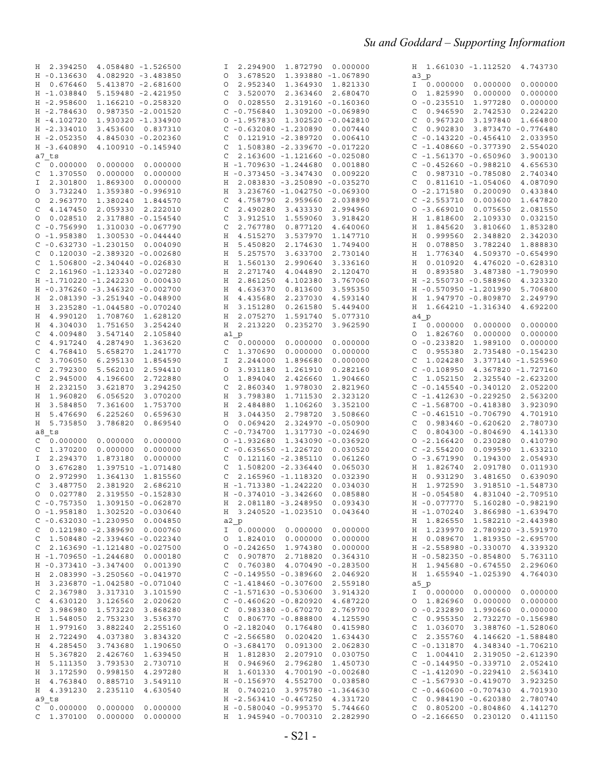| 2.394250<br>4.058480 -1.526500<br>H.      | 2.294900 1.872790 0.000000<br>I                                    | H 1.661030 -1.112520 4.743730                 |
|-------------------------------------------|--------------------------------------------------------------------|-----------------------------------------------|
| $H - 0.136630$<br>4.082920 -3.483850      | 3.678520<br>1.393880 -1.067890<br>O                                | a3 p                                          |
| H 0.676460<br>5.413870 -2.681600          | 2.952340<br>1.364930<br>1.821330<br>0                              | I 0.000000 0.000000<br>0.000000               |
| H -1.038840<br>5.159480 -2.421950         | 3.520070<br>2.363460 2.680470<br>C                                 | 1.825990<br>0.000000<br>0.000000<br>$\circ$   |
| H -2.958600<br>1.166210 -0.258320         | 0.028550<br>2.319160 -0.160360<br>O                                | $0 - 0.235510$<br>1.977280<br>0.000000        |
| H -2.784630<br>0.987350 -2.001520         | $C - 0.756840$<br>1.309200 -0.069890                               | 0.946590<br>2.742530<br>0.224220<br>C         |
| H -4.102720<br>1.930320 -1.334900         | $0 - 1.957830 1.302520 - 0.042810$                                 | 0.967320<br>3.197840<br>1.664800<br>C         |
| $H - 2.334010$<br>3.453600 0.837310       | $C - 0.632080 - 1.230890$<br>0.007440                              | 0.902830 3.873470 -0.776480<br>C              |
| 4.845030 -0.202360<br>$H - 2.052350$      | 0.121910 -2.389720<br>C<br>0.006410                                | $C - 0.143220 - 0.456410$<br>2.033950         |
| H -3.640890<br>4.100910 -0.145940         | 1.508380 -2.339670 -0.017220<br>C                                  | $C - 1.408660 - 0.377390$<br>2.554020         |
| a7 ts                                     | 2.163600 -1.121660 -0.025080<br>C                                  | $C - 1.561370 - 0.650960$<br>3.900130         |
| $C = 0.000000$<br>0.000000<br>0.000000    | H -1.709630 -1.244680<br>0.001880                                  | $C - 0.452660 - 0.988210$<br>4.656530         |
| 1.370550<br>0.000000<br>0.000000<br>C     | H -0.373450 -3.347430<br>0.009220                                  | 0.987310 -0.785080<br>2.740340<br>C           |
| I 2.301800<br>1.869300<br>0.000000        | H 2.083830 -3.250890 -0.035270                                     | $0.811610 - 1.054060$<br>4.087090<br>C        |
| 3.732240<br>1.359380 -0.996910<br>$\circ$ | H 3.236760 -1.042750 -0.069300                                     | $0 - 2.171580 0.200090$<br>0.433840           |
| 2.963770<br>1.380240 1.844570<br>0        | 4.758790 2.959660<br>C<br>2.038890                                 | $C - 2.553710 0.003600$<br>1.647820           |
| 4.147450<br>2.059330 2.222010<br>C        | 2.490280<br>3.433330<br>C<br>2.994960                              | $0 - 3.669010$<br>0.075650<br>2.081550        |
| 0.028510 2.317880 -0.154540<br>O          | 3.912510<br>1.559060<br>3.918420<br>C                              | 1.818600<br>2.109330<br>0.032150<br>Η         |
| $C - 0.756990$<br>1.310030 -0.067790      | 2.767780<br>0.877120<br>C<br>4.640060                              | 1.845620<br>1.853280<br>3.810660<br>Η         |
| $0 - 1.958380 1.300530 - 0.044440$        | 4.515270<br>3.537970<br>Η<br>1.147710                              | 0.999560<br>2.348820<br>2.342030<br>H         |
| $C - 0.632730 - 1.230150 0.004090$        | 5.450820<br>2.174630<br>Η<br>1.749400                              | 0.078850<br>3.782240<br>1.888830<br>Η         |
| $0.120030 - 2.389320 - 0.002680$<br>C     | 5.257570<br>3.633700<br>Η<br>2.730140                              | 1.776340<br>4.509370 -0.654990<br>Η           |
| 1.506800 -2.340440 -0.026830<br>C         | 1.560130<br>2.990640<br>3.336160<br>Н                              | 0.010920<br>4.476020 -0.628310<br>H           |
| 2.161960 -1.123340 -0.027280<br>C         | 2.271740<br>4.044890<br>2.120470<br>Η                              | H 0.893580 3.487380 -1.790990                 |
| H -1.710220 -1.242230 0.000430            | 3.767060                                                           | H -2.550730 -0.588960                         |
| H -0.376260 -3.346320 -0.002700           | Η<br>2.861250<br>4.102380<br>4.636370<br>0.813600<br>Η<br>3.595350 | 4.323320<br>H -0.570950 -1.201990<br>5.706800 |
|                                           | Η                                                                  | H 1.947970 -0.809870<br>2.249790              |
| 2.081390 -3.251940 -0.048900<br>H         | 4.435680<br>2.237030<br>4.593140                                   | 4.692200                                      |
| 3.235280 -1.044580 -0.070240<br>Н         | Η<br>3.151280<br>0.261580<br>5.449400                              | H 1.664210 -1.316340                          |
| 4.990120 1.708760 1.628120<br>H           | Η<br>2.075270<br>1.591740<br>5.077310                              | a4 p                                          |
| 4.304030 1.751650<br>3.254240<br>Н        | H 2.213220<br>0.235270<br>3.962590                                 | 0.000000<br>I 0.000000 0.000000               |
| 4.009480<br>3.547140<br>2.105840<br>C     | a1 p                                                               | 0.000000<br>0.000000<br>1.826760<br>$\circ$   |
| C<br>4.917240<br>4.287490<br>1.363620     | $C = 0.000000$<br>0.000000<br>0.000000                             | $0 - 0.233820$<br>1.989100<br>0.000000        |
| C<br>4.768410<br>5.658270<br>1.241770     | C<br>1.370690<br>0.000000<br>0.000000                              | 0.955380<br>2.735480 -0.154230<br>C           |
| 3.706050<br>6.295130<br>C<br>1.854590     | 2.244000<br>1.896680<br>0.000000<br>Ι                              | 1.024280 3.377140 -1.525960<br>C              |
| 2.792300<br>5.562010<br>C<br>2.594410     | 3.931180<br>1.261910<br>0.282160<br>O                              | $C - 0.108950$ 4.367820 -1.727160             |
| 2.945000<br>C<br>4.196600<br>2.722880     | 2.426660<br>1.894040<br>1.904660<br>O                              | 1.052150 2.325540 -2.623200<br>C              |
| 2.232150<br>3.294250<br>Η<br>3.621870     | 2.860340<br>1.978030<br>C<br>2.821960                              | $C - 0.145540 - 0.340120$ 2.052200            |
| 1.960820<br>6.056520<br>3.070200<br>Н     | 3.798380<br>H<br>1.711530<br>2.323120                              | $C - 1.412630 - 0.229250$<br>2.563200         |
| 3.584850<br>7.361600<br>1.753700<br>Н     | H<br>2.484880<br>1.106260<br>3.352100                              | $C - 1.568700 - 0.418380$<br>3.923090         |
| 5.476690<br>6.225260<br>Н<br>0.659630     | 3.044350<br>2.798720<br>Η<br>3.508660                              | $C - 0.461510 - 0.706790$<br>4.701910         |
| Н<br>5.735850<br>3.786820<br>0.869540     | 0.069420<br>2.324970 -0.050900<br>0                                | $0.983460 - 0.620620$<br>2.780730<br>C        |
| a8 ts                                     | $C - 0.734700$<br>1.317730 -0.024690                               | $0.804300 - 0.804690$<br>4.141330<br>C        |
| 0.000000<br>0.000000<br>0.000000<br>C     | $0 - 1.932680$<br>1.343090 -0.036920                               | $0 - 2.166420 0.230280$<br>0.410790           |
| 1.370200<br>0.000000<br>0.000000<br>C     | $C - 0.635650 - 1.226720$<br>0.030520                              | $C - 2.554200$<br>0.099590<br>1.633210        |
| 2.294370<br>1.873180<br>0.000000<br>I     | $C$ 0.121160 -2.385110<br>0.061260                                 | $0 - 3.671990$<br>2.054930<br>0.194300        |
| 3.676280<br>1.397510 -1.071480<br>0       | C<br>1.508200 -2.336440<br>0.065030                                | H 1.826740<br>2.091780<br>0.011930            |
| 2.972990<br>1.364130<br>1.815560<br>O     | $\mathsf{C}$<br>2.165960 -1.118320<br>0.032390                     | H 0.931290<br>3.481650<br>0.639090            |
| C<br>3.487750<br>2.381920<br>2.686210     | H -1.713380 -1.242220<br>0.034030                                  | H 1.972590<br>3.918510 -1.548730              |
| 0.027780<br>2.319550 -0.152830<br>$\circ$ | H -0.374010 -3.342660 0.085880                                     | H -0.054580 4.831040 -2.709510                |
| $C - 0.757350$ 1.309150 -0.062870         | H 2.081180 -3.248950 0.093430                                      | H -0.077770 5.160280 -0.982190                |
| $0 - 1.958180 1.302520 - 0.030640$        | H 3.240520 -1.023510 0.043640                                      | H -1.070240 3.866980 -1.639470                |
| $C - 0.632030 - 1.230950 0.004850$        | a2 p                                                               | H 1.826550 1.582210 -2.443980                 |
| $C$ 0.121980 -2.389690 0.000760           | I 0.000000 0.000000 0.000000                                       | H 1.239970 2.780920 -3.591970                 |
| $C$ 1.508480 -2.339460 -0.022340          | $0$ 1.824010 0.000000 0.000000                                     | H 0.089670 1.819350 -2.695700                 |
| $C$ 2.163690 -1.121480 -0.027500          | $0 - 0.242650$ 1.974380 0.000000                                   | H -2.558980 -0.330070 4.339320                |
| H -1.709650 -1.244680 0.000180            | $C = 0.907870$<br>2.718820 0.364310                                | H -0.582350 -0.854800 5.763110                |
| H -0.373410 -3.347400 0.001390            | $C$ 0.760380 4.070490 -0.283500                                    | H 1.945680 -0.674550 2.296060                 |
| H 2.083990 -3.250560 -0.041970            | $C - 0.149550 - 0.389660 2.046920$                                 | H 1.655940 -1.025390 4.764030                 |
| H 3.236870 -1.042580 -0.071040            | $C - 1.418460 - 0.307600 2.559180$                                 | a5 p                                          |
| C 2.367980 3.317310 3.101590              | $C - 1.571630 - 0.530600$ 3.914320                                 | I 0.000000 0.000000 0.000000                  |
| C 4.630120 3.126560 2.020620              | $C - 0.460620 - 0.820920$ 4.687220                                 | $0$ 1.826960 0.000000 0.000000                |
| C 3.986980 1.573220 3.868280              | $C$ 0.983380 -0.670270 2.769700                                    | $0 - 0.232890 1.990660 0.000000$              |
| H 1.548050 2.753230 3.536370              | $C$ 0.806770 -0.888800 4.125590                                    | $C$ 0.955350 2.732270 -0.156980               |
| H 1.979160<br>3.882240 2.255160           | $0 - 2.182040 0.176480$<br>0.415980                                | $C$ 1.036070 3.388760 -1.528060               |
| H 2.722490 4.037380 3.834320              | $C - 2.566580 0.020420 1.634430$                                   | $C$ 2.355760 4.146620 -1.588480               |
| H 4.285450<br>3.743680<br>1.190650        | $0 - 3.684170$<br>0.091300 2.062830                                | $C - 0.131870$ 4.348340 -1.706210             |
| H 5.367820 2.426760 1.639450              | H 1.812830 2.207910 0.030750                                       | $C$ 1.004410 2.319050 -2.612390               |
| H 5.111350<br>3.793530<br>2.730710        | H  0.946960<br>2.796280 1.450730                                   | $C - 0.144950 - 0.339710$ 2.052410            |
| H 3.172590 0.998150 4.297280              | H 1.601330 4.700190 -0.002680                                      | $C - 1.412090 - 0.229410 2.563410$            |
| H 4.763840<br>0.885710<br>3.549110        | H -0.156970 4.552700 0.038580                                      | $C - 1.567930 - 0.419070$ 3.923250            |
| H 4.391230<br>2.235110<br>4.630540        | H 0.740210 3.975780 -1.364630                                      | $C - 0.460600 - 0.707430$ 4.701930            |
| a9 ts                                     | H -2.563410 -0.467250 4.331720                                     | $C$ 0.984190 -0.620380<br>2.780740            |
| $C$ 0.000000 0.000000 0.000000            | H - 0.580040 - 0.995370 5.744660                                   | $C$ 0.805200 -0.804860 4.141270               |
| $C$ 1.370100 0.000000 0.000000            | H 1.945940 -0.700310 2.282990                                      | $0 - 2.166650 0.230120$<br>0.411150           |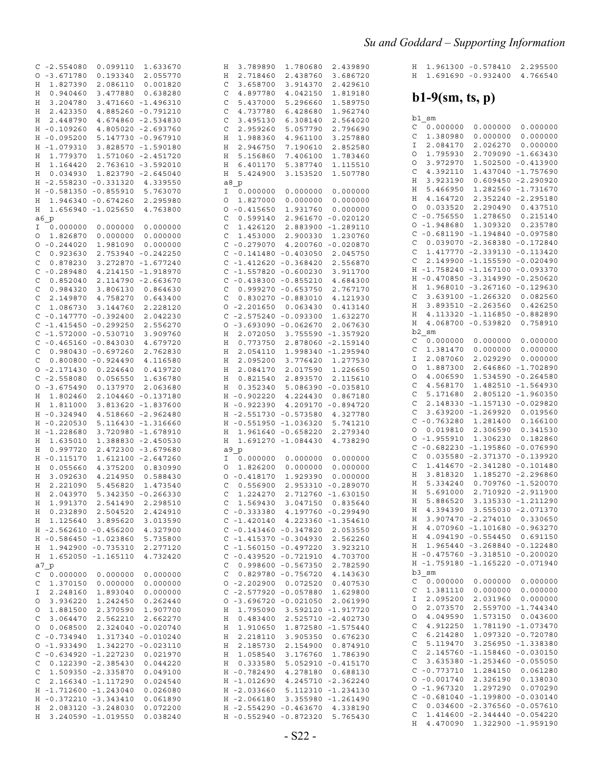|   | $C - 2.554080$ | 0.099110                  | 1.633670           | Η             | 3.789890                  | 1.780680              | 2.439890           |
|---|----------------|---------------------------|--------------------|---------------|---------------------------|-----------------------|--------------------|
|   |                |                           |                    |               |                           |                       |                    |
|   | $0 - 3.671780$ | 0.193340                  | 2.055770           | Η             | 2.718460                  | 2.438760              | 3.686720           |
| Η | 1.827390       | 2.086110                  | 0.001820           | C             | 3.658700                  | 3.914370              | 2.429610           |
| Η | 0.940460       | 3.477880                  | 0.638280           | C             | 4.897780                  | 4.042150              | 1.819180           |
| Η | 3.204780       |                           | 3.471660 -1.496310 | C             | 5.437000                  | 5.296660              | 1.589750           |
|   |                |                           |                    |               |                           |                       |                    |
| Η | 2.423350       |                           | 4.885260 -0.791210 | C             | 4.737780                  | 6.428680              | 1.962740           |
| Η | 2.448790       |                           | 4.674860 -2.534830 | C             | 3.495130                  | 6.308140              | 2.564020           |
|   | H -0.109260    |                           | 4.805020 -2.693760 | C             | 2.959260                  | 5.057790              | 2.796690           |
|   | H -0.095200    |                           | 5.147730 -0.967910 | Η             | 1.988360                  | 4.961100              | 3.257880           |
|   |                |                           |                    |               |                           |                       |                    |
|   | H -1.079310    |                           | 3.828570 -1.590180 | Η             | 2.946750                  | 7.190610              | 2.852580           |
| Η | 1.779370       |                           | 1.571060 -2.451720 | Η             | 5.156860                  | 7.406100              | 1.783460           |
| Η | 1.164420       |                           | 2.763610 -3.592010 | Η             | 6.401170                  | 5.387740              | 1.115510           |
| Η | 0.034930       |                           | 1.823790 -2.645040 | Η             | 5.424900                  | 3.153520              | 1.507780           |
|   |                | H -2.558230 -0.331320     |                    |               |                           |                       |                    |
|   |                |                           | 4.339550           |               | a8 p                      |                       |                    |
|   | H -0.581350    | $-0.855910$               | 5.763070           | I             | 0.000000                  | 0.000000              | 0.000000           |
| Η | 1.946340       | $-0.674260$               | 2.295980           | O             | 1.827000                  | 0.000000              | 0.000000           |
| Η |                | 1.656940 -1.025650        | 4.763800           | O             | $-0.415650$               | 1.931760              | 0.000000           |
|   | a6 p           |                           |                    | C             | 0.599140                  | 2.961670              | $-0.020120$        |
| Ι | 0.000000       | 0.000000                  |                    | C             | 1.426120                  | 2.883900              | $-1.289110$        |
|   |                |                           | 0.000000           |               |                           |                       |                    |
| O | 1.826870       | 0.000000                  | 0.000000           | C             | 1.453000                  | 2.900330              | 1.230760           |
| O | $-0.244020$    | 1.981090                  | 0.000000           | C             | $-0.279070$               | 4.200760              | $-0.020870$        |
| С | 0.923630       |                           | 2.753940 -0.242250 | C             | $-0.141480 - 0.403050$    |                       | 2.045750           |
| C | 0.878230       |                           | 3.272870 -1.677240 | C             | $-1.412620 - 0.368420$    |                       | 2.556870           |
|   | $-0.289480$    |                           | 4.214150 -1.918970 | C             | $-1.557820 - 0.600230$    |                       | 3.911700           |
| C |                |                           |                    |               |                           |                       |                    |
| C | 0.852040       |                           | 2.114790 -2.663670 | C             | $-0.438300 - 0.855210$    |                       | 4.684300           |
| C | 0.984320       | 3.806130                  | 0.864630           | C             |                           | $0.999270 - 0.653750$ | 2.767170           |
| C | 2.149870       | 4.758270                  | 0.643400           | C             |                           | $0.830270 - 0.883010$ | 4.121930           |
| C | 1.086730       | 3.144760                  | 2.228120           | 0             | $-2.201650$               | 0.063430              | 0.413140           |
|   | $C - 0.147770$ | $-0.392400$               | 2.042230           | C             | $-2.575240 - 0.093300$    |                       | 1.632270           |
|   |                |                           |                    |               |                           |                       |                    |
|   | $C - 1.415450$ | $-0.299250$               | 2.556270           |               | $0 - 3.693090 - 0.062670$ |                       | 2.067630           |
|   |                | $C - 1.572000 - 0.530710$ | 3.909760           | Η             | 2.072050                  | 3.755590              | $-1.357920$        |
|   |                | $C - 0.465160 - 0.843030$ | 4.679720           | Η             | 0.773750                  |                       | 2.878060 -2.159140 |
| C |                | $0.980430 - 0.697260$     | 2.762830           | Η             | 2.054110                  |                       | 1.998340 -1.295940 |
| C |                | $0.800800 - 0.924490$     | 4.116580           | Η             | 2.095200                  | 3.776420              | 1.277530           |
|   |                |                           |                    |               |                           |                       |                    |
|   | $0 - 2.171430$ | 0.224640                  | 0.419720           | Η             | 2.084170                  | 2.017590              | 1.226650           |
|   | $C - 2.558080$ | 0.056550                  | 1.636780           | Η             | 0.821540                  | 2.893570              | 2.115610           |
|   | $0 - 3.675490$ | 0.137970                  | 2.063680           | Η             | 0.352340                  |                       | 5.086390 -0.035810 |
| Η | 1.802460       |                           | 2.104460 -0.137180 |               | H -0.902220               | 4.224430              | 0.867180           |
| Η | 1.811000       |                           | 3.813620 -1.837600 | Η             | $-0.922390$               |                       | 4.209170 -0.894720 |
|   |                |                           |                    |               |                           |                       |                    |
|   | H -0.324940    |                           | 4.518660 -2.962480 | Η             | $-2.551730 - 0.573580$    |                       | 4.327780           |
| H | $-0.220530$    |                           | 5.116430 -1.316660 | Η             | $-0.551950$               | $-1.036320$           | 5.741210           |
| H | $-1.228680$    |                           | 3.720980 -1.678910 | Η             |                           | 1.961640 -0.658220    | 2.279340           |
| Η | 1.635010       |                           | 1.388830 -2.450530 | Η             |                           | 1.691270 -1.084430    | 4.738290           |
| Η | 0.997720       |                           | 2.472300 -3.679680 |               | a9 p                      |                       |                    |
| H | $-0.115170$    |                           | 1.612100 -2.647260 | Ι             | 0.000000                  | 0.000000              | 0.000000           |
|   |                |                           |                    |               |                           |                       |                    |
| Η | 0.055660       | 4.375200                  | 0.830990           | O             | 1.826200                  | 0.000000              | 0.000000           |
| Η | 3.092630       | 4.214950                  | 0.588430           | 0             | $-0.418170$               | 1.929390              | 0.000000           |
| Η | 2.221090       | 5.456820                  | 1.473540           | C             | 0.556900                  |                       | 2.953310 -0.289070 |
| Η | 2.043970       |                           | 5.342350 -0.266330 | $\mathcal{C}$ | 1.224270                  |                       | 2.712760 -1.630150 |
| Η | 1.991370       | 2.541490                  | 2.298510           | C             | 1.569430                  | 3.047150              | 0.835640           |
|   |                |                           |                    |               |                           |                       |                    |
| Η | 0.232890       | 2.504520                  | 2.424910           |               | $C - 0.333380$            |                       | 4.197760 -0.299490 |
| Η | 1.125640       | 3.895620                  | 3.013590           |               | $C - 1.420140$            | 4.223360              | $-1.354610$        |
| Н |                | $-2.562610 - 0.456200$    | 4.327900           |               | $C - 0.143460 - 0.347820$ |                       | 2.053550           |
| Η |                | $-0.586450 -1.023860$     | 5.735800           |               | $C - 1.415370 - 0.304930$ |                       | 2.562260           |
| Η |                | 1.942900 -0.735310        | 2.277120           |               | $C - 1.560150 - 0.497220$ |                       | 3.923210           |
|   |                | 1.652050 -1.165110        | 4.732420           |               | $C - 0.439520 - 0.721910$ |                       | 4.703700           |
| Η |                |                           |                    |               |                           |                       |                    |
|   | a7 p           |                           |                    | C             |                           | $0.998600 - 0.567350$ | 2.782590           |
| C | 0.000000       | 0.000000                  | 0.000000           | C             |                           | $0.829780 - 0.756720$ | 4.143630           |
| C | 1.370150       | 0.000000                  | 0.000000           |               | $0 - 2.202900$            | 0.072520              | 0.407530           |
| Ι | 2.248160       | 1.893040                  | 0.000000           |               | $C - 2.577920 - 0.057880$ |                       | 1.629800           |
| O | 3.936220       | 1.242450                  | 0.262440           |               | $0 - 3.696720 - 0.021050$ |                       | 2.061990           |
|   |                |                           |                    |               |                           |                       |                    |
| O | 1.881500       | 2.370590                  | 1.907700           | Η             | 1.795090                  | 3.592120              | $-1.917720$        |
| C | 3.064470       | 2.562210                  | 2.662270           | Η             | 0.483400                  |                       | 2.525710 -2.402730 |
| O | 0.068500       |                           | 2.324040 -0.020740 | Η             | 1.910650                  |                       | 1.872580 -1.575440 |
|   | $C - 0.734940$ |                           | 1.317340 -0.010240 | Η             | 2.218110                  | 3.905350              | 0.676230           |
|   | $0 - 1.933490$ |                           | 1.342270 -0.023110 | Η             | 2.185730                  | 2.154900              | 0.874910           |
|   |                | $-1.227230$               | 0.021970           | Η             |                           | 3.176760              |                    |
|   | $C - 0.634920$ |                           |                    |               | 1.058540                  |                       | 1.786390           |
| C |                | $0.122390 -2.385430$      | 0.044220           | Η             | 0.333580                  |                       | 5.052910 -0.415170 |
| C |                | 1.509350 -2.335870        | 0.049100           |               | H -0.782490               | 4.278180              | 0.688130           |
| C |                | 2.166340 -1.117290        | 0.024540           |               | H -1.012690               |                       | 4.245710 -2.362240 |
|   |                | H -1.712600 -1.243040     | 0.026080           |               | H -2.033660               |                       | 5.112310 -1.234130 |
|   |                | H -0.372210 -3.343410     | 0.061890           |               | H -2.066180               |                       | 3.355980 -1.261490 |
| Η |                | 2.083120 -3.248030        | 0.072200           |               | H -2.554290 -0.463670     |                       | 4.338190           |
|   |                |                           |                    |               |                           |                       |                    |
| Η |                | 3.240590 -1.019550        | 0.038240           |               | H -0.552940 -0.872320     |                       | 5.765430           |

H 1.961300 -0.578410 2.295500 H 1.691690 -0.932400 4.766540

#### $b1-9$ (sm, ts, p)

| b1<br>sm                          |                            |                            |
|-----------------------------------|----------------------------|----------------------------|
| 0.000000<br>С                     | 0.000000                   | 0.000000                   |
| C<br>1.380980                     | 0.000000                   | 0.000000                   |
| 2.084170<br>Ι                     | 2.026270                   | 0.000000                   |
| 1.795930<br>O                     | 2.709090                   | $-1.663430$                |
| O<br>3.972970                     | 1.502500                   | $-0.413900$                |
| C<br>4.392110                     | 1.437040                   | $-1.757690$                |
| 3.923190<br>Η                     | 0.609450                   | $-2.290920$                |
| 5.466950<br>Η                     | 1.282560                   | $-1.731670$                |
| 4.164720<br>Η                     | 2.352240                   | $-2.295180$                |
| 0.033520<br>0                     | 2.290490                   | 0.437510                   |
| $-0.756550$<br>С                  | 1.278650                   | 0.215140                   |
| O<br>$-1.948680$<br>$-0.681190$   | 1.309320<br>$-1.194840$    | 0.235780                   |
| C<br>C<br>0.039070                | $-2.368380$                | $-0.097580$<br>$-0.172840$ |
| C<br>1.417770                     | $-2.339130$                | $-0.113420$                |
| C<br>2.149900                     | -1.155590                  | $-0.020490$                |
| $-1.758240$<br>Η                  | $-1.167100$                | $-0.093370$                |
| $-0.470850$<br>Η                  | $-3.314990$                | $-0.250620$                |
| 1.968010<br>Н                     | $-3.267160$                | $-0.129630$                |
| 3.639100<br>С                     | -1.266320                  | 0.082560                   |
| 3.893510<br>Η                     | $-2.263560$                | 0.426250                   |
| 4.113320<br>Η                     | $-1.116850$                | $-0.882890$                |
| 4.068700<br>Η                     | $-0.539820$                | 0.758910                   |
| b2<br>sm                          |                            |                            |
| C<br>0.000000                     | 0.000000                   | 0.000000                   |
| C<br>1.381470                     | 0.000000                   | 0.000000                   |
| Ι<br>2.087060                     | 2.029290                   | 0.000000                   |
| 1.887300<br>0                     | 2.646860                   | $-1.702890$                |
| 0<br>4.006590                     | 1.534590                   | $-0.264580$                |
| C<br>4.568170                     | 1.482510                   | $-1.564930$                |
| C<br>5.171680                     | 2.805120                   | $-1.960350$                |
| C<br>2.148330                     | $-1.157130$                | $-0.029820$                |
| C<br>3.639200                     | $-1.269920$                | 0.019560                   |
| C<br>$-0.763280$                  | 1.281400                   | 0.166100                   |
| O<br>0.019810                     | 2.306590                   | 0.341530                   |
| O<br>$-1.955910$                  | 1.306230                   | 0.182860                   |
| C<br>-0.682230<br>C<br>0.035580   | $-1.195860$<br>$-2.371370$ | $-0.076990$<br>$-0.139920$ |
| C<br>1.414670                     | $-2.341280$                | $-0.101480$                |
| Η<br>3.818320                     | 1.185270                   | $-2.296860$                |
| 5.334240<br>Η                     | 0.709760                   | $-1.520070$                |
| 5.691000<br>Η                     | 2.710920                   | $-2.911900$                |
| 5.886520<br>Η                     | 3.135330                   | -1.211290                  |
| 4.394390<br>Η                     | 3.555030                   | $-2.071370$                |
| 3.907470<br>Η                     | $-2.274010$                | 0.330650                   |
| 4.070960<br>Η                     | $-1.101680$                | $-0.963270$                |
| 4.094190<br>Η                     | $-0.554450$                | 0.691150                   |
| 1.965440<br>Η                     | $-3.268840$                | $-0.122480$                |
| H                                 | $-0.475760 -3.318510$      | $-0.200020$                |
| Η<br>$-1.759180$                  | $-1.165220$                | $-0.071940$                |
| b3 sm                             |                            |                            |
| C<br>0.000000                     | 0.000000                   | 0.000000                   |
| С<br>1.381110                     | 0.000000                   | 0.000000                   |
| I<br>2.095200                     | 2.031960                   | 0.000000                   |
| О<br>2.073570                     | 2.559700                   | $-1.744340$                |
| О<br>4.049590                     | 1.573150                   | 0.043600                   |
| C<br>4.912250                     | 1.781190                   | $-1.073470$                |
| C<br>6.214280                     | 1.097320                   | $-0.720780$                |
| C<br>5.119470                     | 3.256950                   | $-1.338380$                |
| C<br>2.145760                     | $-1.158460$                | $-0.030150$                |
| C<br>3.635380<br>C<br>$-0.773710$ | $-1.253460$<br>1.284150    | $-0.055050$<br>0.061280    |
| $\circ$<br>$-0.001740$            | 2.326190                   | 0.138030                   |
| O<br>$-1.967320$                  | 1.297290                   | 0.070290                   |
| C<br>$-0.681040$                  | $-1.199800$                | $-0.030140$                |
| C<br>0.034600                     | $-2.376560$                | $-0.057610$                |
| C<br>1.414600                     | $-2.344440$                | $-0.054220$                |
| 4.470090<br>Η                     | 1.322900                   | $-1.959190$                |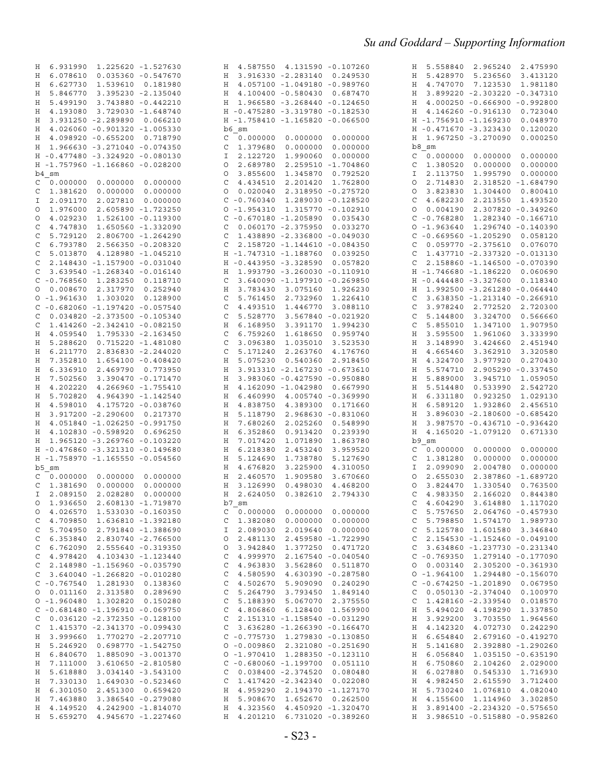| H 6.931990<br>1.225620 -1.527630       | 4.587550 4.131590 -0.107260<br>Η       | 5.558840<br>2.965240<br>2.475990<br>Η |
|----------------------------------------|----------------------------------------|---------------------------------------|
| H 6.078610<br>$0.035360 - 0.547670$    | 3.916330 -2.283140 0.249530<br>Η       | H 5.428970<br>5.236560<br>3.413120    |
| 6.627730<br>H<br>1.539610 0.181980     | 4.057100 -1.049180 -0.989760<br>Η      | H<br>4.747070<br>7.123530<br>1.981180 |
| 5.846770<br>3.395230 -2.135040<br>H    | 4.100400 -0.580430 0.687470<br>Η       | H 3.899220 -2.303220 -0.347310        |
| 5.499190<br>3.743880 - 0.442210<br>H   | 1.966580 -3.268440 -0.124650<br>Η      | 4.000250 -0.666900 -0.992800<br>Н     |
| H 4.193080<br>3.729030 -1.648740       | H -0.475280 -3.319780 -0.182530        | H 4.146260 -0.916130<br>0.723040      |
| 3.931250 -2.289890<br>Η<br>0.066210    | H -1.758410 -1.165820 -0.066500        | H -1.756910 -1.169230<br>0.048970     |
| H 4.026060 -0.901320 -1.005330         | b6 sm                                  | H -0.471670 -3.323430<br>0.120020     |
|                                        |                                        |                                       |
| H 4.098920 -0.655200<br>0.718790       | 0.000000<br>C<br>0.000000<br>0.000000  | 1.967250 -3.270090<br>0.000250<br>Η   |
| H 1.966630 -3.271040 -0.074350         | 1.379680<br>0.000000<br>0.000000<br>C  | b8 sm                                 |
| H -0.477480 -3.324920 -0.080130        | 2.122720<br>1.990060<br>0.000000<br>Ι  | 0.000000<br>0.000000<br>C<br>0.000000 |
| H -1.757960 -1.166860 -0.028200        | 2.689780<br>2.259510 -1.704860<br>O    | 1.380520<br>0.000000<br>0.000000<br>C |
| b4 sm                                  | 1.345870<br>O<br>3.855600<br>0.792520  | 2.113750<br>0.000000<br>1.995790<br>I |
| 0.000000<br>0.000000<br>0.000000<br>C  | 2.201420<br>C<br>4.434510<br>1.762800  | 2.714830<br>2.318520 -1.684790<br>O   |
| 1.381620<br>0.000000<br>0.000000<br>С  | 0.020040 2.318950 -0.275720<br>O       | 3.823830<br>1.304400<br>0.800410<br>O |
| 2.091170<br>2.027810 0.000000<br>I.    | $C - 0.760340$ 1.289030 -0.128520      | 4.682230<br>2.213550<br>1.493520<br>C |
| 1.976000<br>2.605890 -1.723250<br>O    | $0 - 1.954310 1.315770 - 0.102910$     | 0.004190<br>2.307820 -0.349260<br>0   |
| 4.029230<br>1.526100 -0.119300<br>0    | $C - 0.670180 - 1.205890 0.035430$     | $C - 0.768280$<br>1.282340 -0.166710  |
| 4.747830<br>1.650560 -1.332090<br>C    | $0.060170 - 2.375950$<br>C<br>0.033270 | 1.296740 -0.140390<br>$0 - 1.963640$  |
| 5.729120<br>2.806700 -1.264290<br>C    | 1.438890 -2.336800 -0.049030<br>C      | $C - 0.669560 - 1.205290$<br>0.058120 |
|                                        |                                        |                                       |
| 6.793780<br>2.566350 -0.208320<br>C    | 2.158720 -1.144610 -0.084350<br>C      | 0.059770 -2.375610<br>0.076070<br>C   |
| 5.013870<br>4.128980 -1.045210<br>C    | H -1.747310 -1.188760<br>0.039250      | 1.437710 -2.337320 -0.013130<br>C     |
| 2.148430 -1.157900 -0.031040<br>C      | H - 0.443950 - 3.328590<br>0.057820    | 2.158860 -1.146500 -0.070390<br>C     |
| 3.639540 -1.268340 -0.016140<br>C      | 1.993790 -3.260030 -0.110910<br>Η      | H -1.746680 -1.186220<br>0.060690     |
| $C - 0.768560$<br>1.283250<br>0.118710 | 3.640090 -1.197910 -0.269850<br>C      | H - 0.444480 - 3.327600<br>0.118340   |
| 0.008670<br>2.317970<br>0.252940<br>0  | 3.783430 3.075160<br>1.926230<br>Η     | 1.992500 -3.261280 -0.064440<br>Η     |
| $0 - 1.961630$<br>1.303020<br>0.128900 | 5.761450 2.732960<br>C<br>1.226410     | 3.638350 -1.213140 -0.266910<br>C     |
| $C - 0.682060 - 1.197420 - 0.057540$   | 4.493510 1.446770<br>C<br>3.088110     | 3.978240<br>2.772520<br>2.720300<br>C |
| $0.034820 -2.373500 -0.105340$<br>C    | 3.567840 -0.021920<br>C<br>5.528770    | 5.144800<br>3.324700<br>0.566660<br>C |
| 1.414260 -2.342410 -0.082150<br>C      | Η<br>6.168950 3.391170<br>1.994230     | 5.855010<br>1.347100<br>1.907950<br>C |
| 4.059540 1.795330 -2.163450<br>H       | C<br>6.759260 1.618650<br>0.959740     | 3.595500<br>1.961060<br>3.333990<br>Η |
|                                        |                                        |                                       |
| 5.288620<br>Н<br>$0.715220 - 1.481080$ | 3.096380 1.035010<br>C<br>3.523530     | 3.148990<br>3.424660<br>2.451940<br>Η |
| 6.211770<br>Η<br>2.836830 -2.244020    | C<br>5.171240<br>2.263760<br>4.176760  | 4.665460<br>3.362910<br>3.320580<br>Η |
| 7.352810<br>1.654100 -0.408420<br>Η    | 0.540360<br>Η<br>5.075230<br>2.918450  | 4.324700<br>Η<br>3.977920<br>0.270430 |
| 6.336910<br>H<br>2.469790 0.773950     | Η<br>3.913310 -2.167230 -0.673610      | 5.574710<br>2.905290 -0.337450<br>Η   |
| 7.502560<br>Η<br>3.390470 -0.171470    | Η<br>3.983060 -0.427590 -0.950880      | Н<br>5.889000<br>3.945710<br>1.059050 |
| H<br>4.202220<br>4.266960 -1.755410    | 4.162090 -1.042980 0.667990<br>Η       | 5.514480<br>0.533990<br>2.542720<br>Η |
| H<br>5.702820<br>4.964390 -1.142540    | Η<br>$6.460990$ $4.005740$ $-0.369990$ | 6.331180<br>0.923250<br>1.029130<br>Н |
| H 4.598010<br>4.175720 -0.038760       | 4.838750 4.389300 0.171660<br>Н        | 6.589120<br>1.932860<br>2.456510<br>Н |
| 3.917200 -2.290600 0.217370<br>Η       | 5.118790 2.968630 -0.831060<br>Η       | 3.896030 -2.180600 -0.685420<br>Η     |
| H 4.051840 -1.026250 -0.991750         | 2.025260<br>Η<br>7.680260<br>0.548990  | H<br>3.987570 -0.436710 -0.936420     |
| H 4.102830 -0.598920<br>0.696250       | 0.913420<br>Η<br>6.352860<br>0.239390  | 4.165020 -1.079120 0.671330<br>H      |
| H 1.965120 -3.269760 -0.103220         | 7.017420<br>1.071890<br>1.863780<br>Η  | b9 sm                                 |
|                                        | 2.453240                               |                                       |
| H -0.476860 -3.321310 -0.149680        | 6.218380<br>3.959520<br>Н              | 0.000000<br>0.000000<br>0.000000<br>C |
| H -1.758970 -1.165550 -0.054560        | 1.738780<br>Η<br>5.124690<br>5.127690  | 0.000000<br>0.000000<br>1.381280<br>C |
| b5 sm                                  | 3.225900<br>Η<br>4.676820<br>4.310050  | 2.099090<br>2.004780<br>0.000000<br>I |
| C<br>0.000000<br>0.000000<br>0.000000  | 1.909580<br>Η<br>2.460570<br>3.670660  | 2.387860 -1.689720<br>2.655030<br>O   |
| C<br>0.000000<br>0.000000<br>1.381690  | Н<br>3.126990<br>0.498030<br>4.468200  | O<br>3.824470<br>1.330540<br>0.763500 |
| I 2.089150<br>2.028280 0.000000        | H<br>2.624050<br>0.382610<br>2.794330  | C<br>4.983350<br>2.166020<br>0.844380 |
| 0 1.936650 2.608130 -1.719870          | b7 sm                                  | $C$ 4.604290 3.614880 1.117020        |
| 0 4.026570 1.533030 -0.160350          | $C$ 0.000000 0.000000 0.000000         | $C$ 5.757650 2.064760 -0.457930       |
| $C$ 4.709850 1.636810 -1.392180        | $C$ 1.382080 0.000000 0.000000         | C 5.798850 1.574170 1.989730          |
| $C$ 5.704950 2.791840 -1.388690        | I 2.089030 2.019640 0.000000           | C 5.125780 1.601580 3.346840          |
| 6.353840 2.830740 -2.766500<br>C       | 0 2.481130 2.459580 -1.722990          | $C$ 2.154530 -1.152460 -0.049100      |
| $C$ 6.762090 2.555640 -0.319350        | 0 3.942840 1.377250 0.471720           | $C$ 3.634860 -1.237730 -0.231340      |
| $C$ 4.978420 4.103430 -1.123440        | $C$ 4.999970 2.167540 -0.040540        | $C - 0.769350$ 1.279140 -0.177090     |
|                                        |                                        |                                       |
| $C$ 2.148980 -1.156960 -0.035790       | C 4.963830 3.562860 0.511870           | $0$ $0.003140$ $2.305200$ $-0.361930$ |
| $C$ 3.640040 -1.266820 -0.010280       | $C$ 4.580590 4.630390 -0.287580        | $0 - 1.964100 1.294480 - 0.156070$    |
| $C - 0.767540$ 1.281930 0.138360       | C 4.502670 5.909090 0.240290           | $C - 0.674250 - 1.201890 0.067950$    |
| 0 0.011160 2.313580 0.289690           | $C$ 5.264790 3.793450 1.849140         | $C$ 0.050130 -2.374040 0.100970       |
| $0 - 1.960480 1.302820 0.150280$       | C 5.188390 5.067070 2.375550           | $C$ 1.428160 -2.339540 0.018570       |
| $C - 0.681480 - 1.196910 - 0.069750$   | C 4.806860 6.128400 1.569900           | H 5.494020 4.198290 1.337850          |
| $C$ 0.036120 -2.372350 -0.128100       | $C$ 2.151310 -1.158540 -0.031290       | H 3.929200 3.703550 1.964560          |
| $C$ 1.415370 -2.341370 -0.099430       | $C$ 3.636280 -1.266390 -0.166470       | H 4.142320 4.072730 0.242290          |
| H 3.999660 1.770270 -2.207710          | $C - 0.775730$ 1.279830 -0.130850      | H 6.654840 2.679160 -0.419270         |
| H 5.246920 0.698770 -1.542750          | $0 - 0.009860 2.321080 - 0.251690$     | H 5.141680 2.392880 -1.290260         |
| H 6.840670 1.885090 -3.001370          | $0 - 1.970410$ 1.288350 $-0.123110$    | H 6.056840 1.035150 -0.635190         |
| H 7.111000 3.610650 -2.810580          | $C - 0.680060 - 1.199700 0.051110$     | H 6.750860 2.104260 2.029000          |
|                                        | C 0.038400 -2.374520 0.080480          |                                       |
| H 5.618880 3.034140 -3.543100          |                                        | H 6.027880 0.545330 1.716930          |
| H 7.330130 1.649030 -0.523460          | $C$ 1.417420 -2.342340 0.022080        | H 4.982450 2.615590 3.712400          |
| H 6.301050 2.451300 0.659420           | H 4.959290 2.194370 -1.127170          | H 5.730240 1.076810 4.082040          |
| H 7.463880 3.386540 -0.279080          | H 5.908670 1.652670 0.262500           | H 4.155600 1.114960 3.302850          |
| H 4.149520 4.242900 -1.814070          | H 4.323560 4.450920 -1.320470          | H 3.891400 -2.234320 -0.575650        |
| H 5.659270 4.945670 -1.227460          | H 4.201210 6.731020 -0.389260          | H 3.986510 -0.515880 -0.958260        |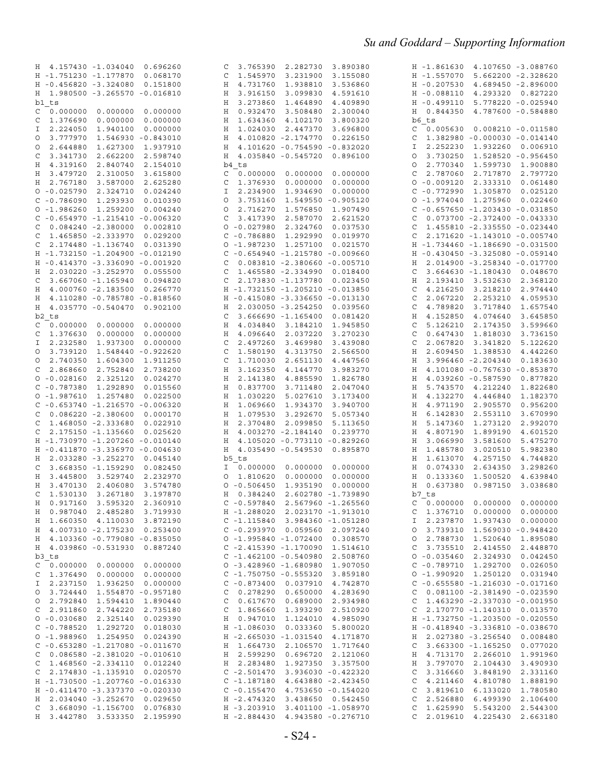| H 4.157430 -1.034040<br>0.696260                                 | 3.765390<br>2.282730<br>3.890380<br>C                                    | H -1.861630<br>4.107650 -3.088760                                            |
|------------------------------------------------------------------|--------------------------------------------------------------------------|------------------------------------------------------------------------------|
| H -1.751230 -1.177870<br>0.068170                                | 1.545970<br>3.231900<br>3.155080<br>C                                    | H -1.557070<br>5.662200 -2.328620                                            |
| H -0.456820 -3.324080<br>0.151800                                | 4.731760<br>1.938810<br>H<br>3.536860                                    | $H - 0.207530$<br>4.689450 -2.896000                                         |
| H 1.980500 -3.265570 -0.016810                                   | 3.916150<br>3.099830<br>Η<br>4.591610                                    | H -0.088110<br>4.293320 0.827220                                             |
| b1 ts                                                            | 3.273860<br>1.464890<br>Η<br>4.409890                                    | H -0.499110<br>5.778220 -0.025940                                            |
| 0.000000<br>0.000000<br>0.000000<br>C                            | 0.932470<br>3.508480<br>2.300040<br>Η                                    | 0.844350<br>4.787600 -0.584880<br>Н                                          |
| 0.000000<br>0.000000<br>1.376690<br>C                            | 4.102170<br>Η<br>1.634360<br>3.800320                                    | b6 ts                                                                        |
| 2.224050<br>1.940100<br>0.000000<br>Ι.                           | 2.447370<br>Η<br>1.024030<br>3.696800                                    | 0.005630<br>C<br>$0.008210 - 0.011580$                                       |
| 3.777970<br>1.546930 -0.843010<br>$\circ$                        | 4.010820 -2.174770<br>0.226150<br>Η                                      | 1.382980 -0.000030 -0.014140<br>C                                            |
| 2.644880<br>1.627300<br>1.937910<br>$\circ$                      | 4.101620 -0.754590 -0.832020<br>Η                                        | 2.252230<br>1.932260 0.006910<br>Ι                                           |
| 3.341730<br>2.662200<br>2.598740<br>C                            | 4.035840 -0.545720<br>0.896100<br>H                                      | 3.730250<br>1.528520 -0.956450<br>O                                          |
| H 4.319160<br>2.840740<br>2.154010                               | b4 ts                                                                    | 2.770340<br>1.599730<br>1.900880<br>O                                        |
| 3.479720<br>2.310050<br>3.615800<br>Н                            | 0.000000<br>0.000000<br>0.000000<br>C                                    | 2.787060<br>2.717870<br>2.797720<br>C                                        |
| H 2.767180<br>3.587000<br>2.625280                               | 1.376930<br>0.000000<br>0.000000<br>C                                    | $0 - 0.009120$<br>2.333310<br>0.061480                                       |
| $0 - 0.025790$<br>2.324710<br>0.024240                           | 2.234900<br>1.934690<br>0.000000<br>I                                    | $C - 0.772990$<br>1.305870<br>0.025120                                       |
| $C - 0.786090$<br>1.293930<br>0.010390                           | 3.753160<br>1.549550 -0.905120<br>0                                      | 0 -1.974040 1.275960<br>0.022460                                             |
| $0 - 1.986260$<br>1.259200<br>0.004240                           | 2.716270<br>1.576850<br>1.907490<br>O                                    | $C - 0.657650 - 1.203430 - 0.031850$                                         |
| $C - 0.654970 - 1.215410 - 0.006320$                             | 3.417390<br>2.587070<br>2.621520<br>C                                    | 0.073700 -2.372400 -0.043330<br>C                                            |
| $0.084240 -2.380000$<br>0.002810<br>C                            | $0 - 0.027980$<br>2.324760<br>0.037530                                   | 1.455810 -2.335550 -0.023440<br>C                                            |
| 1.465850 -2.333970<br>0.029200<br>C                              | $C - 0.786880$<br>1.292990<br>0.019970                                   | 2.171620 -1.143010 -0.005740<br>C                                            |
| 2.174480 -1.136740<br>0.031390<br>C                              | $0 - 1.987230$<br>1.257100<br>0.021570                                   | H -1.734460 -1.186690 -0.031500                                              |
| H -1.732150 -1.204900 -0.012190                                  | $C - 0.654940 - 1.215780 - 0.009660$                                     | H -0.430450 -3.325080 -0.059140                                              |
| H -0.414370 -3.336090 -0.001920                                  | $0.083810 - 2.380660 - 0.005710$<br>C                                    | 2.014900 -3.258340 -0.017700<br>Η                                            |
| 2.030220 -3.252970<br>0.055500<br>Н                              | 1.465580 -2.334990<br>C<br>0.018400                                      | 3.664630 -1.180430<br>C<br>0.048670                                          |
| 3.667060 -1.165940<br>0.094820<br>C                              | 2.173830 -1.137780<br>0.023450<br>C                                      | Η<br>2.193410<br>3.532630<br>2.368120                                        |
| 4.000760 -2.183500<br>0.266770<br>Н                              | H -1.732150 -1.205210 -0.013850                                          | 4.216250<br>3.218210<br>2.974440<br>C                                        |
| 4.110280 -0.785780 -0.818560<br>Η                                | H -0.415080 -3.336650 -0.013130                                          | C<br>2.067220<br>2.253210<br>4.059530                                        |
| H 4.035770 -0.540470<br>0.902100                                 | 2.030050 -3.254250<br>0.039560<br>H                                      | 4.789820<br>3.717840<br>1.657540<br>C                                        |
| b2 ts                                                            | $3.666690 - 1.165400$<br>0.081420<br>C                                   | Η<br>4.152850<br>4.074640<br>3.645850                                        |
| $0.000000$ $0.000000$<br>0.000000<br>C                           | 4.034840<br>Η<br>3.184210<br>1.945850                                    | 5.126210<br>C<br>2.174350<br>3.599660                                        |
| 1.376630<br>0.000000<br>0.000000<br>C                            | 4.096640<br>2.037220<br>3.270230<br>Н                                    | 0.647430<br>C<br>1.818030<br>3.736150                                        |
| 2.232580<br>1.937300<br>0.000000<br>I.                           | C<br>2.497260<br>3.469980<br>3.439080                                    | C<br>2.067820<br>3.341820<br>5.122620                                        |
| 3.739120<br>1.548440 -0.922620<br>$\circ$<br>2.740350<br>$\circ$ | 1.580190<br>4.313750<br>2.566500<br>C<br>2.651130<br>C<br>4.447560       | Η<br>2.609450<br>1.388530<br>4.442260<br>Η<br>3.996460 -2.204340<br>0.183630 |
| 1.604300<br>1.911250<br>2.868660<br>2.752840<br>2.738200<br>C    | 1.710030<br>3.162350<br>4.144770<br>3.983270<br>Η                        | Η<br>4.101080 -0.767630 -0.853870                                            |
| $0 - 0.028160$<br>2.325120<br>0.024270                           | 2.141380<br>4.885590<br>1.826780<br>Н                                    | Η<br>4.039260 -0.587590<br>0.877820                                          |
| $C - 0.787380$<br>1.292890<br>0.015560                           | 0.837700<br>Η<br>3.711480<br>2.047040                                    | 1.822680<br>Η<br>5.743570<br>4.212240                                        |
| $0 - 1.987610$<br>1.257480<br>0.022500                           | 5.027610<br>1.030220<br>3.173400<br>Н                                    | 4.132270<br>1.182370<br>4.446840<br>Η                                        |
| $C - 0.653740 - 1.216570 - 0.006320$                             | 1.069660<br>1.934370<br>3.940700<br>Η                                    | 4.971190<br>Η<br>2.905570<br>0.956200                                        |
| $0.086220 - 2.380600$<br>0.000170<br>C                           | 3.292670<br>Η<br>1.079530<br>5.057340                                    | 6.142830<br>3.670990<br>Η<br>2.553110                                        |
| 1.468050 -2.333680<br>0.022910<br>C                              | 2.370480<br>2.099850<br>Η<br>5.113650                                    | 5.147360<br>1.273120<br>2.992070<br>Н                                        |
| 2.175150 -1.135660<br>0.025620<br>C                              | H<br>4.003270 -2.184140<br>0.239770                                      | 4.807190<br>1.899190<br>Η<br>4.601520                                        |
| H -1.730970 -1.207260 -0.010140                                  | H 4.105020 -0.773110 -0.829260                                           | 3.066990<br>5.475270<br>Η<br>3.581600                                        |
| H -0.411870 -3.336970 -0.004630                                  | H 4.035490 -0.549530<br>0.895870                                         | 1.485780<br>3.020510<br>5.982380<br>Н                                        |
| H 2.033280 -3.252270<br>0.045140                                 | b5 ts                                                                    | 4.744820<br>1.613070<br>4.257150<br>Н                                        |
| 3.668350 -1.159290<br>0.082450<br>C                              | 0.000000<br>0.000000<br>0.000000<br>I                                    | 0.074330<br>3.298260<br>Η<br>2.634350                                        |
| 3.445800<br>3.529740<br>Η<br>2.232970                            | 1.810620<br>0.000000<br>0.000000<br>$\circ$                              | Η<br>0.133360<br>1.500520<br>4.639840                                        |
| 3.470130<br>2.406080<br>Η<br>3.574780                            | $0 - 0.506450$<br>1.935190<br>0.000000                                   | 0.637380<br>0.987150<br>3.038680<br>Η                                        |
| 3.267180<br>C<br>1.530130<br>3.197870                            | 2.602780 -1.739890<br>H 0.384240                                         | b7 ts                                                                        |
| H  0.917160  3.595320  2.360910                                  | $C - 0.597840$ 2.567960 -1.265560                                        | $C$ 0.000000 0.000000 0.000000                                               |
| H 0.987040 2.485280 3.719930                                     | H -1.288020 2.023170 -1.913010                                           | 1.376710  0.000000  0.000000<br>C                                            |
| H 1.660350 4.110030 3.872190                                     | $C - 1.115840$ 3.984360 -1.051280                                        | I 2.237870 1.937430 0.000000                                                 |
| H 4.007310 -2.175230 0.253400                                    | $C - 0.293970 0.059560 2.097240$                                         | 0 3.739310 1.569030 -0.948420                                                |
| H 4.103360 -0.779080 -0.835050                                   | $0 - 1.995840 - 1.072400 0.308570$                                       | 0 2.788730<br>1.520640 1.895080                                              |
| H 4.039860 -0.531930 0.887240                                    | $C - 2.415390 - 1.170090 1.514610$<br>$C - 1.462100 - 0.540980 2.508760$ | C 3.735510 2.414550 2.448870                                                 |
| b3 ts                                                            |                                                                          | $0 - 0.035460$ 2.324930 0.042450<br>$C - 0.789710$ 1.292700 0.026050         |
| $C$ 0.000000 0.000000 0.000000<br>$C$ 1.376490 0.000000 0.000000 | $0 - 3.428960 - 1.680980 1.907050$<br>$C - 1.750750 - 0.555320$ 3.859180 | $0 - 1.990920 1.250120 0.031940$                                             |
| I 2.237150 1.936250 0.000000                                     | $C - 0.873400 0.037910 4.742870$                                         | $C - 0.655580 - 1.216030 - 0.017160$                                         |
| 0 3.724440<br>1.554870 -0.957180                                 | C 0.278290 0.650000 4.283690                                             | $C$ 0.081100 -2.381490 -0.023590                                             |
| 0 2.792840 1.594410<br>1.890440                                  | C 0.617670 0.689000 2.934980                                             | $C$ 1.463290 -2.337030 -0.001950                                             |
| 2.911860 2.744220<br>2.735180<br>C                               | C 1.865660 1.393290 2.510920                                             | C 2.170770 -1.140310 0.013570                                                |
| $0 - 0.030680 2.325140 0.029390$                                 | H 0.947010 1.124010 4.985090                                             | H -1.732750 -1.203500 -0.020550                                              |
| $C - 0.788520$ 1.292720<br>0.018030                              | H -1.086030 0.033360 5.800020                                            | H -0.418940 -3.336810 -0.038670                                              |
| $0 - 1.988960$ 1.254950 0.024390                                 | H -2.665030 -1.031540 4.171870                                           | H 2.027380 -3.256540 0.008480                                                |
| $C - 0.653280 - 1.217080 - 0.011670$                             | H 1.664730 2.106570 1.717640                                             | $C$ 3.663300 -1.165250 0.077020                                              |
| $C$ 0.086580 -2.381020 -0.010610                                 | H 2.599290 0.696720 2.121060                                             | H 4.713170 2.266010 1.991960                                                 |
| $C$ 1.468560 -2.334110 0.012240                                  | H 2.283480<br>1.927350 3.357500                                          | H 3.797070 2.104430<br>3.490930                                              |
| $C$ 2.174830 -1.135910 0.020570                                  | $C - 2.501470$<br>3.936030 -0.422320                                     | $C$ 3.316660 3.848190<br>2.331160                                            |
| H -1.730500 -1.207760 -0.016330                                  | $C - 1.187180$<br>4.643880 -2.423450                                     | $C$ 4.211460 4.810780<br>1.888190                                            |
| H -0.411470 -3.337370 -0.020330                                  | $C - 0.155470$ 4.753650 -0.154020                                        | $C$ 3.819610 6.133020<br>1.780580                                            |
| H 2.034040 -3.252670 0.029650                                    | H -2.474320<br>3.438650 0.542450                                         | 2.526880<br>2.106400<br>C<br>6.499390                                        |
| $C$ 3.668090 -1.156700 0.076830<br>H 3.442780 3.533350 2.195990  | H -3.203910 3.401100 -1.058970                                           | $C$ 1.625990 5.543200<br>2.544300                                            |
|                                                                  | H -2.884430 4.943580 -0.276710                                           | 4.225430<br>C <sub>2.019610</sub><br>2.663180                                |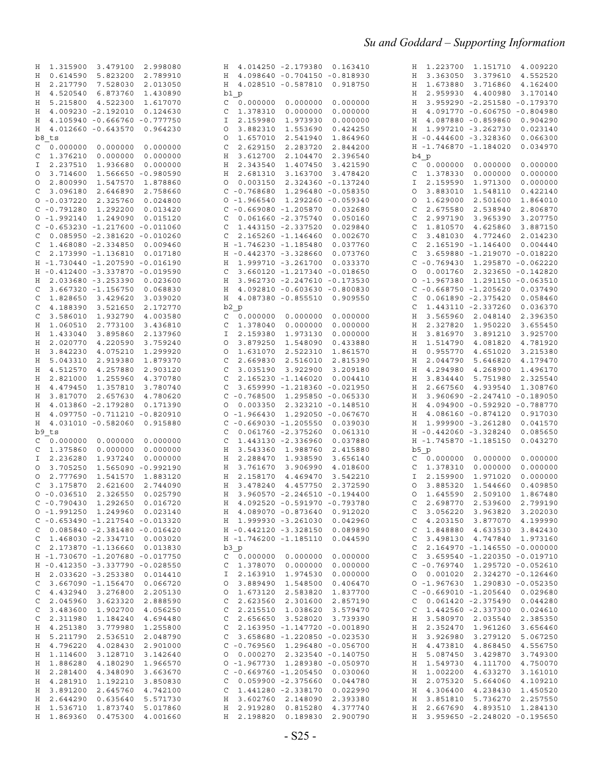| 1.315900<br>3.479100<br>2.998080<br>Н       | H 4.014250 -2.179380 0.163410             | H 1.223700 1.151710 4.009220                |
|---------------------------------------------|-------------------------------------------|---------------------------------------------|
| H 0.614590<br>5.823200<br>2.789910          | H 4.098640 -0.704150 -0.818930            | H 3.363050 3.379610<br>4.552520             |
| H 2.217790<br>7.528030<br>2.013050          | H 4.028510 -0.587810<br>0.918750          | H 1.673880<br>3.716860<br>4.162400          |
|                                             |                                           |                                             |
| H 4.520540<br>6.873760<br>1.430890          | b1 p                                      | H 2.959930 4.400980<br>3.170140             |
| H 5.215800<br>4.522300<br>1.617070          | 0.000000<br>0.000000<br>C<br>0.000000     | H 3.959290 -2.251580 -0.179370              |
| H 4.009230 -2.192010<br>0.124630            | 1.378310<br>0.000000<br>0.000000<br>C     | H 4.091770 -0.606750 -0.804980              |
| 4.105940 -0.666760 -0.777750<br>H           | 2.159980<br>1.973930<br>0.000000<br>Ι     | H 4.087880 -0.859860<br>0.904290            |
| H 4.012660 -0.643570<br>0.964230            | 3.882310<br>1.553690<br>0.424250<br>O     | H 1.997210 -3.262730<br>0.023140            |
| b8 ts                                       | 1.657010<br>2.541940<br>1.864960<br>O     | $H - 0.444600 - 3.328360$<br>0.066300       |
|                                             |                                           | 0.034970                                    |
| 0.000000<br>0.000000<br>0.000000<br>C       | 2.629150<br>2.283720<br>2.844200<br>C     | H -1.746870 -1.184020                       |
| 1.376210<br>0.000000<br>0.000000<br>C       | 3.612700<br>2.104470<br>2.396540<br>H     | b4 p                                        |
| 2.237510<br>1.936680<br>0.000000<br>I       | H 2.343540<br>1.407450<br>3.421590        | $C = 0.000000$<br>0.000000<br>0.000000      |
| 3.714600<br>1.566650 -0.980590<br>$\circ$   | 2.681310<br>3.163700<br>H<br>3.478420     | 0.000000<br>1.378330<br>0.000000<br>C       |
| 2.800990<br>1.547570<br>1.878860<br>$\circ$ | 0.003150<br>2.324360 -0.137240<br>$\circ$ | 2.159590<br>1.971300<br>0.000000<br>I       |
| 3.096180<br>2.646890<br>2.758660<br>C       | $C - 0.768680$<br>1.296480 -0.058350      | 3.883010<br>1.548110<br>0.422140<br>O       |
|                                             |                                           |                                             |
| $0 - 0.037220$ 2.325760<br>0.024800         | $0 - 1.966540$ 1.292260 -0.059340         | 1.629000<br>2.501600<br>1.864010<br>0       |
| $C - 0.791280$<br>1.292200<br>0.013420      | $C - 0.669080 - 1.205870$<br>0.032680     | 2.675580<br>2.538940<br>2.806870<br>C       |
| $0 - 1.992140 1.249090$<br>0.015120         | $C$ 0.061660 -2.375740<br>0.050160        | 2.997190 3.965390<br>3.207750<br>C          |
| $C - 0.653230 - 1.217600 - 0.011060$        | $C$ 1.443150 -2.337520<br>0.029840        | 1.810570<br>4.625860<br>3.887150<br>C       |
| 0.085950 -2.381620 -0.010260<br>C           | $C$ 2.165260 -1.146460<br>0.002670        | 3.481030 4.772460<br>2.014230<br>C          |
| 1.468080 -2.334850<br>0.009460<br>C         | H -1.746230 -1.185480<br>0.037760         | 2.165190 -1.146400<br>0.004440<br>C         |
|                                             |                                           |                                             |
| 2.173990 -1.136810<br>0.017180<br>C         | H -0.442370 -3.328660<br>0.073760         | 3.659880 -1.219070 -0.018220<br>C           |
| H -1.730440 -1.207590 -0.016190             | H 1.999710 -3.261700<br>0.033370          | $C - 0.769430$ 1.295870 -0.062220           |
| H -0.412400 -3.337870 -0.019590             | 3.660120 -1.217340 -0.018650<br>C         | 0.001760 2.323650 -0.142820<br>0            |
| H 2.033680 -3.253390<br>0.023600            | 3.962730 -2.247610 -0.173530<br>Η         | $0 - 1.967380 1.291150 - 0.063510$          |
| 3.667320 -1.156750<br>0.068830<br>C         | H 4.092810 -0.603630 -0.800830            | $C - 0.668750 - 1.205620$<br>0.037490       |
| 1.828650<br>3.429620<br>3.039020<br>C       | H 4.087380 -0.855510 0.909550             | $0.061890 -2.375420$<br>0.058460<br>C       |
|                                             |                                           |                                             |
| 4.188390 3.521650<br>2.172770<br>C          | b2 p                                      | 1.443110 -2.337260<br>0.036370<br>C         |
| 3.586010<br>1.932790<br>4.003580<br>C       | $C = 0.000000$<br>0.000000<br>0.000000    | H<br>3.565960 2.048140<br>2.396350          |
| H 1.060510 2.773100<br>3.436810             | 1.378040<br>0.000000<br>0.000000<br>C     | H<br>2.327820 1.950220<br>3.655450          |
| 1.433040<br>3.895860<br>2.137960<br>H       | 2.159380<br>1.973130<br>0.000000<br>I.    | 3.816970<br>3.925700<br>H<br>3.891210       |
| H 2.020770<br>4.220590<br>3.759240          | 3.879250<br>1.548090<br>0.433880<br>O     | 1.514790 4.081820<br>4.781920<br>Η          |
|                                             | 1.631070                                  | H                                           |
| 4.075210<br>H 3.842230<br>1.299920          | 2.522310<br>1.861570<br>0                 | 0.955770<br>4.651020<br>3.215380            |
| 5.043310 2.919380<br>1.879370<br>H          | 2.669830<br>2.516010 2.815390<br>C        | 2.044790<br>5.646820<br>4.179470<br>H       |
| H 4.512570<br>4.257880<br>2.903120          | 3.922900<br>C<br>3.035190<br>3.209180     | 4.294980<br>4.268900<br>1.496170<br>H       |
| H 2.821000<br>1.255960<br>4.370780          | 2.165230 -1.146020<br>C<br>0.004410       | H 3.834440 5.751980<br>2.325540             |
| 1.357810<br>H 4.479450<br>3.780740          | 3.659990 -1.218360 -0.021950<br>C         | H 2.667560<br>4.939540<br>1.308760          |
| H 3.817070<br>2.657630<br>4.780620          | $C - 0.768500 1.295850 - 0.065330$        | H 3.960690 -2.247410 -0.189050              |
|                                             |                                           |                                             |
| H 4.013860 -2.179280<br>0.171390            | 2.323210 -0.148510<br>0.003350<br>$\circ$ | H 4.094900 -0.592920 -0.788770              |
| 4.097750 -0.711210 -0.820910<br>Н           | $0 - 1.966430 1.292050 - 0.067670$        | H 4.086160 -0.874120 0.917030               |
| H 4.031010 -0.582060<br>0.915880            | $C - 0.669030 - 1.205550$<br>0.039030     | H 1.999900 -3.261280<br>0.041570            |
| b9 ts                                       | 0.061760 -2.375260<br>C<br>0.061310       | H -0.442060 -3.328240<br>0.085650           |
| 0.000000<br>0.000000<br>0.000000<br>C       | 1.443130 -2.336960<br>C<br>0.037880       | H -1.745870 -1.185150<br>0.043270           |
| 1.375860<br>0.000000<br>0.000000<br>C       | H 3.543360 1.988760<br>2.415880           | $b5$ p                                      |
| 2.236280<br>0.000000<br>I.<br>1.937240      | H 2.288470 1.938590                       | $C = 0.000000$<br>0.000000<br>0.000000      |
|                                             | 3.656140                                  |                                             |
| 3.705250<br>1.565090 -0.992190<br>$\circ$   | H 3.761670<br>3.906990<br>4.018600        | 1.378310<br>0.000000<br>0.000000<br>C       |
| 2.777690<br>1.541570<br>1.883120<br>$\circ$ | H 2.158170<br>4.469470<br>3.542210        | 2.159900<br>1.971020<br>0.000000<br>I       |
| C<br>3.175870<br>2.621600<br>2.744090       | H 3.478240<br>4.457750<br>2.372590        | $\circ$<br>3.885320<br>1.544660<br>0.409850 |
| $0 - 0.036510$<br>2.326550<br>0.025790      | H 3.960570 -2.246510 -0.194400            | 1.645590<br>2.509100<br>1.867480<br>0       |
| $C - 0.790430$ 1.292650 0.016720            | H 4.092520 -0.591970 -0.793780            | C 2.698770 2.539600 2.799190                |
|                                             |                                           | C 3.056220 3.963820 3.202030                |
| $0 - 1.991250$ 1.249960 0.023140            | H 4.089070 -0.873640 0.912020             |                                             |
| $C - 0.653490 - 1.217540 - 0.013320$        | H 1.999930 -3.261030 0.042960             | C 4.203150 3.877070 4.199990                |
| $C$ 0.085840 -2.381480 -0.016420            | H -0.442120 -3.328150 0.089890            | C 1.848880 4.633530 3.842430                |
| 1.468030 -2.334710 0.003020<br>C            | H -1.746200 -1.185110 0.044590            | C 3.498130 4.747840 1.973160                |
| $C$ 2.173870 -1.136660 0.013830             | b3 p                                      | $C$ 2.164970 -1.146550 -0.000000            |
| H -1.730670 -1.207680 -0.017750             | $C$ 0.000000 0.000000 0.000000            | $C$ 3.659540 -1.220350 -0.019710            |
|                                             | $C$ 1.378070 0.000000 0.000000            | $C - 0.769740$ 1.295720 -0.052610           |
| H -0.412350 -3.337790 -0.028550             |                                           |                                             |
| H 2.033620 -3.253380 0.014410               | I 2.163910 1.974530 0.000000              | $0$ $0.001020$ $2.324270 -0.126460$         |
| $C$ 3.667090 -1.156470 0.066720             | 0 3.889490 1.548500 0.406470              | $0 - 1.967630 1.290830 - 0.052350$          |
| 4.432940 3.276800 2.205130<br>C             | 0 1.673120 2.583820 1.837700              | $C - 0.669010 - 1.205640 0.029680$          |
| 2.045960 3.623320 2.888590<br>C             | C 2.623560 2.301600 2.857190              | $C$ 0.061420 -2.375490 0.044280             |
| 3.483600 1.902700 4.056250<br>C             | C 2.215510 1.038620 3.579470              | C 1.442560 -2.337300 0.024610               |
| C 2.311980 1.184240 4.694480                | C 2.656650 3.528020 3.739390              | H 3.580970 2.035540 2.385350                |
| H 4.251380 3.779980 1.255800                |                                           | H 2.352470 1.961260 3.656460                |
|                                             | $C$ 2.163950 -1.147720 -0.001890          |                                             |
| H 5.211790 2.536510 2.048790                | $C$ 3.658680 -1.220850 -0.023530          | H 3.926980 3.279120 5.067250                |
| H 4.796220 4.028430 2.901000                | $C - 0.769560$ 1.296480 -0.056700         | H 4.473810 4.868450 4.556750                |
| H 1.114600 3.128710 3.142640                | $0$ 0.000270 2.323540 -0.140750           | H 5.087450 3.429870 3.749300                |
| H 1.886280 4.180290<br>1.966570             | $0 - 1.967730$ 1.289380 -0.050970         | H 1.549730 4.111700 4.750070                |
| H 2.281400 4.348090 3.663670                |                                           | H 1.002200 4.633270 3.161010                |
|                                             |                                           |                                             |
|                                             | $C - 0.669760 - 1.205450 0.030060$        |                                             |
| H 4.281910 1.192210<br>3.850830             | $C$ 0.059900 -2.375660 0.044780           | H 2.075320 5.664060 4.109210                |
| H 3.891200 2.645760 4.742100                | $C$ 1.441280 -2.338170 0.022990           | H 4.306400 4.238430 1.450520                |
| H 2.644290 0.635640 5.571730                | H 3.602760 2.148090 2.393380              | H 3.851810 5.736270 2.257550                |
| H 1.536710 1.873740 5.017860                | H 2.919280 0.815280 4.377740              | H 2.667690 4.893510 1.284130                |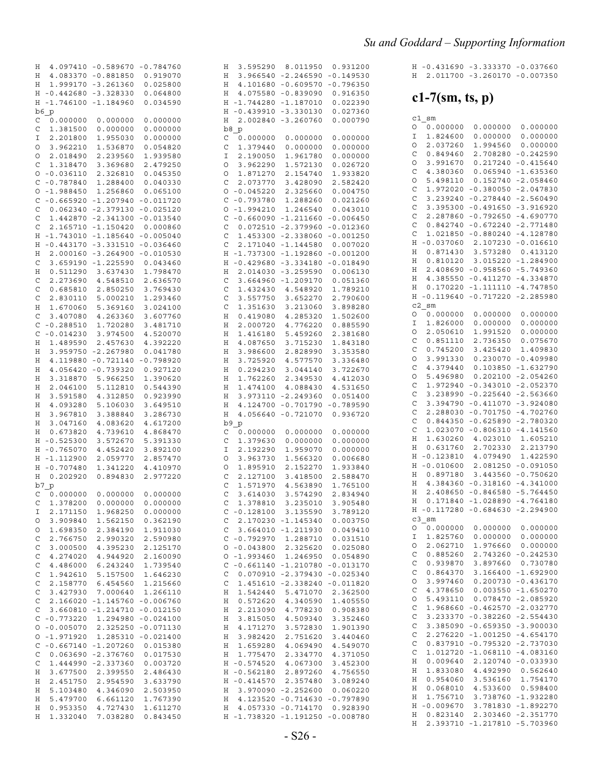|  | H -0.431690 -3.333370 -0.037660 |  |
|--|---------------------------------|--|
|  | H 2.011700 -3.260170 -0.007350  |  |

#### $c1-7$ (sm, ts, p)

| c1<br>sm                 |             |             |
|--------------------------|-------------|-------------|
| 0.000000<br>0            | 0.000000    | 0.000000    |
| I<br>1.824600            | 0.000000    | 0.000000    |
| O<br>2.037260            | 1.994560    | 0.000000    |
| C<br>0.849460            | 2.708280    | $-0.242590$ |
| O<br>3.991670            | 0.217240    | $-0.415640$ |
| C<br>4.380360            | 0.065940    | $-1.635360$ |
| O<br>5.498110            | 0.152740    | $-2.058460$ |
|                          |             |             |
| C<br>1.972020            | $-0.380050$ | $-2.047830$ |
| C<br>3.239240            | $-0.278440$ | $-2.560490$ |
| Ċ<br>3.395300            | $-0.491650$ | $-3.916920$ |
| C<br>2.287860            | $-0.792650$ | $-4.690770$ |
| C<br>0.842740            | $-0.672240$ | $-2.771480$ |
| C<br>1.021850            | $-0.880240$ | $-4.128780$ |
| $-0.037060$<br>Η         | 2.107230    | $-0.016610$ |
| 0.871430<br>Η            | 3.573280    | 0.413120    |
| 0.810120<br>Η            | 3.015220    | $-1.284900$ |
| 2.408690<br>Η            | $-0.958560$ | $-5.749360$ |
| 4.385550<br>Η            | $-0.411270$ | $-4.334870$ |
| 0.170220<br>Η            | -1.111110   | $-4.747850$ |
| $-0.119640$<br>Η         | $-0.717220$ | $-2.285980$ |
| c2<br>sm                 |             |             |
| О<br>0.000000            | 0.000000    | 0.000000    |
| I<br>1.826000            | 0.000000    | 0.000000    |
| O<br>2.050610            | 1.991520    | 0.000000    |
| C<br>0.851110            | 2.736350    | 0.075670    |
| C<br>0.745200            | 3.425420    | 1.409830    |
| O<br>3.991330            | 0.230070    | $-0.409980$ |
| 4.379440                 |             | $-1.632790$ |
| C                        | 0.103850    |             |
| O<br>5.496980            | 0.202100    | $-2.054260$ |
| 1.972940<br>C            | $-0.343010$ | $-2.052370$ |
| C<br>3.238990            | $-0.225640$ | $-2.563660$ |
| C<br>3.394790            | $-0.411070$ | $-3.924080$ |
| C<br>2.288030            | $-0.701750$ | $-4.702760$ |
| C<br>0.844350            | $-0.625890$ | $-2.780320$ |
| C<br>1.023070            | $-0.806310$ | $-4.141560$ |
| 1.630260<br>Η            | 4.023010    | 1.605210    |
| 0.631760<br>Η            | 2.702330    | 2.213790    |
| $-0.123810$<br>Η         | 4.079490    | 1.422590    |
| $-0.010600$<br>Η         | 2.081250    | $-0.091050$ |
| 0.897180<br>Η            | 3.443560    | $-0.750620$ |
| 4.384360<br>Η            | $-0.318160$ | $-4.341000$ |
| 2.408650<br>Η            | $-0.846580$ | $-5.764450$ |
| 0.171840<br>Η            | $-1.028890$ | $-4.764180$ |
| $-0.117280$<br>Η         | $-0.684630$ | $-2.294900$ |
| C <sub>3</sub><br>sm     |             |             |
| О<br>0.000000            | 0.000000    | 0.000000    |
| 1.825760                 | 0.000000    | 0.000000    |
| I                        |             |             |
| O<br>2.062710            | 1.976660    | 0.000000    |
| C<br>0.885260            | 2.743260    | $-0.242530$ |
| C<br>0.939870            | 3.897660    | 0.730780    |
| $\mathsf{C}$<br>0.864370 | 3.166400    | -1.692900   |
| O<br>3.997460            | 0.200730    | $-0.436170$ |
| $\mathsf{C}$<br>4.378650 | 0.003550    | $-1.650270$ |
| $\circ$<br>5.493110      | 0.078470    | $-2.085920$ |
| $\mathsf{C}$<br>1.968660 | $-0.462570$ | $-2.032770$ |
| $\mathsf{C}$<br>3.233370 | $-0.382260$ | $-2.554430$ |
| $\mathbf{C}$<br>3.385090 | $-0.659350$ | $-3.900030$ |
| $\mathsf{C}$<br>2.276220 | -1.001250   | -4.654170   |
| $\mathsf{C}$<br>0.837910 | $-0.795320$ | $-2.737030$ |
| C<br>1.012720            | $-1.068110$ | $-4.083160$ |
| Η<br>0.009640            | 2.120740    | $-0.033930$ |
| Η<br>1.833080            | 4.492990    | 0.562640    |
| Η<br>0.954060            | 3.536160    | 1.754170    |
| Η                        | 4.533600    | 0.598400    |
| 0.068010                 |             |             |
| Η<br>1.756710            | 3.738760    | $-1.932280$ |
| Η<br>$-0.009670$         | 3.781830    | $-1.892270$ |
| Η<br>0.823140            | 2.303460    | $-2.351770$ |
| 2.393710<br>Η            | -1.217810   | $-5.703960$ |

| Η           |                | 4.097410 -0.589670 -0.784760      |                    | Η           | 3.595290                        | 8.011950                     | 0.931200    |
|-------------|----------------|-----------------------------------|--------------------|-------------|---------------------------------|------------------------------|-------------|
| Η           |                | 4.083370 -0.881850                | 0.919070           | Η           |                                 | 3.966540 -2.246590 -0.149530 |             |
|             |                |                                   |                    |             |                                 |                              |             |
| Η           |                | 1.999170 -3.261360                | 0.025800           | Η           |                                 | 4.101680 -0.609570           | $-0.796350$ |
|             |                | H -0.442680 -3.328330             | 0.064800           | Η           |                                 | 4.075580 -0.839090           | 0.916350    |
|             |                |                                   |                    |             |                                 |                              |             |
|             |                | H -1.746100 -1.184960             | 0.034590           |             | H -1.744280 -1.187010           |                              | 0.022390    |
|             | b6 p           |                                   |                    | Η           | $-0.439910 -3.330130$           |                              | 0.027360    |
| C           | 0.000000       | 0.000000                          | 0.000000           | Η           |                                 | 2.002840 -3.260760           | 0.000790    |
|             |                |                                   |                    |             |                                 |                              |             |
| C           | 1.381500       | 0.000000                          | 0.000000           |             | b8 p                            |                              |             |
| Ι           | 2.201800       | 1.955030                          | 0.000000           | C           | 0.000000                        | 0.000000                     | 0.000000    |
| O           | 3.962210       | 1.536870                          | 0.054820           | C           | 1.379440                        | 0.000000                     | 0.000000    |
|             |                |                                   |                    |             |                                 |                              |             |
| O           | 2.018490       | 2.239560                          | 1.939580           | I           | 2.190050                        | 1.961780                     | 0.000000    |
| C           | 1.318470       | 3.369680                          | 2.479250           | O           | 3.962290                        | 1.572130                     | 0.026720    |
| O           | $-0.036110$    | 2.326810                          | 0.045350           | O           | 1.871270                        | 2.154740                     | 1.933820    |
|             |                |                                   |                    |             |                                 |                              |             |
|             | $C - 0.787840$ | 1.288400                          | 0.040330           | C           | 2.073770                        | 3.428090                     | 2.582420    |
| O           | $-1.988450$    | 1.256860                          | 0.065100           | O           | $-0.045220$                     | 2.325660                     | 0.004750    |
|             |                |                                   |                    | C           | $-0.793780$                     | 1.288260                     |             |
| C           |                | -0.665920 -1.207940 -0.011720     |                    |             |                                 |                              | 0.021260    |
| C           |                | $0.062340 -2.379130$              | $-0.025120$        | O           | $-1.994210$                     | 1.246540                     | 0.043010    |
| C           |                | 1.442870 -2.341300 -0.013540      |                    | C           | $-0.660090 -1.211660$           |                              | $-0.006450$ |
|             |                |                                   |                    |             |                                 |                              |             |
| C           |                | 2.165710 -1.150420                | 0.000860           | C           |                                 | $0.072510 - 2.379960$        | $-0.012360$ |
| H.          |                | $-1.743010 - 1.185640 - 0.005040$ |                    | C           |                                 | 1.453300 -2.338060           | $-0.001250$ |
| Η           |                | $-0.443170 -3.331510 -0.036460$   |                    | C           |                                 | 2.171040 -1.144580           | 0.007020    |
|             |                |                                   |                    |             |                                 |                              |             |
| Η           |                | 2.000160 -3.264900 -0.010530      |                    |             | H -1.737300 -1.192860           |                              | $-0.001200$ |
| C           |                | 3.659190 -1.225590                | 0.043460           | Η           | $-0.429680 -3.334180$           |                              | $-0.018490$ |
|             | 0.511290       | 3.637430                          | 1.798470           | Η           |                                 | 2.014030 -3.259590           | 0.006130    |
| Η           |                |                                   |                    |             |                                 |                              |             |
| C           | 2.273690       | 4.548510                          | 2.636570           | C           |                                 | 3.664960 -1.209170           | 0.051360    |
| C           | 0.685810       | 2.850250                          | 3.769430           | C           | 1.432430                        | 4.548920                     | 1.789210    |
|             |                |                                   |                    |             |                                 |                              |             |
| C           | 2.830110       | 5.000210                          | 1.293460           | C           | 3.557750                        | 3.652270                     | 2.790600    |
| Η           | 1.670060       | 5.369160                          | 3.024100           | C           | 1.351630                        | 3.213060                     | 3.898280    |
| C           | 3.407080       | 4.263360                          | 3.607760           | Η           | 0.419080                        | 4.285320                     | 1.502600    |
|             |                |                                   |                    |             |                                 |                              |             |
| C           | $-0.288510$    | 1.720280                          | 3.481710           | Η           | 2.000720                        | 4.776220                     | 0.885590    |
| C           | $-0.014230$    | 3.974500                          | 4.520070           | Η           | 1.416180                        | 5.459260                     | 2.381680    |
| Η           | 1.489590       | 2.457630                          | 4.392220           | Η           | 4.087650                        | 3.715230                     | 1.843180    |
|             |                |                                   |                    |             |                                 |                              |             |
| Η           | 3.959750       | $-2.267980$                       | 0.041780           | Η           | 3.986600                        | 2.828990                     | 3.353580    |
| Η           | 4.119880       | $-0.721140$                       | $-0.798920$        | Η           | 3.725920                        | 4.577570                     | 3.336480    |
| Η           | 4.056420       | $-0.739320$                       | 0.927120           | Η           | 0.294230                        | 3.044140                     | 3.722670    |
|             |                |                                   |                    |             |                                 |                              |             |
| Η           | 3.318870       | 5.966250                          | 1.390620           | Η           | 1.762260                        | 2.349530                     | 4.412030    |
| Η           | 2.046100       | 5.112810                          | 0.544390           | Η           | 1.474100                        | 4.088430                     | 4.531650    |
| Η           | 3.591580       | 4.312850                          | 0.923990           | Η           |                                 | 3.973110 -2.249360           | 0.051400    |
|             |                |                                   |                    |             |                                 |                              |             |
| Η           | 4.093280       | 5.106030                          | 3.649510           | Η           |                                 | 4.124700 -0.701790           | $-0.789590$ |
| Η           | 3.967810       | 3.388840                          | 3.286730           | Η           |                                 | 4.056640 -0.721070           | 0.936720    |
| Η           | 3.047160       | 4.083620                          | 4.617200           |             | b9 p                            |                              |             |
| Η           |                | 4.739610                          | 4.868470           |             |                                 |                              |             |
|             | 0.673820       |                                   |                    | C           | 0.000000                        | 0.000000                     | 0.000000    |
|             | H -0.525300    | 3.572670                          | 5.391330           | C           | 1.379630                        | 0.000000                     | 0.000000    |
|             | H -0.765070    | 4.452420                          | 3.892100           | Ι           | 2.192290                        | 1.959070                     | 0.000000    |
|             | H -1.112900    | 2.059770                          | 2.857470           | O           | 3.963730                        | 1.566320                     | 0.006680    |
|             |                |                                   |                    |             |                                 |                              |             |
|             | H -0.707480    | 1.341220                          | 4.410970           | O           | 1.895910                        | 2.152270                     | 1.933840    |
| Η           | 0.202920       | 0.894830                          | 2.977220           | C           | 2.127100                        | 3.418500                     | 2.588470    |
|             | b7 p           |                                   |                    | C           | 1.571970                        | 4.563890                     | 1.765100    |
|             |                |                                   |                    |             |                                 |                              |             |
| C           | 0.000000       | 0.000000                          | 0.000000           | $\mathsf C$ | 3.614030                        | 3.574290                     | 2.834940    |
| C           | 1.378200       | 0.000000                          | 0.000000           | C           | 1.378810                        | 3.235010                     | 3.905480    |
| Ι           | 2.171150       | 1.968250                          | 0.000000           |             | $C - 0.128100$                  | 3.135590                     | 3.789120    |
|             |                |                                   |                    |             |                                 |                              |             |
| O           | 3.909840       | 1.562150                          | 0.362190           | C           |                                 | 2.170230 -1.145340           | 0.003750    |
| O           | 1.698350       | 2.384190                          | 1.911030           | C           |                                 | 3.664010 -1.211930           | 0.049410    |
|             | 2.766750       |                                   |                    |             | $C - 0.792970$                  | 1.288710                     |             |
| C           |                | 2.990320                          | 2.590980           |             |                                 |                              | 0.031510    |
| C           | 3.000500       | 4.395230                          | 2.125170           |             | $0 - 0.043800$                  | 2.325620                     | 0.025080    |
| C           | 4.274020       | 4.944920                          | 2.160090           |             | $0 - 1.993460$                  | 1.246950                     | 0.054890    |
|             |                | 6.243240                          |                    |             |                                 |                              |             |
| C           | 4.486000       |                                   | 1.739540           | C           | $-0.661140 -1.210780$           |                              | $-0.013170$ |
| C           | 1.942610       | 5.157500                          | 1.646230           | C           |                                 | 0.070910 -2.379430           | $-0.025340$ |
| C           | 2.158770       | 6.454560                          | 1.215660           | C           |                                 | 1.451610 -2.338240           | $-0.011820$ |
|             |                |                                   |                    |             |                                 | 5.471070                     |             |
| $\mathsf C$ | 3.427930       | 7.000640                          | 1.266110           | Η           | 1.542440                        |                              | 2.362500    |
| C           | 2.166020       | $-1.145760 - 0.006760$            |                    | Η           | 0.572620                        | 4.340590                     | 1.405550    |
| C           | 3.660810       | $-1.214710$                       | $-0.012150$        | Η           | 2.213090                        | 4.778230                     | 0.908380    |
|             | $C - 0.773220$ |                                   | 1.294980 -0.024100 | Η           | 3.815050                        | 4.509340                     | 3.352460    |
|             |                |                                   |                    |             |                                 |                              |             |
| $\circ$     | $-0.005070$    |                                   | 2.325250 -0.071130 | Η           | 4.171270                        | 3.572830                     | 1.901390    |
|             | $0 - 1.971920$ |                                   | 1.285310 -0.021400 | Η           | 3.982420                        | 2.751620                     | 3.440460    |
|             |                | $C - 0.667140 - 1.207260$         | 0.015380           | Η           | 1.659280                        | 4.069490                     | 4.549070    |
|             |                |                                   |                    |             |                                 |                              |             |
| C           |                | 0.063690 -2.376760                | 0.017530           | Η           | 1.775470                        | 2.334770                     | 4.371050    |
| C           |                | 1.444990 -2.337360                | 0.003720           |             | H -0.574520                     | 4.067300                     | 3.452300    |
| Η           | 3.677500       | 2.399550                          | 2.486430           |             | H -0.562180                     | 2.897260                     | 4.756550    |
|             |                |                                   |                    |             |                                 |                              |             |
| Η           | 2.451750       | 2.954590                          | 3.633790           |             | H -0.414570                     | 2.357480                     | 3.089240    |
| Η           | 5.103480       | 4.346090                          | 2.503950           | Η           |                                 | 3.970090 -2.252600           | 0.060220    |
| Η           | 5.479700       | 6.661120                          | 1.767390           | Η           |                                 | 4.123520 -0.714630 -0.797890 |             |
| Η           | 0.953350       | 4.727430                          | 1.611270           | Η           |                                 | 4.057330 -0.714170           | 0.928390    |
|             |                |                                   |                    |             |                                 |                              |             |
| Η           | 1.332040       | 7.038280                          | 0.843450           |             | H -1.738320 -1.191250 -0.008780 |                              |             |
|             |                |                                   |                    |             |                                 |                              |             |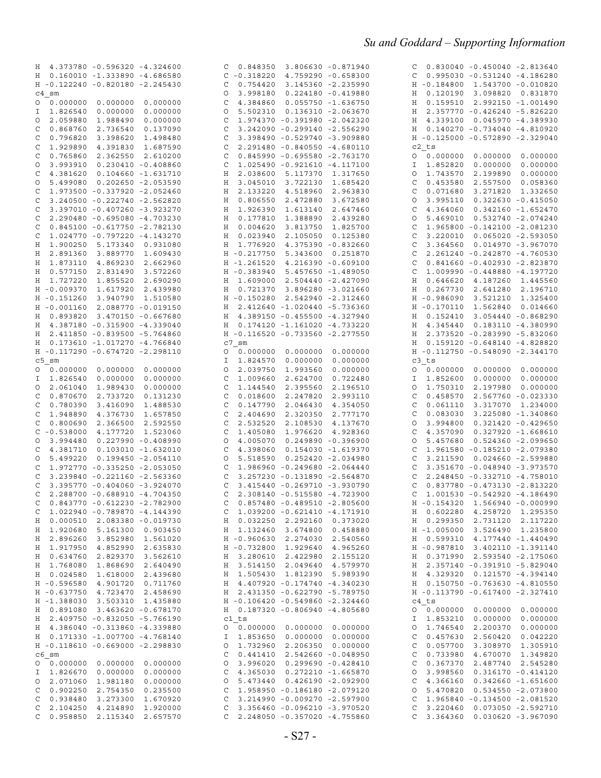| H 4.373780 -0.596320 -4.324600               | 0.848350<br>3.806630 -0.871940<br>C          | $0.830040 - 0.450040 - 2.813640$<br>C        |
|----------------------------------------------|----------------------------------------------|----------------------------------------------|
| H  0.160010 -1.333890 -4.686580              | $C - 0.318220$<br>4.759290 -0.658300         | $0.995030 - 0.531240 - 4.186280$<br>C        |
| H -0.122240 -0.820180 -2.245430              | 0.754420<br>3.145360 -2.235990<br>C          | H -0.184800 1.543700 -0.010820               |
| $c4$ sm                                      | 3.998180<br>$0.224180 - 0.419880$<br>O       | 0.120190 3.098820 0.831870<br>Η              |
| 0.000000<br>0.000000<br>0.000000<br>$\circ$  | 4.384860<br>$0.055750 - 1.636750$<br>C       | 0.159510 2.992150 -1.001490<br>Н             |
|                                              |                                              |                                              |
| 1.826540<br>0.000000<br>0.000000<br>I.       | 5.502310  0.136310  -2.063670<br>O           | 2.357770 -0.426240 -5.826220<br>Н            |
| 2.059880<br>1.988490<br>0.000000<br>$\circ$  | 1.974370 -0.391980 -2.042320<br>C            | 4.339100  0.045970 -4.389930<br>Н            |
| 0.868760<br>2.736540<br>0.137090<br>C        | 3.242090 -0.299140 -2.556290<br>C            | H  0.140270 -0.734040 -4.810920              |
| 0.796820<br>3.398620<br>1.498480<br>C        | 3.398490 -0.529740 -3.909880<br>C            | H -0.125000 -0.572890 -2.329040              |
| 1.929890<br>4.391830<br>1.687590<br>C        | 2.291480 -0.840550 -4.680110<br>C            | c2 ts                                        |
| 0.765860<br>2.362550<br>C<br>2.610200        | $0.845990 - 0.695580 - 2.763170$<br>C        | 0.000000<br>0.000000<br>0.000000<br>O        |
| 3.993910<br>$0.230410 - 0.408860$<br>0       | 1.025490 -0.921610 -4.117100<br>C            | 1.852820<br>0.000000<br>0.000000<br>I        |
| 4.381620<br>$0.104660 - 1.631710$<br>C       | 2.038600<br>5.117370 1.317650<br>Η           | 1.743570<br>2.199890<br>0.000000<br>O        |
| $0.202650 - 2.053590$<br>5.499080<br>0       | 3.045010<br>3.722130<br>1.685420<br>Η        | 0.453580<br>2.557500<br>0.058360<br>C        |
| 1.973500 -0.337920 -2.052460<br>C            | 4.518960<br>2.133220<br>2.963830<br>Η        | 0.071680<br>C<br>3.271820<br>1.332650        |
| 3.240500 -0.222740 -2.562820<br>C            | 0.806550<br>2.472880<br>Η<br>3.672580        | 3.995110<br>$0.322630 - 0.415050$<br>O       |
| 3.397010 -0.407260 -3.923270                 |                                              | 4.364060<br>$0.342160 - 1.652470$<br>C       |
| C                                            | 1.926390<br>1.613140 2.647460<br>Η           |                                              |
| 2.290480 -0.695080 -4.703230<br>C            | 0.177810<br>1.388890<br>Η<br>2.439280        | 5.469010<br>$0.532740 - 2.074240$<br>O       |
| $0.845100 - 0.617750 - 2.782130$<br>C        | Η<br>0.004620<br>3.813750<br>1.825700        | 1.965800 -0.142100 -2.081230<br>C            |
| 1.024770 -0.797220 -4.143270<br>C            | 0.023940<br>2.105050 0.125380<br>Η           | 3.220010<br>$0.065020 - 2.593050$<br>C       |
| 1.900250 5.173340 0.931080<br>Η              | 1.776920<br>4.375390 -0.832660<br>Η          | C<br>3.364560<br>0.014970 -3.967070          |
| 3.889770<br>2.891360<br>1.609430<br>Н        | H -0.217750<br>5.343600 0.251870             | C<br>2.261240 -0.242870 -4.760530            |
| 1.873110 4.869230<br>2.662960<br>Н           | H -1.261520<br>4.216390 -0.609100            | $0.841660 - 0.402930 - 2.823870$<br>C        |
| H 0.577150 2.831490<br>3.572260              | H -0.383940<br>5.457650 -1.489050            | 1.009990 -0.448880 -4.197720<br>C            |
| H 1.727220<br>1.855520<br>2.690290           | H 1.609000<br>2.504440 -2.427090             | Η<br>0.646620<br>4.187260 1.445560           |
| H -0.009370<br>1.617920<br>2.439980          | H 0.721370<br>3.896280 -3.021660             | 0.267730 2.641280 2.196710<br>Η              |
| H -0.151260<br>3.940790<br>1.510580          | H -0.150280 2.542940 -2.312460               | $H - 0.986090$<br>3.521210 1.325400          |
| $H - 0.001160$<br>2.088770 -0.019150         | H 2.412640 -1.020440 -5.736360               | $H - 0.170110$<br>1.562840  0.014660         |
| 3.470150 -0.667680<br>H 0.893820             | H 4.389150 -0.455500 -4.327940               | 3.054440 -0.868290<br>H 0.152410             |
| H 4.387180 -0.315900 -4.339040               | H 0.174120 -1.161020 -4.733220               |                                              |
|                                              |                                              | Η<br>4.345440<br>0.183110 -4.380990          |
| H 2.411850 -0.839500 -5.764860               | H -0.116520 -0.733560 -2.277550              | 2.373520 -0.283990 -5.832060<br>H            |
| H  0.173610 -1.017270 -4.766840              | c7 sm                                        | Н<br>$0.159120 - 0.648140 - 4.828820$        |
| H -0.117290 -0.674720 -2.298110              | 0.000000<br>0                                | H -0.112750 -0.548090 -2.344170              |
| $c5$ sm                                      | 0.000000<br>0.000000<br>1.824570<br>I        | c3 ts                                        |
| 0.000000<br>0.000000<br>0.000000             | 2.039750<br>1.993560<br>0.000000<br>O        | 0.000000<br>0.000000<br>0.000000<br>0        |
| 1.826540<br>0.000000<br>0.000000<br>I.       | 1.009660<br>2.624700<br>0.722480<br>C        | 1.852600<br>0.000000<br>0.000000<br>I        |
| 2.061040<br>1.989430<br>0.000000<br>$\circ$  | 2.395560<br>2.196510<br>C<br>1.144540        | 1.750310<br>2.197980<br>0.000000<br>O        |
| 0.870670<br>2.733720<br>C<br>0.131230        | C<br>0.018600<br>2.247820<br>2.993110        | 0.458570<br>2.567760 -0.023330<br>C          |
| 0.780390<br>3.416090<br>1.488530<br>C        | 0.147790<br>C<br>2.046430<br>4.354050        | 0.061110<br>3.317070 1.234000<br>C           |
| 1.948890<br>4.376730<br>C<br>1.657850        | 2.320350<br>C<br>2.404690<br>2.777170        | C<br>0.083030<br>3.225080 -1.340860          |
| 0.800690<br>2.366500<br>2.592550<br>C        | 2.532520<br>2.108530<br>4.137670<br>C        | 3.994800<br>$0.321420 - 0.429650$<br>O       |
| $C - 0.538000$<br>4.177720<br>1.523060       | 1.976620<br>C<br>1.405080<br>4.928360        | C<br>4.357090<br>$0.327920 - 1.668610$       |
| 3.994480<br>$0.227990 - 0.408990$<br>$\circ$ | 4.005070<br>$0.249890 - 0.396900$<br>O       | 5.457680<br>$0.524360 - 2.099650$<br>$\circ$ |
| 0.103010 -1.632010<br>4.381710<br>C          | C<br>4.398060<br>$0.154030 - 1.619370$       | 1.961580 -0.185210 -2.079380<br>C            |
| 5.499220<br>$0.199450 - 2.054110$<br>$\circ$ | 5.518590<br>$0.252420 - 2.034980$<br>$\circ$ | 0.024660 -2.599880<br>C<br>3.211590          |
|                                              |                                              |                                              |
| 1.972770 -0.335250 -2.053050<br>C            | 1.986960 -0.249680 -2.064440<br>C            | 3.351670 -0.048940 -3.973570<br>C            |
| 3.239840 -0.221160 -2.563360<br>C            | 3.257230 -0.131890 -2.564870<br>C            | 2.248450 -0.332710 -4.758010<br>C            |
| 3.395770 -0.404060 -3.924070<br>C            | 3.415440 -0.269710 -3.930790<br>C            | C<br>$0.837780 - 0.473130 - 2.813220$        |
| 2.288700 -0.688910 -4.704350<br>C            | $\mathsf{C}$<br>2.308140 -0.515580 -4.723900 | 1.001530 -0.542920 -4.186490<br>C            |
| $C$ 0.843770 -0.612230 -2.782900             | $C$ 0.857480 -0.489510 -2.805600             | H -0.154320 1.566940 -0.000990               |
| 1.022940 -0.789870 -4.144390<br>C            | $C$ 1.039200 -0.621410 -4.171910             | H 0.602280 4.258720 1.295350                 |
| H 0.000510 2.083380 -0.019730                | H 0.032250 2.292160 0.373020                 | H 0.299350 2.731120 2.117220                 |
| H 1.920680 5.161300 0.903450                 | H 1.132460 3.674800 0.458880                 | H -1.005000 3.526490 1.235800                |
| H 2.896260 3.852980 1.561020                 | H -0.960630 2.274030 2.540560                | H  0.599310  4.177440  - 1.440490            |
| H 1.917950 4.852990 2.635830                 | H -0.732800 1.929640 4.965260                | H -0.987810 3.402110 -1.391140               |
| H 0.634760 2.829370<br>3.562610              | H 3.280610 2.422980 2.155120                 | H  0.371990  2.593540 -2.175060              |
| H 1.768080 1.868690 2.640490                 | H 3.514150 2.049640 4.579970                 | H 2.357140 -0.391910 -5.829040               |
| H  0.024580  1.618000  2.439680              | H 1.505430 1.812390 5.989390                 | H 4.329320 0.121570 -4.394140                |
| H -0.596580 4.901720 0.711760                | H 4.407920 -0.174740 -4.340230               | H 0.150750 -0.763630 -4.810550               |
| H -0.637750 4.723470 2.458690                | H 2.431350 -0.622790 -5.789750               | H -0.113790 -0.617400 -2.327410              |
|                                              |                                              |                                              |
| H -1.388030 3.503310 1.435880                | H -0.106420 -0.549860 -2.324460              | c4 ts                                        |
| H  0.891080  3.463620 -0.678170              | H  0.187320 -0.806940 -4.805680              | 0 0.000000 0.000000 0.000000                 |
| H 2.409750 -0.832050 -5.766190               | c1 ts                                        | I 1.853210 0.000000 0.000000                 |
| H 4.386040 -0.313860 -4.339880               |                                              | 0 1.746540 2.200370<br>0.000000              |
| H  0.171330 -1.007700 -4.768140              | I 1.853650 0.000000 0.000000                 | $C$ 0.457630 2.560420 0.042220               |
| H -0.118610 -0.669000 -2.298830              | 1.732960 2.206350 0.000000<br>$\circ$        | 0.057700 3.308970 1.305910<br>$\mathsf{C}$   |
| $c6$ sm                                      | $C$ 0.441410 2.542660 -0.048950              | 0.733980 4.670070 1.349820<br>$\mathsf{C}$   |
|                                              | 3.996020  0.299690 -0.428410<br>O            | 0.367370 2.487740 2.545280<br>C              |
| I 1.826670 0.000000 0.000000                 | $C$ 4.365030 0.272210 -1.665870              | 3.998560  0.316170 -0.414120<br>$\circ$      |
| 0 2.071060 1.981180 0.000000                 | 5.473440  0.426190  -2.092900<br>$\circ$     | 4.366160  0.342660 -1.651600<br>C            |
| $C$ 0.902250 2.754350 0.235500               | $C$ 1.958950 -0.186180 -2.079120             | 0 5.470820 0.534550 -2.073800                |
| $C$ 0.938480 3.273300<br>1.670920            | 3.214990 -0.009270 -2.597900<br>C            | $C$ 1.965840 -0.134500 -2.081520             |
| C 2.104250 4.214890 1.920000                 | $C$ 3.356460 -0.096210 -3.970520             | $C$ 3.220460 0.073050 -2.592710              |
| C 0.958850 2.115340 2.657570                 | $C$ 2.248050 -0.357020 -4.755860             | $C$ 3.364360 0.030620 -3.967090              |
|                                              |                                              |                                              |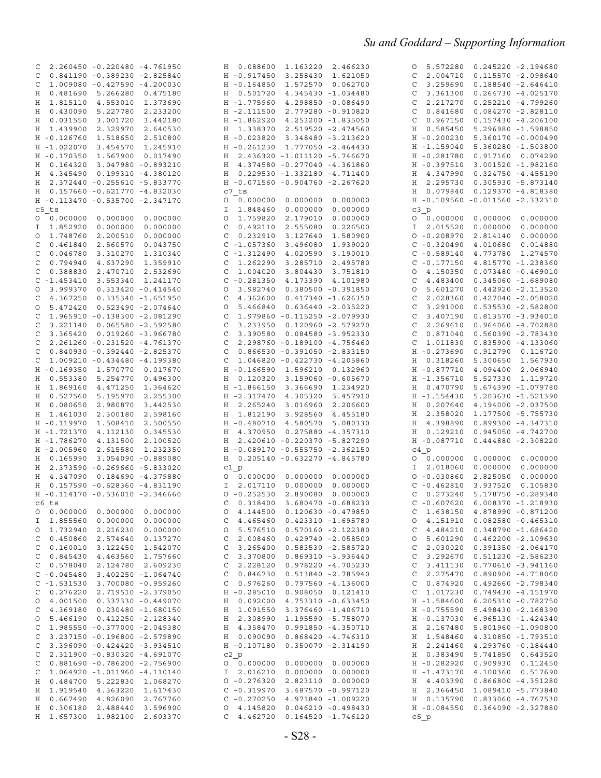| 2.260450 -0.220480 -4.761950<br>C            | H 0.088600 1.163220 2.466230           | 5.572280  0.245220 -2.194680<br>O      |
|----------------------------------------------|----------------------------------------|----------------------------------------|
| $0.841190 - 0.389230 - 2.825840$<br>C        | H - 0.917450 3.258430<br>1.621050      | 2.004710<br>$0.115570 - 2.098640$<br>C |
| 1.009080 -0.427590 -4.200030<br>C            | H - 0.164850 1.572570<br>0.062700      | 3.259690<br>C<br>$0.188540 - 2.646410$ |
| 5.266280<br>Η<br>0.481690<br>0.475180        | H 0.501720 4.345430 -1.034480          | 3.361300<br>$0.264730 -4.025170$<br>C  |
| 1.815110<br>4.553010<br>1.373690<br>Η        | H -1.775960<br>4.298850 -0.086490      | 2.217270<br>$0.252210 -4.799260$<br>C  |
| 0.430090<br>5.227780<br>2.233200<br>Η        | H -2.111500<br>2.779280 -0.910820      | 0.841680<br>$0.084270 - 2.828110$<br>C |
| 0.031550<br>3.001720<br>3.442180<br>Η        | H -1.862920<br>4.253200 -1.835050      | 0.967150<br>$0.157430 -4.206100$<br>C  |
| H 1.439900<br>2.329970<br>2.640530           | H 1.338370 2.519520 -2.474560          | 0.585450<br>5.296980 -1.598850<br>Η    |
| $H - 0.126760$<br>1.518650<br>2.510800       | $H - 0.023820$<br>3.348480 -3.213620   | $H - 0.200230$<br>5.360170 -0.000490   |
| H -1.022070<br>1.245910<br>3.454570          | H -0.261230 1.777050 -2.464430         | H -1.159040<br>5.360280 -1.503800      |
| H -0.170350<br>1.567900<br>0.017490          | H 2.436320 -1.011120 -5.746670         | $H - 0.281780$<br>0.917160 0.074290    |
| H 0.164320<br>3.047980 -0.893210             | H 4.374580 -0.277040 -4.361860         | $H - 0.397510$<br>3.001520 -1.982160   |
| 0.199310 -4.380120<br>Η<br>4.345490          | H  0.229530 -1.332180 -4.711400        | H 4.347990<br>$0.324750 -4.455190$     |
| H 2.372440 -0.255610 -5.833770               | H -0.071560 -0.904760 -2.267620        | H 2.295730<br>0.305930 -5.873140       |
| 0.157660 -0.621770 -4.832030<br>Η            | c7 ts                                  | 0.129370 -4.818380<br>0.079840<br>Η    |
| H -0.113470 -0.535700 -2.347170              | 0.000000<br>0.000000<br>0.000000       | H -0.109560 -0.011560 -2.332310        |
| c5 ts                                        | 0.000000<br>0.000000<br>I<br>1.848460  | $c3$ $p$                               |
| 0.000000<br>0.000000<br>0.000000<br>0        | 1.759820<br>2.179010<br>0.000000<br>0  | 0 0.000000<br>0.000000<br>0.000000     |
| 1.852920<br>0.000000<br>0.000000<br>I        | 0.492110<br>2.555080<br>0.226500<br>C  | 0.000000<br>0.000000<br>2.015520<br>Ι. |
| 1.748760<br>2.200510<br>0.000000<br>$\circ$  | 0.232910<br>3.127640<br>C<br>1.580900  | $0 - 0.208970$<br>2.814140<br>0.000000 |
| 0.461840<br>2.560570<br>C<br>0.043750        | $C - 1.057360$<br>3.496080<br>1.939020 | $C - 0.320490$<br>4.010680<br>0.014880 |
| 0.046780<br>3.310270<br>1.310340<br>C        | $C - 1.312490$<br>4.020590<br>3.190010 | $C - 0.589140$<br>4.773780<br>1.274570 |
| 0.794940<br>4.637290<br>1.359910<br>C        | 1.262290<br>3.285710<br>2.495780<br>C  | $C - 0.177150$<br>4.815770 -1.238360   |
| 0.388830<br>2.470710<br>2.532690<br>C        | 1.004020 3.804430<br>3.751810<br>C     | 4.150350<br>$0.073480 - 0.469010$<br>O |
| $C - 1.453410$<br>3.553340<br>1.241170       | $C - 0.281350$<br>4.173390<br>4.101980 | 4.483400<br>$0.345060 - 1.689080$<br>C |
| 3.999370<br>$0.313420 - 0.414540$<br>O       | 3.982740  0.380500 -0.391850<br>0      | 5.601270<br>$0.442920 - 2.113520$<br>O |
| 4.367250<br>C<br>$0.335340 -1.651950$        | 4.362600  0.417340  -1.626350<br>C     | 2.028360<br>$0.427040 - 2.058020$<br>C |
| 5.472420<br>$0.523490 - 2.074640$<br>$\circ$ | 5.466840<br>$0.636440 - 2.035220$<br>O | 3.291000<br>0.535530 -2.582800<br>C    |
| 1.965910 -0.138300 -2.081290<br>C            | 1.979860 -0.115250 -2.079930<br>C      | 3.407190<br>$0.813570 - 3.934010$<br>C |
| 3.221140<br>0.065580 -2.592580<br>C          | 3.233950  0.120960  -2.579270<br>C     | 2.269610<br>$0.964060 - 4.702880$<br>C |
| 3.365420<br>0.019260 -3.966780<br>C          | 3.390580  0.084580 -3.952330<br>C      | 0.871040<br>$0.560390 - 2.783430$<br>C |
| 2.261260 -0.231520 -4.761370<br>C            | 2.298760 -0.189100 -4.756460<br>C      | 1.011830<br>$0.835900 - 4.133060$<br>С |
| $0.840930 - 0.392440 - 2.825370$<br>C        | $0.866530 - 0.391050 - 2.833150$<br>C  | H -0.273690<br>0.912790<br>0.116720    |
| 1.009210 -0.434480 -4.199380<br>C            | 1.046820 -0.422730 -4.205860<br>C      | 0.318260<br>5.300650 1.567930<br>Н     |
| $H - 0.169350$<br>1.570770<br>0.017670       | H -0.166590 1.596210 0.132960          | $H - 0.877710$<br>2.066940<br>4.094400 |
| 0.553380<br>5.254770<br>Η<br>0.496300        | 0.120320 3.159060 -0.605670<br>Η       | H -1.356710<br>5.527330 1.119720       |
| Η<br>1.869160<br>4.471250<br>1.364620        | H -1.866150 3.366690<br>1.234920       | H 0.470790<br>5.674390 -1.079780       |
| 0.527560<br>5.195970<br>2.255300<br>Η        | H -2.317470 4.305320<br>3.457910       | H -1.154430<br>5.203630 -1.521390      |
| Η<br>0.080650<br>2.980870<br>3.442530        | H 2.265240 3.016960<br>2.206600        | H 0.207640<br>4.194000 -2.037500       |
| 1.461030<br>2.300180<br>2.598160<br>Η        | H 1.812190 3.928560 4.455180           | H 2.358020<br>1.177500 -5.755730       |
| H -0.119970<br>1.508410<br>2.500550          | H -0.480710 4.580570 5.080330          | H 4.398890<br>$0.899300 -4.347310$     |
| H -1.721370<br>4.112130<br>0.345530          | H 4.370950<br>0.275880 -4.357310       | H 0.129210<br>$0.945050 - 4.742700$    |
| H -1.786270<br>4.131500<br>2.100520          | H 2.420610 -0.220370 -5.827290         | H -0.087710<br>$0.444880 - 2.308220$   |
| $H - 2.005960$<br>2.615580<br>1.232350       | H -0.089170 -0.555750 -2.362150        | c4 p                                   |
| H 0.165990<br>$3.054090 - 0.889080$          | H  0.205140 -0.632270 -4.845780        | 0.000000<br>0.000000<br>0.000000       |
| 2.373590 -0.269660 -5.833020<br>Η            | c1 p                                   | 0.000000<br>2.018060<br>0.000000<br>Ι. |
| H 4.347090<br>0.184690 -4.379880             | 0.000000                               | $0 - 0.030860$<br>0.000000<br>2.825050 |
| H  0.157590 -0.628360 -4.831190              | I 2.017110 0.000000<br>0.000000        | $C - 0.462810$<br>3.937520<br>0.105830 |
| H -0.114170 -0.536010 -2.346660              | $0 - 0.252530 2.890080 0.000000$       | 0.273240 5.178750 -0.289340<br>C       |
| c6 ts                                        | $C$ 0.318400 3.680470 -0.688230        | $C - 0.607620$ 6.008370 -1.218930      |
|                                              | $0$ 4.144500 0.120630 -0.479850        | C 1.638150 4.878990 -0.871200          |
| I 1.855560 0.000000 0.000000                 | $C$ 4.465460 0.423310 -1.695780        | $0$ 4.151910 0.082580 -0.465310        |
| $0$ 1.732940 2.216230 0.000000               | $0$ 5.576510 0.570160 -2.122380        | $C$ 4.484210 0.348790 -1.686420        |
| 0.450860 2.574640 0.137270<br>C              | $C$ 2.008460 0.429740 -2.058500        | $0$ 5.601290 0.462200 -2.109630        |
| $C$ 0.160010 3.122450 1.542070               | $C$ 3.265400 0.583530 -2.585720        | $C$ 2.030020 0.391350 -2.064170        |
| C<br>0.845430  4.463560  1.757660            | $C$ 3.370800 0.869310 -3.936440        | $C$ 3.292670 0.511230 -2.586230        |
| C<br>0.578040 2.124780 2.609230              | $C$ 2.228120 0.978220 -4.705230        | $C$ 3.411130 0.770610 -3.941160        |
| $C - 0.045480$ 3.402250 -1.064740            | $C$ 0.846730 0.513840 -2.785940        | $C$ 2.275470 0.890900 -4.718060        |
| $C - 1.531530$ 3.700080 -0.959260            | $C$ 0.976260 0.797560 -4.136000        | $C$ 0.874920 0.492660 -2.798340        |
| 0.276220 2.719510 -2.379050<br>C             | H -0.285010 0.908050 0.121410          | C 1.017230 0.749430 -4.151970          |
| $0$ 4.001500 0.337330 -0.449070              | H 0.092000 4.753310 -0.633450          | H -1.584600 6.205310 -0.782750         |
| 4.369180  0.230480 -1.680150<br>C            | H 1.091550 3.376460 -1.406710          | H -0.755590 5.498430 -2.168390         |
| $0$ 5.466190 0.412250 -2.128340              | H 2.308990 1.195590 -5.758070          | H -0.137030 6.965130 -1.424340         |
| 1.985550 -0.377000 -2.049380<br>C            | H 4.358470 0.991850 -4.350710          | H 2.167480 5.801960 -1.090800          |
| $C$ 3.237150 -0.196800 -2.579890             | H 0.090090 0.868420 -4.746310          | H 1.548460 4.310850 -1.793510          |
| C<br>3.396090 -0.424420 -3.934510            | H -0.107180 0.350070 -2.314190         | H 2.241460 4.293760 -0.184440          |
| $C$ 2.311900 -0.830320 -4.691070             | c2 p                                   | H  0.383490  5.741850  0.643520        |
| C<br>0.881690 -0.786200 -2.756900            |                                        | H -0.282920 0.909930 0.112450          |
| $C$ 1.064920 -1.011960 -4.110140             | I 2.016210 0.000000 0.000000           | H -1.473170 4.100360 0.517690          |
| H 0.484700 5.222830 1.068270                 | $0 - 0.276320$ 2.823110 0.000000       | H 4.403390 0.866800 -4.351280          |
| H 1.919540 4.363220 1.617430                 | $C - 0.319970$ 3.487570 -0.997120      | H 2.366450 1.089410 -5.773840          |
| H 0.667490 4.826090 2.767760                 | $C - 0.270250$ 4.971840 -1.009220      | H 0.135790 0.833060 -4.767530          |
| H 0.306180 2.488440 3.596900                 | 0 4.145820 0.046210 -0.498430          | H -0.084550 0.364090 -2.327880         |
| H 1.657300 1.982100 2.603370                 | $C$ 4.462720 0.164520 -1.746120        | $c5$ p                                 |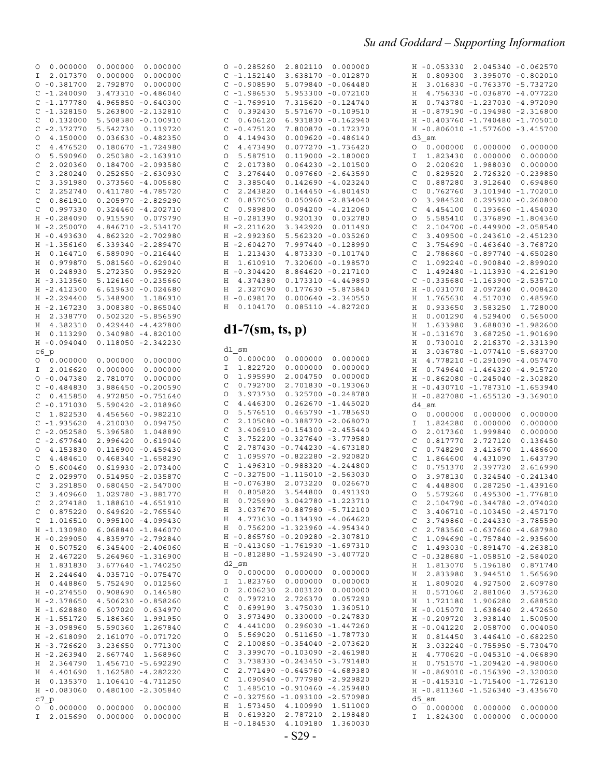| $-0.285260$<br>O<br>C<br>$-1.152140$<br>C<br>$-0.908590$<br>C<br>$-1.986530$<br>C<br>$-1.769910$<br>C<br>0.392430<br>C<br>0.606120<br>C<br>$-0.475120$<br>4.149430<br>O<br>C<br>4.473490<br>O<br>5.587510<br>C<br>2.017380<br>C<br>3.276440<br>C<br>3.385040<br>C<br>2.243820<br>C<br>0.857050<br>C<br>0.989800<br>$-0.281390$<br>Η<br>$-2.211620$<br>Η<br>$-2.992360$<br>Η<br>$-2.604270$<br>Η<br>Η<br>1.213430<br>1.610910<br>Η<br>$-0.304420$<br>Η<br>4.374380<br>Η<br>2.327090<br>Η<br>$-0.098170$<br>Η<br>0.104170<br>Η<br>$d1-7$ (sm, ts, p) | 2.802110<br>3.638170<br>5.079840<br>5.953300<br>7.315620<br>5.571670<br>6.931830<br>7.800870<br>0.009620<br>0.077270<br>0.119000<br>0.064230<br>0.097660<br>0.142690<br>0.144450<br>0.050960<br>0.094200<br>0.920130<br>3.342920<br>5.562320<br>7.997440<br>4.873330<br>7.320600<br>8.864620<br>0.173310<br>0.177630<br>0.000640<br>0.085110 | 0.000000<br>$-0.012870$<br>$-0.064480$<br>$-0.072100$<br>$-0.124740$<br>$-0.109510$<br>$-0.162940$<br>$-0.172370$<br>$-0.486140$<br>$-1.736420$<br>$-2.180000$<br>$-2.101500$<br>$-2.643590$<br>$-4.023240$<br>$-4.801490$<br>$-2.834040$<br>$-4.212060$<br>0.032780<br>0.011490<br>$-0.035260$<br>$-0.128990$<br>-0.101740<br>$-0.198570$<br>$-0.217100$<br>$-4.449890$<br>$-5.875840$<br>$-2.340550$<br>$-4.827200$ |
|----------------------------------------------------------------------------------------------------------------------------------------------------------------------------------------------------------------------------------------------------------------------------------------------------------------------------------------------------------------------------------------------------------------------------------------------------------------------------------------------------------------------------------------------------|----------------------------------------------------------------------------------------------------------------------------------------------------------------------------------------------------------------------------------------------------------------------------------------------------------------------------------------------|-----------------------------------------------------------------------------------------------------------------------------------------------------------------------------------------------------------------------------------------------------------------------------------------------------------------------------------------------------------------------------------------------------------------------|
|                                                                                                                                                                                                                                                                                                                                                                                                                                                                                                                                                    |                                                                                                                                                                                                                                                                                                                                              |                                                                                                                                                                                                                                                                                                                                                                                                                       |
| d1 sm<br>0.000000<br>O<br>1.822720<br>Ι<br>O<br>1.995990<br>C<br>0.792700<br>O<br>3.973730<br>C<br>4.446300<br>О<br>5.576510<br>C<br>2.105080<br>С<br>3.406910<br>C<br>3.752200<br>C<br>2.787430<br>C<br>1.095970<br>C<br>1.496310<br>$-0.327500$<br>С<br>$-0.076380$<br>Η<br>0.805820<br>Η<br>0.725990<br>H,<br>3.037670<br>Η<br>4.773030<br>Η<br>0.756200<br>Η<br>$-0.865760$<br>Η<br>$-0.413060$<br>Η<br>Η<br>$-0.812880$<br>$d2$ sm                                                                                                            | 0.000000<br>0.000000<br>2.004750<br>2.701830<br>0.325700<br>0.262670<br>0.465790<br>$-0.388770$<br>$-0.154300$<br>$-0.327640$<br>$-0.744230$<br>$-0.822280$<br>$-0.988320$<br>$-1.115010$<br>2.073220<br>3.544800<br>3.042780<br>$-0.887980$<br>$-0.134390$<br>$-1.323960$<br>$-0.209280$<br>$-1.761930$<br>$-1.592490$                      | 0.000000<br>0.000000<br>0.000000<br>$-0.193060$<br>$-0.248780$<br>$-1.445020$<br>$-1.785690$<br>$-2.068070$<br>$-2.455440$<br>$-3.779580$<br>$-4.673180$<br>$-2.920820$<br>$-4.244800$<br>$-2.563030$<br>0.026670<br>0.491390<br>$-1.223710$<br>$-5.712100$<br>$-4.064620$<br>$-4.954340$<br>$-2.307810$<br>$-1.697310$<br>$-3.407720$                                                                                |
| 0<br>0.000000<br>Ι<br>1.823760<br>O<br>2.006230<br>C<br>0.797210<br>C<br>0.699190<br>O<br>3.973490<br>C<br>4.441000<br>O<br>5.569020<br>С<br>2.100860<br>C<br>3.399070<br>С<br>3.738330<br>C<br>2.771490<br>C<br>1.090940<br>C<br>1.485010<br>$-0.327560$<br>C<br>Η<br>1.573450<br>0.619320<br>Η<br>$-0.184530$<br>Η                                                                                                                                                                                                                               | 0.000000<br>0.000000<br>2.003120<br>2.726370<br>3.475030<br>0.330000<br>0.296030<br>0.511650<br>$-0.354040$<br>$-0.103090$<br>$-0.243450$<br>$-0.645760$<br>$-0.777980$<br>$-0.910460$<br>$-1.093100$<br>4.100990<br>2.787210<br>4.109180                                                                                                    | 0.000000<br>0.000000<br>0.000000<br>0.057290<br>1.360510<br>$-0.247830$<br>$-1.447260$<br>$-1.787730$<br>$-2.073620$<br>$-2.461980$<br>-3.791480<br>-4.689380<br>$-2.929820$<br>$-4.259480$<br>$-2.570980$<br>1.511000<br>2.198480<br>1.360030                                                                                                                                                                        |

| Η            | $-0.053330$                | 2.045340    | $-0.062570$ |
|--------------|----------------------------|-------------|-------------|
| Η            | 0.809300                   | 3.395070    | $-0.802010$ |
| Η            | 3.016830                   | $-0.763370$ | $-5.732720$ |
| Η            | 4.756330                   | $-0.036870$ | $-4.077220$ |
| Η            | 0.743780                   | $-1.237030$ | $-4.972090$ |
| Η            | $-0.879190$                | $-0.194980$ | $-2.316800$ |
|              |                            |             |             |
| Η            | $-0.403760$                | $-1.740480$ | -1.705010   |
| Η            | -0.806010                  | $-1.577600$ | $-3.415700$ |
|              | d3 sm                      |             |             |
| 0            | 0.000000                   | 0.000000    | 0.000000    |
| Ι            | 1.823430                   | 0.000000    | 0.000000    |
| O            | 2.020620                   | 1.988030    | 0.000000    |
| C            | 0.829520                   | 2.726320    | $-0.239850$ |
| C            | 0.887280                   | 3.912640    | 0.694860    |
| C            | 0.762760                   | 3.101940    | -1.702010   |
|              |                            |             |             |
| O            | 3.984520                   | 0.295920    | $-0.260800$ |
| C            | 4.454100                   | 0.193660    | $-1.454030$ |
| O            | 5.585410                   | 0.376890    | $-1.804360$ |
| C            | 2.104700                   | $-0.449900$ | $-2.058540$ |
| C            | 3.409500                   | $-0.243610$ | $-2.451230$ |
| C            | 3.754690                   | -0.463640   | $-3.768720$ |
| C            | 2.786860                   | $-0.897740$ | $-4.650280$ |
| C            | 1.092240                   | $-0.900840$ | $-2.899020$ |
| C            | 1.492480                   | -1.113930   | $-4.216190$ |
| C            | $-0.335680$                | $-1.163900$ | $-2.535710$ |
|              |                            | 2.097240    | 0.008420    |
| Η            | $-0.031070$                |             |             |
| Η            | 1.765630                   | 4.517030    | 0.485960    |
| Η            | 0.933650                   | 3.583250    | 1.728000    |
| Η            | 0.001290                   | 4.529400    | 0.565000    |
| Η            | 1.633980                   | 3.688030    | $-1.982600$ |
| Η            | $-0.131670$                | 3.687250    | $-1.901690$ |
| Η            | 0.730010                   | 2.216370    | $-2.331390$ |
| Η            | 3.036780                   | -1.077410   | $-5.683700$ |
| Η            | 4.778210                   | $-0.291090$ | $-4.057470$ |
| Η            | 0.749640                   | $-1.464320$ | $-4.915720$ |
| Η            | $-0.862080$                | -0.245040   | $-2.302820$ |
|              |                            |             |             |
| Η            | -0.430710                  | $-1.787310$ | $-1.653940$ |
| Η            | $-0.827080$                | $-1.655120$ | $-3.369010$ |
| d4           | sm                         |             |             |
| 0            | 0.000000                   | 0.000000    | 0.000000    |
| Ι            | 1.824280                   | 0.000000    | 0.000000    |
| O            | 2.017360                   | 1.999840    | 0.000000    |
| C            | 0.817770                   | 2.727120    | 0.136450    |
| C            | 0.748290                   | 3.413670    | 1.486600    |
| C            | 1.864600                   | 4.431090    | 1.643790    |
| C            | 0.751370                   | 2.397720    | 2.616990    |
| O            | 3.978130                   | 0.324540    | $-0.241340$ |
| C            | 4.448800                   | 0.287250    | $-1.439160$ |
| O            |                            |             |             |
|              |                            |             |             |
|              | 5.579260                   | 0.495300    | $-1.776810$ |
| C            | 2.104790                   | $-0.344780$ | $-2.074020$ |
| $\mathbf{C}$ | 3.406710                   | $-0.103450$ | $-2.457170$ |
|              | 3.749860                   | $-0.244330$ | $-3.785590$ |
|              | 2.783560                   | $-0.637660$ | $-4.687980$ |
| $C$<br>$C$   | 1.094690                   | $-0.757840$ | $-2.935600$ |
| $\mathbf C$  | 1.493030                   | $-0.891470$ | $-4.263810$ |
| C            | $-0.328680$                | $-1.058510$ | $-2.584020$ |
|              |                            | 5.196180    | 0.871740    |
| Η            | 1.813070                   |             |             |
| Η            | 2.833980                   | 3.944510    | 1.565690    |
| Η            | 1.809020                   | 4.927500    | 2.609780    |
| Η            | 0.571060                   | 2.881060    | 3.573620    |
| Η            | 1.721180                   | 1.906280    | 2.688520    |
| Η            | $-0.015070$                | 1.638640    | 2.472650    |
| Η            | $-0.209720$                | 3.938140    | 1.500500    |
| Η            | $-0.041220$                | 2.058700    | 0.004050    |
| Η            | 0.814450                   | 3.446410    | $-0.682250$ |
| Η            | 3.032240                   | $-0.755950$ | $-5.730470$ |
| Η            | 4.770620                   | $-0.045310$ | $-4.066890$ |
| Η            | 0.751570                   | $-1.209420$ | $-4.980060$ |
| Η            | $-0.869010$                | $-0.156390$ | $-2.320020$ |
| Η            |                            |             |             |
| Η            | $-0.415310$<br>$-0.811360$ | $-1.715400$ | $-1.726130$ |
|              | d5 sm                      | $-1.526340$ | $-3.435670$ |
| О            | 0.000000                   | 0.000000    | 0.000000    |

| С            | $-1.328150$ | 5.263800                         | $-2.132810$           |
|--------------|-------------|----------------------------------|-----------------------|
| C            | 0.132000    | 5.508380                         | $-0.100910$           |
| C            | $-2.372770$ | 5.542730                         | 0.119720              |
|              |             |                                  |                       |
| O            | 4.150000    | 0.036630                         | $-0.482350$           |
| C            | 4.476520    | 0.180670                         | -1.724980             |
| O            | 5.590960    | 0.250380                         | -2.163910             |
| C            | 2.020360    | 0.184700                         | $-2.093580$           |
|              |             |                                  |                       |
| $\mathbf{C}$ | 3.280240    | 0.252650                         | $-2.630930$           |
| $\mathsf{C}$ | 3.391980    | 0.373560                         | $-4.005680$           |
| $\mathbf C$  | 2.252740    | 0.411780                         | -4.785720             |
| C            |             |                                  |                       |
|              | 0.861910    | 0.205970                         | $-2.829290$           |
| C            | 0.997330    | 0.324460                         | $-4.202710$           |
| Η            | $-0.284090$ | 0.915590                         | 0.079790              |
| Η            | $-2.250070$ | 4.846710                         | $-2.534170$           |
|              |             |                                  |                       |
| Η            | $-0.493630$ | 4.862320                         | $-2.702980$           |
| Η            | $-1.356160$ | 6.339340                         | $-2.289470$           |
| Η            | 0.164710    | 6.589090                         | $-0.216440$           |
|              | 0.979870    | 5.081560                         | $-0.629040$           |
| Η            |             |                                  |                       |
| Η            | 0.248930    | 5.272350                         | 0.952920              |
| Η            | $-3.313560$ | 5.126160                         | $-0.235660$           |
| Η            | $-2.412300$ | 6.619630                         | $-0.024680$           |
| Η            | $-2.294400$ | 5.348900                         |                       |
|              |             |                                  | 1.186910              |
| Η            | $-2.167230$ | 3.008380                         | $-0.865040$           |
| Η            | 2.338770    | 0.502320                         | -5.856590             |
| Η            | 4.382310    | 0.429440                         | $-4.427800$           |
|              |             |                                  | $-4.820100$           |
| Η            | 0.113290    | 0.340980                         |                       |
| Η            | $-0.094040$ | 0.118050                         | $-2.342230$           |
|              | c6 p        |                                  |                       |
| 0            | 0.000000    | 0.000000                         | 0.000000              |
|              |             |                                  |                       |
| Ι            | 2.016620    | 0.000000                         | 0.000000              |
| O            | $-0.047380$ | 2.781070                         | 0.000000              |
| C            | $-0.484830$ | 3.886450                         | $-0.200590$           |
| C            | 0.415850    | 4.972850                         | $-0.751640$           |
| C            | $-0.171030$ | 5.590420                         | $-2.018960$           |
|              |             |                                  |                       |
| C            | 1.822530    | 4.456560                         | $-0.982210$           |
| C            | $-1.935620$ | 4.210030                         | 0.094750              |
| C            | $-2.052580$ | 5.396580                         | 1.048890              |
| C            | $-2.677640$ | 2.996420                         |                       |
|              |             |                                  | 0.619040              |
| $\circ$      | 4.153830    | 0.116900                         | -0.459430             |
| C            | 4.484610    | 0.468340                         | $-1.658290$           |
| O            | 5.600460    | 0.619930                         | $-2.073400$           |
|              |             |                                  |                       |
| C            | 2.029970    | 0.514950                         | $-2.035870$           |
| C            | 3.291850    | 0.680450                         | $-2.547000$           |
| C            | 3.409660    | 1.029780                         | $-3.881770$           |
| C            | 2.274180    | 1.188610                         | $-4.651910$           |
|              |             |                                  |                       |
| C            | 0.875220    | 0.649620                         | $-2.765540$           |
| C            | 1.016510    | 0.995100                         | $-4.099430$           |
| Η            | $-1.130980$ | 6.068840                         | $-1.846070$           |
| Η            | $-0.299050$ | 4.835970                         | $-2.792840$           |
|              |             |                                  |                       |
| Н            | 0.507520    | 6.345400                         | -2.406060             |
| Η            | 2.467220    |                                  | 5.264960 -1.316900    |
| Η            | 1.831830    | 3.677640                         | $-1.740250$           |
| Η            | 2.244640    | 4.035710                         | $-0.075470$           |
|              |             |                                  |                       |
| Η            | 0.448860    | 5.752490                         | 0.012560              |
| Η            | $-0.274550$ | 0.908690                         | 0.146580              |
| Η            |             | 4.506230                         | $-0.858260$           |
| Η            | $-2.378650$ |                                  |                       |
|              |             |                                  |                       |
|              | $-1.628880$ | 6.307020                         | 0.634970              |
| Η            | -1.551720   | 5.186360                         | 1.991950              |
| Η            | -3.098960   | 5.590360                         | 1.267840              |
|              |             |                                  |                       |
| Η            | $-2.618090$ | 2.161070                         | -0.071720             |
| Η            | $-3.726620$ | 3.236650                         | 0.771300              |
| Η            | -2.263940   | 2.667740                         | 1.568960              |
| Η            | 2.364790    |                                  | 1.456710 -5.692290    |
| Η            | 4.401690    |                                  |                       |
|              |             |                                  | 1.162580 -4.282220    |
| Η            | 0.135370    |                                  | 1.106410 -4.711250    |
| Η            | $-0.083060$ |                                  | $0.480100 - 2.305840$ |
|              | $C7_p$      | $0.000000$ $0.000000$ $0.000000$ |                       |

I 2.015690 0.000000 0.000000

O 0.000000 0.000000 0.000000 I 2.017370 0.000000 0.000000 O -0.381700 2.792870 0.000000 C -1.240090 3.473310 -0.486040 C -1.177780 4.965850 -0.640300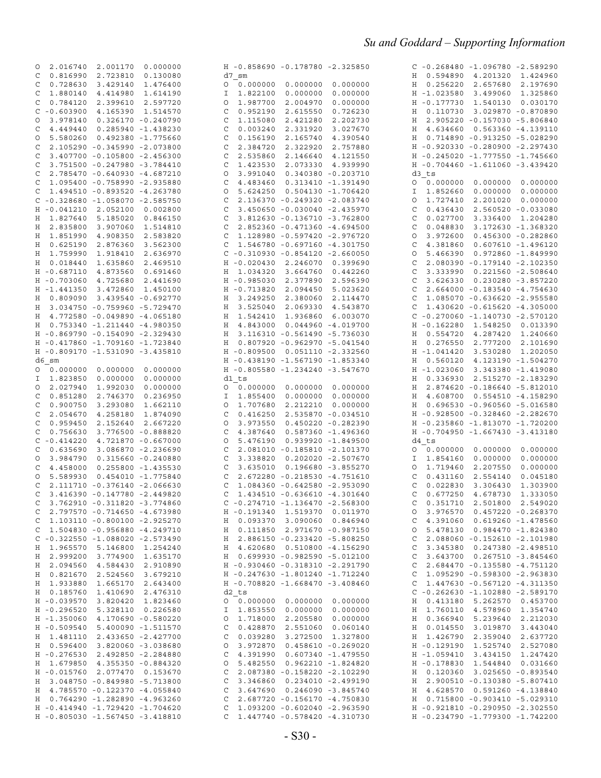|                                                                    |                                                                    | $C - 0.268480 - 1.096780 - 2.589290$                               |
|--------------------------------------------------------------------|--------------------------------------------------------------------|--------------------------------------------------------------------|
| 2.016740 2.001170 0.000000<br>0                                    | H -0.858690 -0.178780 -2.325850                                    |                                                                    |
| 0.816990 2.723810<br>0.130080<br>C                                 | d7 sm                                                              | H 0.594890 4.201320 1.424960                                       |
| 0.728630<br>3.429140<br>C<br>1.476400                              | 0.000000 0.000000<br>0.000000<br>$\circ$                           | H 0.256220<br>2.657680 2.197690                                    |
|                                                                    |                                                                    |                                                                    |
| 1.880140 4.414980<br>C<br>1.614190                                 | 0.000000<br>0.000000<br>1.822100<br>I                              | H -1.023580<br>3.499060 1.325860                                   |
| C<br>0.784120<br>2.399610<br>2.597720                              | 1.987700<br>2.004970<br>0.000000<br>O                              | H - 0.177730 1.540130<br>0.030170                                  |
| $-0.603900$ 4.165390 1.514570<br>C                                 | 0.952190<br>2.615550<br>0.726230<br>C                              | H 0.110730<br>3.029870 -0.870890                                   |
|                                                                    |                                                                    |                                                                    |
| 3.978140  0.326170 -0.240790<br>O                                  | 1.115080<br>2.421280<br>2.202730<br>C                              | H 2.905220 -0.157030 -5.806840                                     |
| 4.449440  0.285940 -1.438230<br>C                                  | 0.003240<br>2.331920<br>3.027670<br>C                              | H 4.634660 0.563360 -4.139110                                      |
| 5.580260  0.492380 -1.775660<br>0                                  | 0.156190<br>2.165740<br>4.390540<br>C                              | H  0.714890 -0.913250 -5.028290                                    |
|                                                                    |                                                                    |                                                                    |
| 2.105290 -0.345990 -2.073800<br>C                                  | 2.384720<br>2.322920<br>2.757880<br>C                              | H -0.920330 -0.280900 -2.297430                                    |
| C<br>3.407700 -0.105800 -2.456300                                  | 2.535860<br>2.146640<br>4.121550<br>C                              | H -0.245020 -1.777550 -1.745660                                    |
| 3.751500 -0.247980 -3.784410<br>C                                  | 1.423530<br>2.073330 4.939990<br>C                                 | H -0.704460 -1.611060 -3.439420                                    |
|                                                                    |                                                                    |                                                                    |
| C<br>2.785470 -0.640930 -4.687210                                  | 3.991040<br>0.340380 -0.203710<br>O                                | d3 ts                                                              |
| 1.095400 -0.758990 -2.935880<br>C                                  | 4.483460<br>0.313410 -1.391490<br>C                                | 0.000000                                                           |
| 1.494510 -0.893520 -4.263780<br>C                                  | 5.624250  0.504130 -1.706420<br>O                                  | 1.852660<br>0.000000<br>0.000000<br>I                              |
|                                                                    |                                                                    |                                                                    |
| $C - 0.328680 - 1.058070 - 2.585750$                               | 2.136370 -0.249320 -2.083740<br>C                                  | 1.727410<br>2.201020<br>0.000000<br>0                              |
| H -0.041210 2.052100 0.002800                                      | 3.450650 -0.030040 -2.435970<br>C                                  | 0.436430<br>2.560520 -0.033080<br>C                                |
| 1.827640 5.185020<br>0.846150                                      | 3.812630 -0.136710 -3.762800<br>C                                  | 0.027700<br>3.336400 1.204280                                      |
| Η                                                                  |                                                                    | C                                                                  |
| 2.835800 3.907060<br>Η<br>1.514810                                 | 2.852360 -0.471360 -4.694500<br>C                                  | 0.048830<br>3.172630 -1.368320<br>C                                |
| 1.851990 4.908350<br>2.583820<br>Η                                 | 1.128980 -0.597420 -2.976720<br>C                                  | 3.972600<br>$0.456300 - 0.282860$<br>O                             |
|                                                                    |                                                                    |                                                                    |
| 0.625190<br>2.876360<br>Η<br>3.562300                              | 1.546780 -0.697160 -4.301750<br>C                                  | 4.381860<br>$0.607610 - 1.496120$<br>C                             |
| 1.759990 1.918410<br>2.636970<br>Η                                 | $C - 0.310930 - 0.854120 - 2.660050$                               | 5.466390<br>0.972860 -1.849990<br>0                                |
| 0.018440<br>1.635860<br>Η<br>2.469510                              | H -0.020430 2.246070 0.399690                                      | 2.080390 -0.179140 -2.102350<br>C                                  |
|                                                                    |                                                                    |                                                                    |
| H -0.687110 4.873560<br>0.691460                                   | 1.034320<br>3.664760<br>0.442260<br>H                              | 3.333990  0.221560  - 2.508640<br>C                                |
| $H - 0.703060$<br>4.725680<br>2.441690                             | $H - 0.985030$<br>2.377890<br>2.596390                             | 3.626330  0.230280 -3.857220<br>C                                  |
| H -1.441350 3.472860 1.450100                                      | H -0.713820<br>2.094450<br>5.023620                                | 2.664000 -0.183540 -4.754630<br>C                                  |
|                                                                    |                                                                    |                                                                    |
| H  0.809090  3.439540 -0.692770                                    | 3.249250<br>2.380060<br>2.114470<br>Н                              | 1.085070 -0.636620 -2.955580<br>C                                  |
| 3.034750 -0.759960 -5.729470<br>Η                                  | 3.525040<br>2.069330<br>4.543870<br>Η                              | 1.430620 -0.615620 -4.305000<br>C                                  |
| 4.772580 -0.049890 -4.065180<br>Η                                  | 1.542410<br>1.936860<br>6.003070<br>Η                              | $C - 0.270060 - 1.140730 - 2.570120$                               |
|                                                                    |                                                                    |                                                                    |
| H  0.753340 -1.211440 -4.980350                                    | 4.843000  0.044960 -4.019700<br>Η                                  | H -0.162280 1.548250 0.013390                                      |
| H -0.869790 -0.154090 -2.329430                                    | 3.116310 -0.561490 -5.736030<br>Η                                  | 0.554720<br>4.287420 1.240660<br>H                                 |
| H -0.417860 -1.709160 -1.723840                                    | $0.807920 - 0.962970 - 5.041540$<br>Н                              | 0.276550<br>2.777200 2.101690<br>H                                 |
|                                                                    |                                                                    |                                                                    |
| H -0.809170 -1.531090 -3.435810                                    | H -0.809500 0.051110 -2.332560                                     | H -1.041420<br>3.530280 1.202050                                   |
| d6 sm                                                              | H -0.438190 -1.567190 -1.853340                                    | 0.560120<br>4.123190 -1.504270<br>Η                                |
|                                                                    |                                                                    |                                                                    |
| 0.000000                                                           | H -0.805580 -1.234240 -3.547670                                    | 3.343380 -1.419080<br>H -1.023060                                  |
| 1.823850 0.000000<br>0.000000<br>I.                                | d1 ts                                                              | 0.336930 2.515270 -2.183290<br>Η                                   |
| 2.027940<br>1.992030<br>0.000000<br>0                              | 0.000000<br>0.000000<br>0.000000<br>$\circ$                        | 2.874620 -0.186640 -5.812010<br>Η                                  |
|                                                                    |                                                                    |                                                                    |
| 0.851280 2.746370<br>0.236950<br>C                                 | 1.855400<br>0.000000<br>0.000000<br>I                              | H 4.608700 0.554510 -4.158290                                      |
| C<br>0.900750<br>3.293080<br>1.662110                              | 1.707680<br>2.212210<br>0.000000<br>O                              | H  0.696530 -0.960560 -5.016580                                    |
|                                                                    |                                                                    |                                                                    |
| 2.054670<br>4.258180<br>C<br>1.874090                              | 0.416250<br>2.535870 -0.034510<br>C                                | H -0.928500 -0.328460 -2.282670                                    |
| 0.959450<br>2.152640<br>C<br>2.667220                              | 3.973550<br>$0.450220 - 0.282390$<br>O                             | H -0.235860 -1.813070 -1.720200                                    |
| 0.756630 3.776500 -0.888820<br>C                                   | 0.587360 -1.496360<br>C<br>4.387640                                | H -0.704950 -1.667430 -3.413180                                    |
|                                                                    |                                                                    |                                                                    |
| $-0.414220$ $4.721870$ $-0.667000$<br>C                            | 5.476190  0.939920 -1.849500<br>O                                  | d4 ts                                                              |
|                                                                    |                                                                    |                                                                    |
|                                                                    | 2.081010 -0.185810 -2.101370                                       | 0.000000                                                           |
| C<br>0.635690 3.086870 -2.236690                                   | C                                                                  | $\circ$                                                            |
| 3.984790  0.315660 -0.240880<br>O                                  | 3.338820  0.202020  - 2.507670<br>C                                | 0.000000<br>I.<br>1.854160<br>0.000000                             |
| 4.458000  0.255800 -1.435530<br>C                                  | 3.635010  0.196680 -3.855270<br>C                                  | 1.719460<br>2.207550<br>0.000000<br>$\circ$                        |
|                                                                    |                                                                    |                                                                    |
| 5.589930  0.454010 -1.775840<br>O                                  | 2.672280 -0.218530 -4.751610<br>C                                  | 0.431160<br>2.554140<br>0.045180<br>C                              |
| C<br>2.111710 -0.376140 -2.066630                                  | C<br>1.084360 -0.642580 -2.953090                                  | C<br>0.022830<br>1.303900<br>3.306430                              |
| C<br>3.416390 -0.147780 -2.449820                                  | 1.434510 -0.636610 -4.301640<br>C                                  | C<br>0.677250<br>4.678730<br>1.333050                              |
|                                                                    |                                                                    |                                                                    |
| $C$ 3.762910 -0.311820 -3.774860                                   | $C - 0.274710 - 1.136470 - 2.568300$                               | C 0.351710 2.501800 2.549020                                       |
| 2.797570 -0.714650 -4.673980<br>C                                  | H -0.191340 1.519370 0.011970                                      | $0$ 3.976570 0.457220 -0.268370                                    |
| $C$ 1.103110 -0.800100 -2.925270                                   | H  0.093370  3.090060  0.846940                                    | $C$ 4.391060 0.619260 -1.478560                                    |
|                                                                    |                                                                    |                                                                    |
| $C$ 1.504830 -0.956880 -4.249710                                   | H  0.111850  2.971670 -0.987150                                    | 0 5.478130 0.984470 -1.824380                                      |
| $C - 0.322550 - 1.088020 - 2.573490$                               | H 2.886150 -0.233420 -5.808250                                     | $C$ 2.088060 -0.152610 -2.101980                                   |
| H 1.965570 5.146800 1.254240                                       | H 4.620680 0.510800 -4.156290                                      | C 3.345380 0.247380 -2.498510                                      |
|                                                                    |                                                                    |                                                                    |
| H 2.999200 3.774900 1.635170                                       | H  0.699930 -0.982590 -5.012100                                    | $C$ 3.643700 0.267510 -3.845460                                    |
| H 2.094560 4.584430 2.910890                                       | H -0.930460 -0.318310 -2.291790                                    | $C$ 2.684470 -0.135580 -4.751120                                   |
| H 0.821670 2.524560 3.679210                                       | H -0.247630 -1.801240 -1.712240                                    |                                                                    |
|                                                                    |                                                                    | $C$ 1.095290 -0.598300 -2.963830                                   |
| H 1.933880 1.665170 2.643400                                       | H -0.708820 -1.668470 -3.408460                                    | $C$ 1.447630 -0.567120 -4.311350                                   |
| H  0.185760  1.410690  2.476310                                    | d2 ts                                                              | $C - 0.262630 - 1.102880 - 2.589170$                               |
| H -0.039570 3.820420 1.823460                                      |                                                                    |                                                                    |
|                                                                    |                                                                    | H  0.413180  5.262570  0.453700                                    |
| H -0.296520 5.328110 0.226580                                      | I 1.853550 0.000000 0.000000                                       | H 1.760110 4.578960 1.354740                                       |
| H -1.350060 4.170690 -0.580220                                     | $0$ 1.718000 2.205580 0.000000                                     | H 0.366940 5.239640 2.212030                                       |
|                                                                    |                                                                    |                                                                    |
| H -0.509540 5.400090 -1.511570                                     | $C$ 0.428870 2.551060 0.060140                                     | H 0.014550 3.019870 3.443040                                       |
| H 1.481110 2.433650 -2.427700                                      | C 0.039280 3.272500 1.327800                                       | H 1.426790 2.359040 2.637720                                       |
| H  0.596400  3.820060 -3.038680                                    | $0$ 3.972870 0.458610 -0.269020                                    | H -0.129190 1.525740 2.527080                                      |
|                                                                    |                                                                    |                                                                    |
| H -0.276530 2.492850 -2.284880                                     | $C$ 4.391990 0.607340 -1.479550                                    | H -1.059410 3.434150 1.247420                                      |
| H 1.679850 4.355350 -0.884320                                      | $0$ 5.482550 0.962210 -1.824820                                    | H -0.178830 1.544840 0.031660                                      |
| H -0.015760 2.077470 0.153670                                      | $C$ 2.087380 -0.158220 -2.102290                                   | H  0.120360  3.025650 -0.893540                                    |
|                                                                    |                                                                    |                                                                    |
| H 3.048750 -0.849980 -5.713800                                     | $C$ 3.346860 0.234010 -2.499190                                    | H 2.900510 -0.130380 -5.807410                                     |
| H 4.785570 -0.122370 -4.055840                                     | $C$ 3.647690 0.246090 -3.845740                                    | H 4.628570 0.591260 -4.138840                                      |
| H 0.764290 -1.282890 -4.963260                                     | $C$ 2.687720 -0.156170 -4.750830                                   | H  0.715800 -0.903410 -5.029310                                    |
|                                                                    |                                                                    |                                                                    |
| H -0.414940 -1.729420 -1.704620<br>H -0.805030 -1.567450 -3.418810 | C 1.093200 -0.602040 -2.963590<br>$C$ 1.447740 -0.578420 -4.310730 | H -0.921810 -0.290950 -2.302550<br>H -0.234790 -1.779300 -1.742200 |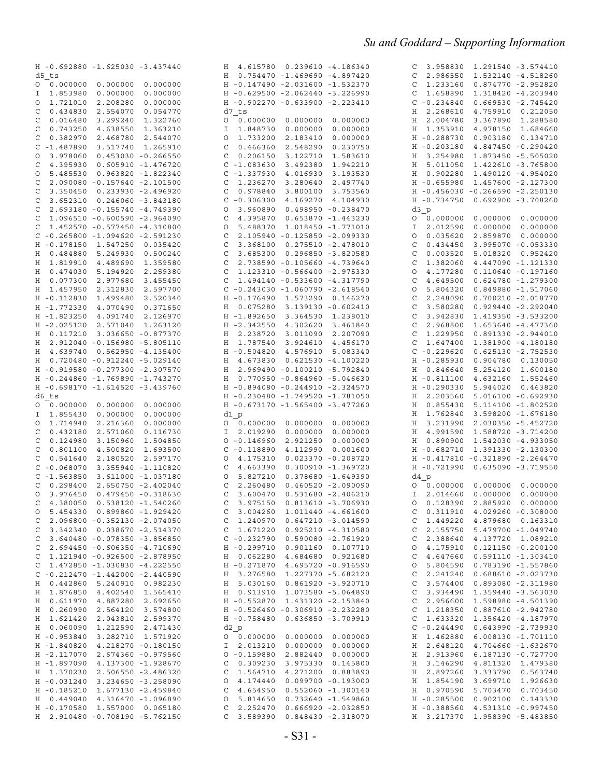|                                                                 | H 4.615780 0.239610 -4.186340                                           | 3.958830 1.291540 -3.574410<br>C                                |
|-----------------------------------------------------------------|-------------------------------------------------------------------------|-----------------------------------------------------------------|
| H -0.692880 -1.625030 -3.437440                                 |                                                                         |                                                                 |
| d5 ts                                                           | $0.754470 - 1.469690 - 4.897420$<br>H                                   | 2.986550 1.532140 -4.518260<br>C                                |
| 0.000000<br>0.000000<br>0.000000                                | H -0.147490 -2.031600 -1.532370                                         | 1.233160  0.874770 -2.952820<br>C                               |
| I 1.853980<br>0.000000<br>0.000000                              | H -0.629500 -2.062440 -3.226990                                         | 1.658890 1.318420 -4.203940<br>C                                |
| 1.721010<br>2.208280<br>0.000000<br>O                           | H -0.902270 -0.633900 -2.223410                                         | $C - 0.234840$<br>$0.669530 - 2.745420$                         |
| 0.434830<br>2.554070<br>0.054770<br>C                           | d7 ts                                                                   | 2.268610<br>4.759910 0.212050<br>Η                              |
| 0.016480<br>1.322760                                            | 0.000000                                                                |                                                                 |
| 3.299240<br>C                                                   | 0.000000<br>0.000000<br>0                                               | 2.004780<br>3.367890<br>1.288580<br>Η                           |
| 0.743250<br>4.638550<br>C<br>1.363210                           | 1.848730<br>0.000000<br>0.000000<br>Ι                                   | 1.353910<br>4.978150 1.684660<br>Н                              |
| 0.382970<br>2.468780<br>C<br>2.544070                           | 1.733200<br>2.183410<br>0.000000<br>O                                   | H -0.288730<br>0.903180<br>0.134710                             |
| $C - 1.487890$<br>3.517740<br>1.265910                          | 0.466360<br>2.548290<br>0.230750<br>C                                   | $H - 0.203180$<br>4.847450 -0.290420                            |
| 3.978060<br>$0.453030 - 0.266550$<br>O                          | 0.206150<br>3.122710<br>C<br>1.583610                                   | 3.254980<br>1.873450 -5.505020<br>H                             |
|                                                                 |                                                                         | 5.011050 1.422610 -3.765800                                     |
| 4.395930<br>0.605910 -1.476720<br>C                             | $C - 1.083630$<br>3.492380<br>1.942210                                  | Η                                                               |
| 5.485530<br>$0.963820 - 1.822340$<br>O                          | $C - 1.337930$<br>4.016930<br>3.193530                                  | 0.902280 1.490120 -4.954020<br>Η                                |
| 2.090080 -0.157640 -2.101500<br>C                               | 1.236270<br>3.280640<br>2.497740<br>C                                   | H -0.655980 1.457600 -2.127300                                  |
| 3.350450<br>0.233930 -2.496920<br>C                             | 0.978840<br>3.800100 3.753560<br>C                                      | H -0.456030 -0.266590 -2.250130                                 |
| 3.652310  0.246060 -3.843180<br>C                               | $C - 0.306300$<br>4.169270 4.104930                                     | H -0.734750<br>$0.692900 - 3.708260$                            |
| 2.693180 -0.155740 -4.749390                                    | 3.960890<br>$0.498950 - 0.238470$                                       |                                                                 |
| C                                                               | O                                                                       | d3 p                                                            |
| 1.096510 -0.600590 -2.964090<br>C                               | 4.395870<br>$0.653870 - 1.443230$<br>C                                  | 0.000000 0.000000<br>0.000000<br>O                              |
| 1.452570 -0.577450 -4.310800<br>C                               | 5.488370<br>1.018450 -1.771010<br>O                                     | 0.000000<br>0.000000<br>I.<br>2.012590                          |
| $C - 0.265800 - 1.094620 - 2.591230$                            | 2.105940 -0.125850 -2.099330<br>C                                       | 0.035620<br>2.859870<br>0.000000<br>O                           |
| H -0.178150<br>1.547250<br>0.035420                             | 0.275510 -2.478010<br>C<br>3.368100                                     | 0.434450<br>3.995070 -0.053330<br>C                             |
| H 0.484880<br>5.249930<br>0.500240                              | C<br>3.685300<br>$0.296850 - 3.820580$                                  | 0.003520<br>5.018320 0.952420<br>C                              |
|                                                                 |                                                                         |                                                                 |
| H 1.819910<br>4.489690<br>1.359580                              | 2.738590 -0.105660 -4.739640<br>C                                       | 1.382060<br>4.447090 -1.121330<br>C                             |
| H 0.474030<br>5.194920<br>2.259380                              | 1.123310 -0.566400 -2.975330<br>C                                       | 4.177280<br>$0.110640 - 0.197160$<br>O                          |
| H 0.077300<br>2.977680<br>3.455450                              | 1.494140 -0.533600 -4.317790<br>C                                       | 4.649500<br>$0.624780 - 1.279300$<br>C                          |
| H 1.457950<br>2.312830<br>2.597700                              | $C - 0.243030 - 1.060790 - 2.618540$                                    | 5.804320<br>0.849880 -1.517060<br>O                             |
| H -0.112830<br>1.499480<br>2.520340                             | H -0.176490<br>1.573290 0.146270                                        | 2.248090<br>$0.700210 - 2.018770$<br>C                          |
|                                                                 |                                                                         |                                                                 |
| H -1.772330<br>4.070490<br>0.371650                             | 0.075280<br>3.139130 -0.602410<br>Η                                     | C<br>3.580280<br>$0.929440 -2.292040$                           |
| H -1.823250<br>4.091740<br>2.126970                             | H -1.892650<br>3.364530<br>1.238010                                     | 3.942830<br>1.419350 -3.533200<br>C                             |
| $H - 2.025120$<br>2.571040<br>1.263120                          | H -2.342550<br>4.302620<br>3.461840                                     | C<br>2.968800<br>1.653640 -4.477360                             |
| H 0.117210<br>3.036650 -0.877370                                | 2.238720<br>3.011090<br>2.207090<br>Η                                   | 1.229950<br>$0.891330 - 2.944010$<br>C                          |
| H 2.912040 -0.156980 -5.805110                                  | 1.787540<br>3.924610<br>4.456170<br>Η                                   | 1.647400<br>1.381900 -4.180180<br>C                             |
|                                                                 |                                                                         |                                                                 |
| H 4.639740<br>$0.562950 -4.135400$                              | $H - 0.504820$<br>4.576910<br>5.083340                                  | $C - 0.229620$<br>$0.625130 - 2.752530$                         |
| H  0.720480 -0.912240 -5.029140                                 | 4.673830<br>$0.621530 -4.100220$<br>Η                                   | H -0.285930<br>0.904780 0.130050                                |
| H -0.919580 -0.277300 -2.307570                                 | 2.969490 -0.100210 -5.792840<br>Η                                       | H 0.846640<br>5.254120 1.600180                                 |
| H -0.244860 -1.769890 -1.743270                                 | H 0.770950 -0.864960 -5.046630                                          | H -0.811100<br>4.632160<br>1.552460                             |
| H -0.698170 -1.614520 -3.439760                                 | H -0.894080 -0.244910 -2.324570                                         |                                                                 |
|                                                                 |                                                                         |                                                                 |
|                                                                 |                                                                         | $H - 0.290330$<br>5.944020 0.463820                             |
| d6 ts                                                           | H -0.230480 -1.749520 -1.781050                                         | H 2.203560<br>5.016100 -0.692930                                |
| 0.000000<br>0.000000<br>0.000000                                | H -0.673170 -1.565400 -3.477260                                         | 0.855430<br>5.114100 -1.802520<br>Н                             |
| 1.855430<br>0.000000<br>0.000000<br>Ι.                          |                                                                         | 1.762840<br>3.598200 -1.676180<br>Н                             |
|                                                                 | d1 p                                                                    |                                                                 |
| 1.714940<br>2.216360<br>0.000000<br>$\circ$                     | 0.000000<br>0.000000<br>0.000000<br>0                                   | 3.231990<br>2.030350 -5.452720<br>Η                             |
| 0.432180<br>2.571060<br>0.116730<br>C                           | 0.000000<br>0.000000<br>Ι<br>2.019290                                   | 4.991590<br>1.588720 -3.714200<br>Η                             |
| 0.124980<br>3.150960<br>C<br>1.504850                           | $0 - 0.146960$<br>2.921250<br>0.000000                                  | 0.890900 1.542030 -4.933050<br>Н                                |
| C<br>0.801100<br>4.500820<br>1.693500                           | 4.112990<br>$C - 0.118890$<br>0.001600                                  | H -0.682710<br>1.391330 -2.130300                               |
| 0.541640<br>2.180520<br>C<br>2.597170                           | 4.175310<br>$0.023370 - 0.208720$<br>O                                  | H -0.417810 -0.321890 -2.264470                                 |
|                                                                 |                                                                         |                                                                 |
| $C - 0.068070$<br>3.355940 -1.110820                            | 4.663390<br>$0.300910 - 1.369720$<br>C                                  | H -0.721990 0.635090 -3.719550                                  |
| $C - 1.563850$<br>3.611000 -1.037180                            | 5.827210<br>0.378680 -1.649390<br>$\circ$                               | d4 p                                                            |
| 2.650750 -2.402040<br>C<br>0.298400                             | 2.260480<br>$0.460520 - 2.090090$<br>C                                  | 0.000000<br>0.000000<br>0.000000                                |
| $0$ 3.976450 0.479450 -0.318630                                 | C<br>3.600470<br>$0.531680 - 2.406210$                                  | I 2.014660                                                      |
| C 4.380050 0.538120 -1.540260                                   | C 3.975150 0.813610 -3.706930                                           | $0$ 0.128390 2.885920 0.000000                                  |
| $0$ 5.454330 0.899860 -1.929420                                 | $C$ 3.004260 1.011440 -4.661600                                         | 0.311910  4.029260 -0.308000<br>C                               |
|                                                                 |                                                                         |                                                                 |
| $C$ 2.096800 -0.352130 -2.074050                                | $C \quad 1.240970$<br>$0.647210 - 3.014590$                             | C 1.449220 4.879680 0.163310                                    |
| $C$ 3.342340 0.038670 -2.514370                                 | C <sub>1.671220</sub><br>0.925210 -4.310580                             | 2.155750  5.479700 -1.049740<br>C                               |
| $C$ 3.640480 -0.078350 -3.856850                                | $C - 0.232790$<br>$0.590080 - 2.761920$                                 | C 2.388640 4.137720 1.089210                                    |
| $C$ 2.694450 -0.606350 -4.710690                                | H -0.299710<br>0.901160 0.107710                                        | 4.175910  0.121150  -0.200100<br>O                              |
| $C$ 1.121940 -0.926500 -2.878950                                | 4.684680 0.921680                                                       | 4.647660  0.591110 -1.303410<br>C                               |
|                                                                 | H  0.062280                                                             |                                                                 |
| $C$ 1.472850 -1.030830 -4.222550                                | H -0.271870<br>4.695720 -0.916590                                       | 5.804590  0.783190 -1.557860<br>0                               |
| $C - 0.212470 - 1.442000 - 2.440590$                            | H 3.276580<br>1.227370 -5.682120                                        | $C$ 2.241240 0.688610 -2.023730                                 |
| H 0.442860 5.240910 0.982230                                    | H 5.030160 0.861920 -3.920710                                           | $C$ 3.574400 0.893080 -2.311980                                 |
| H 1.876850 4.402540 1.565410                                    | 1.073580 -5.064890<br>H  0.913910                                       | $C$ 3.934490 1.359440 -3.563030                                 |
|                                                                 |                                                                         |                                                                 |
| H 0.611970 4.887280 2.692650                                    | H -0.552870 1.431320 -2.153840                                          | $C$ 2.956600 1.598980 -4.501390                                 |
| H 0.260990 2.564120 3.574800                                    | H -0.526460 -0.306910 -2.232280                                         | $C$ 1.218350 0.887610 -2.942780                                 |
| H 1.621420 2.043810 2.599370                                    | H -0.758480 0.636850 -3.709910                                          | $C$ 1.633320 1.356420 -4.187970                                 |
| H 0.060090 1.212590 2.471430                                    | $d2$ p                                                                  | $C - 0.244490 0.643990 - 2.739930$                              |
| H -0.953840 3.282710 1.571920                                   | 0 0.000000 0.000000 0.000000                                            | H 1.462880 6.008130 -1.701110                                   |
| H -1.840820 4.218270 -0.180150                                  | I 2.013210 0.000000 0.000000                                            | H 2.648120 4.704660 -1.632670                                   |
|                                                                 |                                                                         |                                                                 |
| H -2.117070 2.674360 -0.979560                                  | $0 - 0.159880$<br>2.882440 0.000000                                     | H 2.913960 6.187130 -0.727700                                   |
| H -1.897090 4.137300 -1.928670                                  | $C = 0.309230$<br>3.975330 0.145800                                     | H 3.146290 4.811320 1.479380                                    |
| H 1.370230 2.506550 -2.486320                                   | C <sub>1.564710</sub><br>4.271200 0.883890                              | H 2.897260 3.333790 0.563740                                    |
| H -0.031240 3.234650 -3.258090                                  | 04.174440<br>$0.099700 - 0.193000$                                      | H 1.854190 3.699710 1.926630                                    |
| H -0.185210 1.677130 -2.459840                                  | $C \quad 4.654950$<br>$0.552060 - 1.300140$                             | H 0.970590 5.703470 0.703450                                    |
| H 0.449040 4.316470 -1.096890                                   | 0 5.814650<br>$0.732640 - 1.549860$                                     |                                                                 |
|                                                                 |                                                                         | H -0.285500 0.902100 0.143330                                   |
| H -0.170580 1.557000 0.065180<br>H 2.910480 -0.708190 -5.762150 | $C$ 2.252470<br>$0.666920 -2.032850$<br>$C$ 3.589390 0.848430 -2.318070 | H -0.388560 4.531310 -0.997450<br>H 3.217370 1.958390 -5.483850 |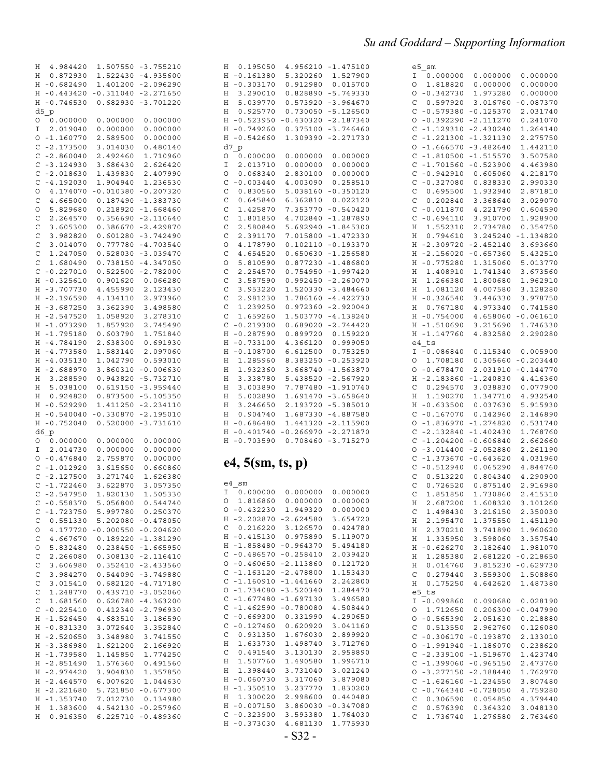|              | H 4.984420           |                      | 1.507550 -3.755210         |
|--------------|----------------------|----------------------|----------------------------|
| Η            | 0.872930             |                      | 1.522430 -4.935600         |
|              |                      |                      |                            |
| Η            | $-0.682490$          |                      | 1.401200 -2.096290         |
| Η            | $-0.443420$          |                      | $-0.311040 -2.271650$      |
| Η            | $-0.746530$          | 0.682930             | $-3.701220$                |
|              |                      |                      |                            |
|              | d5 p                 |                      |                            |
| 0            | 0.000000             | 0.000000             | 0.000000                   |
|              |                      |                      |                            |
| I            | 2.019040             | 0.000000             | 0.000000                   |
| О            | $-1.160770$          | 2.589500             | 0.000000                   |
| C            | $-2.173500$          | 3.014030             | 0.480140                   |
|              |                      |                      |                            |
| C            | $-2.860040$          | 2.492460             | 1.710960                   |
| C            | $-3.124930$          | 3.686430             | 2.626420                   |
|              |                      |                      |                            |
| C            | $-2.018630$          | 1.439830             | 2.407990                   |
| C            | $-4.192030$          | 1.904940             | 1.236530                   |
| O            | 4.174070             | $-0.010380$          | $-0.207320$                |
|              |                      |                      |                            |
| C            | 4.665000             | 0.187490             | $-1.383730$                |
| O            | 5.829680             | 0.218920             | $-1.668460$                |
| $\mathsf C$  | 2.264570             | 0.356690             | $-2.110640$                |
|              |                      |                      |                            |
| C            | 3.605300             | 0.386670             | $-2.429870$                |
| $\mathsf{C}$ | 3.982820             | 0.601280             | $-3.742490$                |
|              |                      |                      |                            |
| C            | 3.014070             | 0.777780             | $-4.703540$                |
| $\mathsf{C}$ | 1.247050             | 0.528030             | $-3.039470$                |
| C            | 1.680490             | 0.738150             | $-4.347050$                |
|              |                      |                      |                            |
| C            | $-0.227010$          | 0.522500             | $-2.782000$                |
| Η            | $-0.325610$          | 0.901620             | 0.066280                   |
|              | $-3.707730$          | 4.455990             |                            |
| Η            |                      |                      | 2.123430                   |
| Η            | $-2.196590$          | 4.134110             | 2.973960                   |
| Η            | $-3.687250$          | 3.362390             | 3.498580                   |
|              |                      |                      |                            |
| Η            | $-2.547520$          | 1.058920             | 3.278310                   |
| Η            | $-1.073290$          | 1.857920             | 2.745490                   |
| Η            | $-1.795180$          | 0.603790             | 1.751840                   |
|              |                      |                      |                            |
| Η            | $-4.784190$          | 2.638300             | 0.691930                   |
| Η            | $-4.773580$          | 1.583140             | 2.097060                   |
| Η            | $-4.035130$          | 1.042790             | 0.593010                   |
|              |                      |                      |                            |
| Η            | $-2.688970$          |                      | 3.860310 -0.006630         |
| Η            | 3.288590             | 0.943820             | $-5.732710$                |
| Η            | 5.038100             | 0.619150             | $-3.959440$                |
|              |                      |                      |                            |
| Η            | 0.924820             |                      | 0.873500 -5.105350         |
| Η            | $-0.529290$          |                      | 1.411250 -2.234110         |
| Η            | $-0.540040$          |                      | $-0.330870 -2.195010$      |
|              |                      |                      |                            |
| Η            | $-0.752040$          | 0.520000             | $-3.731610$                |
|              | d6 p                 |                      |                            |
| О            | 0.000000             | 0.000000             | 0.000000                   |
|              |                      |                      |                            |
| I            | 2.014730             | 0.000000             | 0.000000                   |
| O            | $-0.476840$          | 2.759870             | 0.000000                   |
| C            | $-1.012920$          | 3.615650             | 0.660860                   |
|              |                      |                      |                            |
| C            | $-2.127500$          | 3.271740             | 1.626380                   |
| C            | $-1.722460$          | 3.622870             | 3.057350                   |
| C            | $-2.547950$          | 1.820130             | 1.505330                   |
|              |                      |                      |                            |
| С            | $-0.558370$          | 5.056800             | 0.544740                   |
| C            | $-1.723750$          | 5.997780             | 0.250370                   |
| C            | 0.551330             | 5.202080             | $-0.478050$                |
|              |                      |                      |                            |
| О            | 4.177720             | $-0.000550$          | $-0.204620$                |
| C            | 4.667670             | 0.189220             | $-1.381290$                |
| О            | 5.832480             | 0.238450             | $-1.665950$                |
|              |                      |                      |                            |
| C            | 2.266080             | 0.308130             | $-2.116410$                |
| C            | 3.606980             | 0.352410             | $-2.433560$                |
| C            | 3.984270             | 0.544090             |                            |
|              |                      |                      | $-3.749880$                |
| C            |                      |                      |                            |
| $\mathsf{C}$ | 3.015410             | 0.682120             | $-4.717180$                |
| C            |                      |                      |                            |
|              | 1.248770             | 0.439710             | $-3.052060$                |
|              | 1.681560             | 0.626780             | $-4.363200$                |
| C            | $-0.225410$          | 0.412340             | $-2.796930$                |
|              |                      |                      |                            |
| Η            | $-1.526450$          | 4.683510             | 3.186590                   |
| Η            | $-0.831330$          | 3.072640             | 3.352840                   |
| Η            | $-2.520650$          | 3.348980             | 3.741550                   |
|              |                      |                      |                            |
| Η            | $-3.386980$          | 1.621200             | 2.166920                   |
| Η            | $-1.739580$          | 1.145850             | 1.774250                   |
| Η            | $-2.851490$          | 1.576360             | 0.491560                   |
|              |                      |                      |                            |
| Η            | $-2.974420$          | 3.904830             | 1.357850                   |
| Η            | $-2.464570$          | 6.007620             | 1.044630                   |
| Η            | $-2.221680$          | 5.721850             | $-0.677300$                |
|              |                      |                      |                            |
| Η            | $-1.353740$          | 7.012730             | 0.134980                   |
| Η<br>Η       | 1.383600<br>0.916350 | 4.542130<br>6.225710 | $-0.257960$<br>$-0.489360$ |

| Η            | $-0.161380$             | 5.320260        | 1.527900             |
|--------------|-------------------------|-----------------|----------------------|
| Η            | $-0.303170$             | 0.912980        | 0.015700             |
| Η            | 3.290010                | 0.828890        | $-5.749330$          |
| Η            | 5.039770                | 0.573920        | $-3.964670$          |
| Η            | 0.925770                | 0.730050        | $-5.126500$          |
| Η            | $-0.523950$             | $-0.430320$     | $-2.187340$          |
| Η            | $-0.749260$             | 0.375100        | $-3.746460$          |
| Η            | $-0.542660$             | 1.309390        | $-2.271730$          |
|              | d7 p                    |                 |                      |
|              |                         |                 |                      |
| 0            | 0.000000                | 0.000000        | 0.000000             |
| I            | 2.013710                | 0.000000        | 0.000000             |
| $\circ$      | 0.068340                | 2.830100        | 0.000000             |
| C            | $-0.003440$             | 4.003090        | 0.258510             |
| $\mathbf C$  | 0.830560                | 5.038160        | $-0.350120$          |
| $\mathbf C$  | 0.645840                | 6.362810        | 0.022120             |
| $\mathsf{C}$ | 1.425870                | 7.353770        | $-0.540420$          |
| $\mathbf C$  | 1.801850                | 4.702840        | $-1.287890$          |
| $\mathsf{C}$ | 2.580840                | 5.692940        | -1.845300            |
| $\mathbf C$  | 2.391170                | 7.015800        | -1.472330            |
| $\circ$      | 4.178790                | 0.102110        | $-0.193370$          |
| C            | 4.654520                | 0.650630        | $-1.256580$          |
| O            | 5.810590                | 0.877230        | $-1.486800$          |
| C            | 2.254570                | 0.754950        | $-1.997420$          |
| $\mathsf{C}$ | 3.587590                | 0.992450        | $-2.260070$          |
| $\mathsf{C}$ | 3.953220                | 1.520330        | $-3.484660$          |
| $\mathsf{C}$ | 2.981230                |                 |                      |
|              |                         | 1.786160        | $-4.422730$          |
| $\mathbf C$  | 1.239250                | 0.972360        | $-2.920040$          |
| C            | 1.659260                | 1.503770        | $-4.138240$          |
| C            | $-0.219300$             | 0.689020        | $-2.744420$          |
| Η            | $-0.287590$             | 0.899720        | 0.159220             |
| Η            | $-0.733100$             | 4.366120        | 0.999050             |
| Η            | $-0.108700$             | 6.612500        | 0.753250             |
| Η            | 1.285960                | 8.383250        | $-0.253920$          |
| Η            | 1.932360                | 3.668740        | $-1.563870$          |
| Η            | 3.338780                | 5.438520        | $-2.567920$          |
| Η            | 3.003890                | 7.787480        | $-1.910740$          |
|              |                         |                 |                      |
|              |                         |                 |                      |
| Η            | 5.002890                | 1.691470        | $-3.658640$          |
| Η            | 3.246650                | 2.193720        | $-5.385010$          |
| Η            | 0.904740                | 1.687330        | $-4.887580$          |
| Η            | -0.686480               | 1.441320        | $-2.115900$          |
| Η            | -0.401740               | $-0.266970$     | -2.271870            |
| Η            | $-0.703590$             | 0.708460        | $-3.715270$          |
|              |                         |                 |                      |
|              | e4, 5(sm, ts, p)        |                 |                      |
|              |                         |                 |                      |
|              | e4 sm                   |                 |                      |
| Ι            | 0.000000                | 0.000000        | 0.000000             |
| O            | 1.816860                | 0.000000        | 0.000000             |
| O            | $-0.432230$             | 1.949320        | 0.000000             |
| Η            | $-2.202870$             | -2.624580       | 3.654720             |
| C            | 0.216220                | 3.126570        | 0.424780             |
| Η            | $-0.415130$             | 0.975890        | 5.119070             |
| Η            | $-1.858480$             | $-0.964370$     | 5.494180             |
| C            | $-0.486570$             | $-0.258410$     | 2.039420             |
| O            | $-0.460650$             | $-2.113860$     | 0.121720             |
| C            | $-1.163120$             | $-2.478800$     | 1.153430             |
| C            | $-1.160910$             | $-1.441660$     | 2.242800             |
| O            | $-1.734080$             | $-3.520340$     | 1.284470             |
| C            | $-1.677480$             | $-1.697130$     | 3.496580             |
| C            | $-1.462590$             | $-0.780080$     | 4.508440             |
| C            | $-0.669300$             | 0.331990        | 4.290650             |
| C            |                         | 0.620920        |                      |
| C            | $-0.127460$<br>0.931350 | 1.676030        | 3.041160<br>2.899920 |
| Η            | 1.633730                | 1.498740        | 3.712760             |
|              |                         |                 |                      |
| C            | 0.491540                | 3.130130        | 2.958890             |
| Η            | 1.507760                | 1.490580        | 1.996710             |
| Η            | 1.398440                | 3.731040        | 3.021240             |
| Η            | $-0.060730$             | 3.317060        | 3.879080             |
| Η            | $-1.350510$             | 3.237770        | 1.830200             |
| Η            | 1.300020                | 2.998600        | 0.440480             |
| Η            | $-0.007150$             | 3.860030        | $-0.347080$          |
| С            | $-0.323900$             | 3.593380        | 1.764030             |
| Η            | $-0.373030$             | 4.681130<br>S32 | 1.775930             |

H 0.195050 4.956210 -1.475100

| e5            | sm          |             |             |
|---------------|-------------|-------------|-------------|
| Ι             | 0.000000    | 0.000000    | 0.000000    |
| 0             | 1.818820    | 0.000000    | 0.000000    |
| 0             | $-0.342730$ | 1.973280    | 0.000000    |
| C             | 0.597920    | 3.016760    | $-0.087370$ |
| C             | $-0.579380$ | $-0.125370$ | 2.031740    |
| O             | $-0.392290$ | $-2.111270$ | 0.241070    |
|               |             |             | 1.264140    |
| C             | $-1.129310$ | $-2.430240$ |             |
| C             | $-1.221300$ | $-1.321130$ | 2.275750    |
| O             | $-1.666570$ | $-3.482640$ | 1.442110    |
| C             | $-1.810500$ | $-1.515570$ | 3.507580    |
| C             | $-1.701560$ | $-0.523900$ | 4.463980    |
| C             | $-0.942910$ | 0.605060    | 4.218170    |
| $\mathsf{C}$  | $-0.327080$ | 0.838330    | 2.990330    |
|               |             |             |             |
| C             | 0.695500    | 1.932940    | 2.871810    |
| $\mathsf{C}$  | 0.202840    | 3.368640    | 3.029070    |
| C             | $-0.011870$ | 4.221790    | 0.604590    |
| $\mathsf{C}$  | $-0.694110$ | 3.910700    | 1.928900    |
| Η             | 1.552310    | 2.734780    | 0.354750    |
| Η             | 0.794610    | 3.245240    | $-1.134820$ |
| Η             | $-2.309720$ | $-2.452140$ | 3.693660    |
|               |             | $-0.657360$ | 5.432510    |
| Η             | $-2.156020$ |             |             |
| Η             | $-0.775280$ | 1.315060    | 5.013770    |
| Η             | 1.408910    | 1.741340    | 3.673560    |
| Η             | 1.266380    | 1.800680    | 1.962910    |
| Η             | 1.081120    | 4.007580    | 3.128280    |
| Η             | $-0.326540$ | 3.446330    | 3.978750    |
| Η             | 0.767180    | 4.973340    | 0.741580    |
|               |             |             |             |
| Η             | $-0.754000$ | 4.658060    | $-0.061610$ |
| Η             | -1.510690   | 3.215690    | 1.746330    |
| Η             | $-1.147760$ | 4.832580    | 2.290280    |
|               | e4 ts       |             |             |
| Ι             | $-0.086840$ | 0.115340    | 0.005900    |
| О             | 1.708180    | 0.305660    | $-0.203440$ |
| O             | $-0.678470$ | 2.031910    | $-0.144770$ |
| Η             | $-2.183860$ | $-1.240830$ | 4.416360    |
|               |             |             |             |
| C             | 0.294570    | 3.038830    | 0.077900    |
| Η             | 1.190270    | 1.347710    | 4.932540    |
| Η             | $-0.633500$ | 0.037630    | 5.915930    |
| C             | $-0.167070$ | 0.142960    | 2.146890    |
| O             | $-1.836970$ | $-1.274820$ | 0.531740    |
| C             | $-2.132840$ | $-1.402430$ | 1.768760    |
|               |             |             |             |
| C             | $-1.204200$ | $-0.606840$ | 2.662660    |
| O             | $-3.014400$ | $-2.052880$ | 2.261190    |
| C             | $-1.373670$ | $-0.643620$ | 4.031960    |
| C             | $-0.512940$ | 0.065290    | 4.844760    |
| C             | 0.513220    | 0.804340    | 4.290900    |
| C             | 0.726520    | 0.875140    | 2.916980    |
| $\mathsf{C}$  | 1.851850    | 1.730860    | 2.415310    |
| Η             | 2.687200    | 1.608320    | 3.101260    |
|               |             |             |             |
| C             | 1.498430    | 3.216150    | 2.350030    |
| Η             | 2.195470    | 1.375550    | 1.451190    |
| Η             | 2.370210    | 3.741890    | 1.960620    |
| Η             | 1.335950    | 3.598060    | 3.357540    |
| Η             | -0.626270   | 3.182640    | 1.981070    |
| Η             | 1.285380    | 2.681220    | $-0.218650$ |
|               |             |             |             |
| Η             | 0.014760    | 3.815230    | $-0.629730$ |
| C             | 0.279440    | 3.559300    | 1.508860    |
| Η             | 0.175250    | 4.642620    | 1.487380    |
| e5            | ts          |             |             |
| Ι             | $-0.099860$ | 0.090680    | 0.028190    |
| O             | 1.712650    | 0.206300    | $-0.047990$ |
| $\circ$       | $-0.565390$ | 2.051630    | 0.218880    |
|               | 0.513550    | 2.962760    |             |
| $\mathcal{C}$ |             |             | 0.126080    |
| $\mathcal{C}$ | $-0.306170$ | $-0.193870$ | 2.133010    |
| $\circ$       | $-1.991940$ | $-1.186070$ | 0.238620    |
| $\frac{C}{C}$ | $-2.339100$ | $-1.519670$ | 1.423740    |
|               | -1.399060   | $-0.965150$ | 2.473760    |
| $\circ$       | $-3.277150$ | $-2.188440$ | 1.762970    |
|               | $-1.626160$ | $-1.234550$ | 3.807480    |
| $\frac{C}{C}$ | $-0.764340$ | $-0.728050$ |             |
|               |             |             | 4.759280    |
| $\mathbf{C}$  | 0.306590    | 0.054850    | 4.379440    |
| $\mathcal{C}$ | 0.576390    | 0.364320    | 3.048130    |
| $\mathcal{C}$ | 1.736740    | 1.276580    | 2.763460    |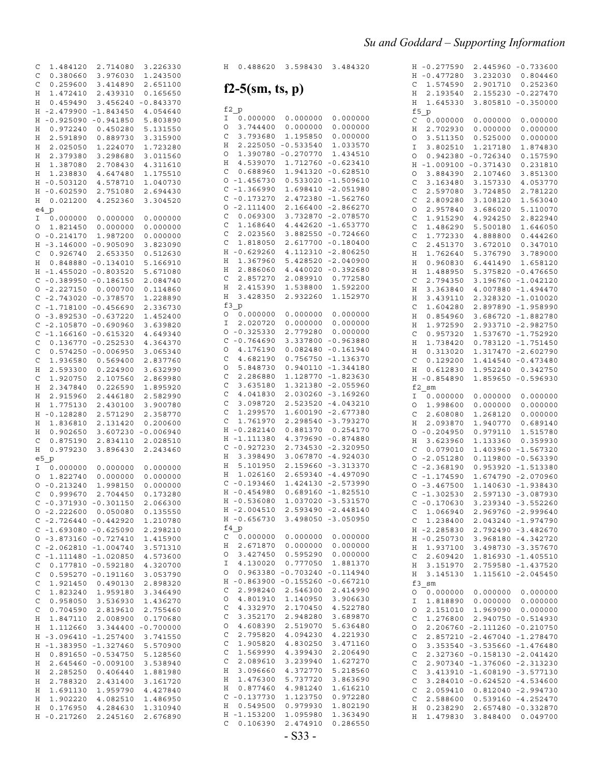### *Su and Goddard - Supporting Information*

| С<br>1.484120                     | 2.714080             | 3.226330             |
|-----------------------------------|----------------------|----------------------|
| Ċ<br>0.380660                     | 3.976030             | 1.243500             |
|                                   |                      |                      |
| C<br>0.259600                     | 3.414890             | 2.651100             |
| Η<br>1.472410                     | 2.439310             | 0.165650             |
| 0.459490<br>Η                     | 3.456240             | $-0.843370$          |
| $-2.479900$<br>Η                  | $-1.843450$          | 4.054640             |
| $-0.925090$<br>Η                  | $-0.941850$          | 5.803890             |
| 0.972240<br>Η                     | 0.450280             | 5.131550             |
| 2.591890<br>Η                     | 0.889730             | 3.315900             |
| 2.025050<br>Η                     | 1.224070             | 1.723280             |
|                                   |                      |                      |
| 2.379380<br>Η                     | 3.298680             | 3.011560             |
| 1.387080<br>Η                     | 2.708430             | 4.311610             |
| 1.238830<br>Η                     | 4.647480             | 1.175510             |
| $-0.503120$<br>Η                  | 4.578710             | 1.040730             |
| $-0.602590$<br>Η                  | 2.751080             | 2.694430             |
| 0.021200<br>Η                     | 4.252360             | 3.304520             |
| e4 p                              |                      |                      |
| Ι                                 | 0.000000             | 0.000000             |
| 0.000000                          |                      |                      |
| O<br>1.821450                     | 0.000000             | 0.000000             |
| $-0.214170$<br>О                  | 1.987200             | 0.000000             |
| $-3.146000$<br>Η                  | -0.905090            | 3.823090             |
| C<br>0.926740                     | 2.653350             | 0.512630             |
| Η<br>0.848880                     | $-0.134010$          | 5.166910             |
| Η<br>$-1.455020$                  | $-0.803520$          | 5.671080             |
| $-0.389950$<br>C                  | $-0.186150$          | 2.084740             |
|                                   |                      |                      |
| $-2.227150$<br>O                  | 0.000700             | 0.114860             |
| C<br>$-2.743020$                  | $-0.378570$          | 1.228890             |
| C<br>$-1.718100$                  | $-0.456690$          | 2.336730             |
| $-3.892530$<br>0                  | $-0.637220$          | 1.452400             |
| C<br>$-2.105870$                  | $-0.690960$          | 3.639820             |
| $-1.166160$<br>C                  | $-0.615320$          | 4.649340             |
| C<br>0.136770                     | $-0.252530$          | 4.364370             |
| C<br>0.574250                     | $-0.006950$          | 3.065340             |
|                                   |                      |                      |
| C<br>1.936580                     | 0.569400             | 2.837760             |
| 2.593300<br>Η                     | 0.224900             | 3.632990             |
| C<br>1.920750                     | 2.107560             | 2.869980             |
| 2.347840<br>Η                     | 0.226590             | 1.895920             |
| Η<br>2.915960                     | 2.446180             | 2.582990             |
| 1.775130<br>Η                     | 2.430100             | 3.900780             |
| $-0.128280$<br>Η                  | 2.571290             | 2.358770             |
|                                   |                      |                      |
| 1.836810<br>Η                     | 2.131420             | 0.200600             |
| 0.902650<br>Η                     | 3.607230             | $-0.006940$          |
| C<br>0.875190                     | 2.834110             | 2.028510             |
| 0.979230<br>Η                     | 3.896430             | 2.243460             |
| e5<br>$\mathbf{p}$                |                      |                      |
| 0.000000<br>Ι                     | 0.000000             | 0.000000             |
| 1.822740<br>O                     | 0.000000             | 0.000000             |
| O<br>$-0.213240$                  | 1.998150             | 0.000000             |
| C                                 |                      |                      |
| 0.999670                          | 2.704450             | 0.173280             |
| С<br>-0.371930                    | -0.301150            | 2.066300             |
| O<br>$-2.222600$                  | 0.050080             | 0.135550             |
| C<br>$-2.726440$                  | $-0.442920$          | 1.210780             |
| C<br>$-1.693080$                  | $-0.625090$          | 2.298210             |
| О<br>$-3.873160$                  | $-0.727410$          | 1.415900             |
| C<br>$-2.062810$                  | -1.004740            | 3.571310             |
| $\mathsf{C}$<br>$-1.111480$       | -1.020850            | 4.573600             |
|                                   |                      |                      |
| C<br>0.177810                     | $-0.592180$          | 4.320700             |
| C<br>0.595270                     | $-0.191160$          | 3.053790             |
| C<br>1.921450                     | 0.490130             | 2.898320             |
| C<br>1.823240                     | 1.959180             | 3.346490             |
| C<br>0.958050                     | 3.536930             | 1.436270             |
| C<br>0.704590                     | 2.819610             | 2.755460             |
| 1.847110<br>Η                     | 2.008900             | 0.170680             |
|                                   | 3.344400             |                      |
| 1.112660<br>Η                     |                      | $-0.700000$          |
| $-3.096410$<br>Η                  | $-1.257400$          | 3.741550             |
| $-1.383950$<br>Η                  | $-1.327460$          | 5.570900             |
| Η<br>0.891650                     | $-0.534750$          | 5.128560             |
| 2.645460<br>Η                     | $-0.009100$          | 3.538940             |
| 2.285250<br>Η                     | 0.406440             | 1.881980             |
| 2.788320<br>Η                     | 2.431400             | 3.161720             |
| 1.691130<br>Η                     | 1.959790             | 4.427840             |
| 1.902220<br>Η                     |                      |                      |
|                                   |                      |                      |
|                                   | 4.082510             | 1.486950             |
| 0.176950<br>Η<br>$-0.217260$<br>Η | 4.284630<br>2.245160 | 1.310940<br>2.676890 |

| Η<br>0.488620                                        | 3.598430                | 3.484320                   |
|------------------------------------------------------|-------------------------|----------------------------|
| $f2-5$ (sm, ts, p)                                   |                         |                            |
|                                                      |                         |                            |
| f2 p<br>0.000000<br>Ι                                | 0.000000                | 0.000000                   |
| 3.744400<br>О                                        | 0.000000                | 0.000000                   |
| 3.793680<br>C                                        | 1.195850                | 0.000000                   |
| 2.225050<br>Η                                        | $-0.533540$             | 1.033570                   |
| 1.390780<br>O                                        | $-0.270770$             | 1.434510                   |
| 4.539070<br>Η                                        | 1.712760                | $-0.623410$                |
| C<br>0.688960                                        | 1.941320                | $-0.628510$                |
| О<br>$-1.456730$<br>C<br>$-1.366990$                 | 0.533020<br>1.698410    | $-1.509610$<br>$-2.051980$ |
| C<br>$-0.173270$                                     | 2.472380                | $-1.562760$                |
| О<br>$-2.111400$                                     | 2.166400                | $-2.866270$                |
| C<br>0.069300                                        | 3.732870                | $-2.078570$                |
| C<br>1.168640                                        | 4.442620                | $-1.653770$                |
| C<br>2.023560                                        | 3.882550                | $-0.724660$                |
| C<br>1.818050                                        | 2.617700                | $-0.180400$                |
| Η<br>$-0.629260$                                     | 4.112310                | $-2.806250$                |
| 1.367960<br>Η<br>2.886060                            | 5.428520                | $-2.040900$                |
| Η<br>C<br>2.857270                                   | 4.440020<br>2.089910    | $-0.392680$<br>0.772580    |
| Η<br>2.415390                                        | 1.538800                | 1.592200                   |
| 3.428350<br>Η                                        | 2.932260                | 1.152970                   |
| f3<br>$\mathbf{p}$                                   |                         |                            |
| O<br>0.000000                                        | 0.000000                | 0.000000                   |
| I<br>2.020720                                        | 0.000000                | 0.000000                   |
| O<br>$-0.325330$                                     | 2.779280                | 0.000000                   |
| C<br>$-0.764690$<br>O                                | 3.337800                | $-0.963880$                |
| 4.176190<br>C<br>4.682190                            | 0.082480<br>0.756750    | $-0.161940$<br>$-1.136370$ |
| O<br>5.848730                                        | 0.940110                | $-1.344180$                |
| $\mathsf{C}$<br>2.286880                             | 1.128770                | $-1.823630$                |
| C<br>3.635180                                        | 1.321380                | $-2.055960$                |
| C<br>4.041830                                        | 2.030260                | $-3.169260$                |
| C<br>3.098720                                        | 2.523520                | $-4.043210$                |
| C<br>1.299570                                        | 1.600190                | $-2.677380$                |
| C<br>1.761970<br>Η<br>$-0.282140$                    | 2.298540<br>0.881370    | $-3.793270$                |
| -1.111380<br>Η                                       | 4.379690                | 0.254170<br>$-0.874880$    |
| C<br>$-0.927230$                                     | 2.734530                | $-2.320950$                |
| 3.398490<br>Η                                        | 3.067870                | $-4.924030$                |
| 5.101950<br>Η                                        | 2.159660                | $-3.313370$                |
| 1.026160<br>Η                                        | 2.659340                | $-4.497090$                |
| $-0.193460$<br>C                                     | 1.424130                | $-2.573990$                |
| $-0.454980$<br>Η<br>$-0.536080$<br>Η                 | 0.689160<br>1.037020    | $-1.825510$<br>$-3.531570$ |
| $-2.004510$ 2.593490 $-2.448140$<br>Η                |                         |                            |
| $-0.656730$<br>Η                                     |                         | $3.498050 - 3.050950$      |
| $f4_p$                                               |                         |                            |
| C<br>0.000000                                        | 0.000000                | 0.000000                   |
| 2.671870<br>Η                                        | 0.000000                | 0.000000                   |
| 3.427450<br>O                                        | 0.595290                | 0.000000                   |
| 4.130020<br>Ι<br>O<br>0.963380                       | 0.777050<br>$-0.703240$ | 1.881370<br>$-0.114940$    |
| Η<br>$-0.863900$                                     | $-0.155260$             | $-0.667210$                |
| C<br>2.998240                                        | 2.546300                | 2.414990                   |
| O<br>4.801910                                        | 1.140950                | 3.906630                   |
| $\mathbf C$<br>4.332970                              | 2.170450                | 4.522780                   |
| $\mathsf{C}$<br>3.352170                             | 2.948280                | 3.689870                   |
| $\circ$<br>4.608390                                  | 2.519070                | 5.636480                   |
| $\mathbf C$<br>2.795820                              | 4.094230                | 4.221930                   |
| $\mathsf{C}$<br>1.905820<br>$\mathsf{C}$<br>1.569990 | 4.830250<br>4.399430    | 3.471160<br>2.206490       |
| $\mathsf{C}$<br>2.089610                             | 3.239940                | 1.627270                   |
| Η<br>3.096660                                        | 4.372770                | 5.218560                   |
| 1.476300<br>Η                                        | 5.737720                | 3.863690                   |
| Η<br>0.877460                                        | 4.981240                | 1.616210                   |
| $-0.137730$<br>C                                     | 1.123750                | 0.972280                   |
| Η<br>0.549500                                        | 0.979930                | 1.802190                   |
| Η<br>$-1.153200$                                     | 1.095980                | 1.363490                   |

| Η            | $-0.277590$ | 2.445960    | $-0.733600$ |
|--------------|-------------|-------------|-------------|
|              |             |             |             |
| Η            | $-0.477280$ | 3.232030    | 0.804460    |
| С            | 1.574590    | 2.901710    | 0.252360    |
| Η            | 2.193540    | 2.155230    | $-0.227470$ |
|              |             |             |             |
| Η            | 1.645330    | 3.805810    | $-0.350000$ |
| f5           | p           |             |             |
| С            | 0.000000    | 0.000000    | 0.000000    |
| Η            | 2.702930    | 0.000000    | 0.000000    |
|              |             |             |             |
| Ο            | 3.511350    | 0.525000    | 0.000000    |
| I            | 3.802510    | 1.217180    | 1.874830    |
| Ο            | 0.942380    | $-0.726340$ | 0.157590    |
|              |             |             |             |
| Η            | 1.009100    | 0.371430    | 0.231810    |
| Ο            | 3.884390    | 2.107460    | 3.851300    |
| C            | 3.163480    | 3.157330    | 4.053770    |
| С            | 2.597080    | 3.724850    | 2.781220    |
|              |             |             |             |
| C            | 2.809280    | 3.108120    | 1.563040    |
| O            | 2.957840    | 3.686020    | 5.110070    |
| C            | 1.915290    | 4.924250    | 2.822940    |
| С            | 1.486290    | 5.500180    | 1.646050    |
|              |             |             |             |
| С            | 1.772330    | 4.888800    | 0.444260    |
| С            | 2.451370    | 3.672010    | 0.347010    |
| Η            | 1.762640    | 5.376790    | 3.789000    |
| Η            | 0.960830    | 6.441490    | 1.658120    |
|              |             |             |             |
| Η            | 1.488950    | 5.375820    | -0.476650   |
| С            | 2.794350    | 3.196760    | $-1.042120$ |
| Η            | 3.363840    | 4.007880    | $-1.494470$ |
|              |             |             |             |
| Η            | 3.439110    | 2.328320    | -1.010020   |
| С            | 1.604280    | 2.897890    | $-1.958990$ |
| Η            | 0.854960    | 3.686720    | $-1.882780$ |
| Η            | 1.972590    | 2.933710    | -2.982750   |
|              |             |             |             |
| С            | 0.957320    | 1.537670    | -1.752920   |
| Η            | 1.738420    | 0.783120    | -1.751450   |
| Η            | 0.313020    | 1.317470    | $-2.602790$ |
| C            | 0.129200    | 1.414540    | -0.473480   |
|              |             |             | 0.342750    |
|              |             |             |             |
| Η            | 0.612830    | 1.952240    |             |
| Η            | -0.854890   | 1.859650    | -0.596930   |
| f2           | sm          |             |             |
| Ι            | 0.000000    | 0.000000    | 0.000000    |
|              |             |             |             |
| Ο            | 1.998600    | 0.000000    | 0.000000    |
| С            | 2.608080    | 1.268120    | 0.000000    |
| Η            | 2.093870    | 1.940770    | 0.689140    |
| Ο            | -0.204950   | 0.979110    | 1.515780    |
| Η            | 3.623960    | 1.133360    | 0.359930    |
|              |             |             |             |
| С            | 0.079010    | 1.403960    | $-1.567320$ |
| Ο            | $-2.051280$ | 0.119800    | -0.563390   |
| C            | $-2.368190$ | 0.953920    | $-1.513380$ |
| C            | $-1.174590$ | 1.674790    | $-2.070960$ |
|              |             |             |             |
| Ο            | $-3.467500$ | 1.140630    | $-1.938430$ |
| C            | $-1.302530$ | 2.597130    | $-3.087930$ |
| С            | $-0.170630$ | 3.239340    | $-3.552260$ |
| C            | 1.066940    | 2.969760    | $-2.999640$ |
|              |             |             |             |
| С            | 1.238400    | 2.043240    | $-1.974790$ |
| Η            | $-2.285830$ | 2.792490    | $-3.482670$ |
| Η            | $-0.250730$ | 3.968180    | $-4.342720$ |
| Η            | 1.937100    | 3.498730    | $-3.357670$ |
|              |             |             |             |
| С            | 2.609420    | 1.816930    | $-1.405510$ |
| Η            | 3.151970    | 2.759580    | $-1.437520$ |
| Η            | 3.145130    | 1.115610    | $-2.045450$ |
| f3           | sm          |             |             |
| O            | 0.000000    | 0.000000    | 0.000000    |
|              |             |             |             |
| Ι            | 1.818890    | 0.000000    | 0.000000    |
| O            | 2.151010    | 1.969090    | 0.000000    |
| С            | 1.276800    | 2.940750    | $-0.514930$ |
| Ο            | 2.206760    | -2.111260   | $-0.210750$ |
|              |             |             |             |
| С            | 2.857210    | -2.467040   | $-1.278470$ |
| Ο            | 3.353540    | $-3.535660$ | $-1.476480$ |
| C            | 2.327360    | $-0.158130$ | $-2.041420$ |
| C            | 2.907340    | -1.376060   | $-2.313230$ |
|              | 3.413910    | $-1.608190$ | -3.577130   |
| $\mathsf{C}$ |             |             |             |
| C            | 3.284010    | $-0.624520$ | $-4.534600$ |
| C            | 2.059410    | 0.812040    | $-2.994730$ |
| С            | 2.588600    | 0.539160    | $-4.252470$ |
| H            | 0.238290    | 2.657480    | $-0.332870$ |

- S33 - C 0.106390 2.474910 0.286550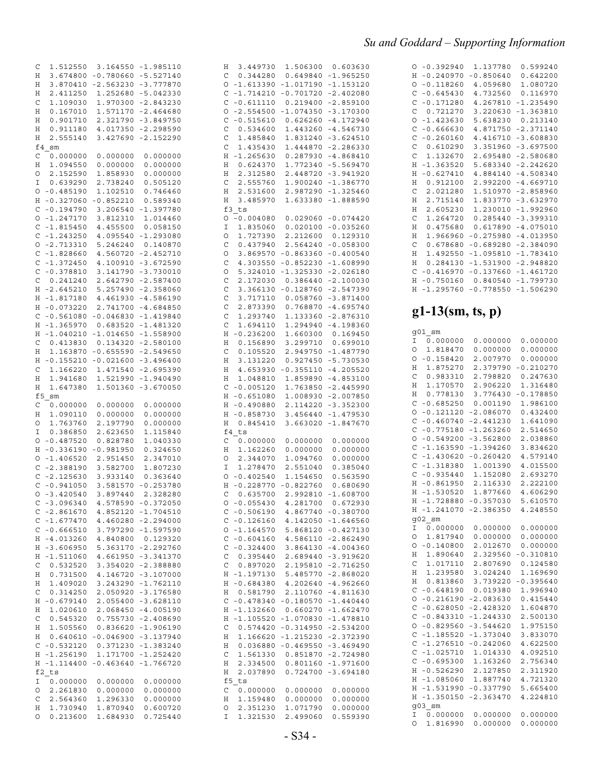| Η                                                         | 3.449730                                                                                                                                                                | 1.506300                                                                                                                                        | 0.603630                                                                                                                                                    |
|-----------------------------------------------------------|-------------------------------------------------------------------------------------------------------------------------------------------------------------------------|-------------------------------------------------------------------------------------------------------------------------------------------------|-------------------------------------------------------------------------------------------------------------------------------------------------------------|
| C                                                         | 0.344280                                                                                                                                                                | 0.649840                                                                                                                                        | $-1.965250$                                                                                                                                                 |
| O                                                         | $-1.613390$                                                                                                                                                             | $-1.017190$                                                                                                                                     | $-1.153120$                                                                                                                                                 |
| C                                                         | $-1.714210$                                                                                                                                                             | $-0.701720$                                                                                                                                     | $-2.402080$                                                                                                                                                 |
| C                                                         | $-0.611110$                                                                                                                                                             | 0.219400                                                                                                                                        | $-2.859100$                                                                                                                                                 |
| O                                                         | $-2.554500$                                                                                                                                                             | $-1.074350$                                                                                                                                     | $-3.170300$                                                                                                                                                 |
| С                                                         | $-0.515610$                                                                                                                                                             | 0.626260                                                                                                                                        | $-4.172940$                                                                                                                                                 |
| C                                                         | 0.534600                                                                                                                                                                | 1.443260                                                                                                                                        | $-4.546730$                                                                                                                                                 |
| C                                                         | 1.485840                                                                                                                                                                | 1.831240                                                                                                                                        | $-3.624510$                                                                                                                                                 |
| C                                                         | 1.435430                                                                                                                                                                | 1.444870                                                                                                                                        | $-2.286330$                                                                                                                                                 |
| Η                                                         | $-1.265630$                                                                                                                                                             | 0.287930                                                                                                                                        | $-4.868410$                                                                                                                                                 |
| Η                                                         | 0.624370                                                                                                                                                                | 1.772340                                                                                                                                        | $-5.569470$                                                                                                                                                 |
| Η                                                         | 2.312580                                                                                                                                                                | 2.448720                                                                                                                                        | $-3.941920$                                                                                                                                                 |
| C                                                         | 2.555760                                                                                                                                                                | 1.900240                                                                                                                                        | $-1.386770$                                                                                                                                                 |
| Η                                                         | 2.531600                                                                                                                                                                | 2.987290                                                                                                                                        | $-1.325460$                                                                                                                                                 |
| Η<br>0<br>Ι<br>O<br>C<br>O<br>C<br>$\circ$<br>C<br>C<br>C | 3.485970<br>f3 ts<br>$-0.004080$<br>1.835060<br>1.727390<br>0.437940<br>3.869570<br>4.303550<br>5.324010<br>2.172030<br>3.366130<br>3.717110                            | 1.633380<br>0.029060<br>0.020100<br>2.212600<br>2.564240<br>$-0.863360$<br>$-0.852230$<br>$-1.325330$<br>0.386440<br>$-0.128760$<br>0.058760    | $-1.888590$<br>$-0.074420$<br>$-0.035260$<br>0.129310<br>$-0.058300$<br>$-0.400540$<br>$-1.608990$<br>$-2.026180$<br>$-2.100030$<br>-2.547390<br>-3.871400  |
| C                                                         | 2.873390                                                                                                                                                                | 0.768870                                                                                                                                        | $-4.695740$                                                                                                                                                 |
| C                                                         | 1.293740                                                                                                                                                                | 1.133360                                                                                                                                        | $-2.876310$                                                                                                                                                 |
| C                                                         | 1.694110                                                                                                                                                                | 1.294940                                                                                                                                        | $-4.198360$                                                                                                                                                 |
| Η                                                         | $-0.236200$                                                                                                                                                             | 1.660300                                                                                                                                        | 0.169450                                                                                                                                                    |
| Η                                                         | 0.156890                                                                                                                                                                | 3.299710                                                                                                                                        | 0.699010                                                                                                                                                    |
| C                                                         | 0.105520                                                                                                                                                                | 2.949750                                                                                                                                        | -1.487790                                                                                                                                                   |
| Η                                                         | 3.131220                                                                                                                                                                | 0.927450                                                                                                                                        | $-5.730530$                                                                                                                                                 |
| Η                                                         | 4.653930                                                                                                                                                                | $-0.355110$                                                                                                                                     | $-4.205520$                                                                                                                                                 |
| Η                                                         | 1.048810                                                                                                                                                                | 1.859890                                                                                                                                        | $-4.853100$                                                                                                                                                 |
| C                                                         | $-0.005120$                                                                                                                                                             | 1.763850                                                                                                                                        | $-2.445990$                                                                                                                                                 |
| Η                                                         | $-0.651080$                                                                                                                                                             | 1.008930                                                                                                                                        | $-2.007850$                                                                                                                                                 |
| Η                                                         | $-0.490880$                                                                                                                                                             | 2.114220                                                                                                                                        | $-3.352300$                                                                                                                                                 |
| Η                                                         | $-0.858730$                                                                                                                                                             | 3.456440                                                                                                                                        | $-1.479530$                                                                                                                                                 |
| Η<br>C<br>Η<br>0<br>Ι<br>O<br>Η<br>C<br>0<br>С<br>С<br>0  | 0.845410<br>f4 ts<br>0.000000<br>1.162260<br>2.344070<br>1.278470<br>$-0.402540$<br>$-0.228770$<br>0.635700<br>$-0.055430$<br>$-0.506190$<br>$-0.126160$<br>$-1.164570$ | 3.663020<br>0.000000<br>0.000000<br>1.094760<br>2.551040<br>1.154650<br>$-0.822760$<br>2.992810<br>4.281700<br>4.867740<br>4.142050<br>5.868120 | $-1.847670$<br>0.000000<br>0.000000<br>0.000000<br>0.385040<br>0.563590<br>0.680690<br>$-1.608700$<br>0.672930<br>$-0.380700$<br>$-1.646560$<br>$-0.427130$ |
| С                                                         | $-0.604160$                                                                                                                                                             | 4.586110                                                                                                                                        | $-2.862490$                                                                                                                                                 |
| C                                                         | $-0.324400$                                                                                                                                                             | 3.864130                                                                                                                                        | $-4.004360$                                                                                                                                                 |
| С                                                         | 0.395440                                                                                                                                                                | 2.689440                                                                                                                                        | $-3.919620$                                                                                                                                                 |
| C                                                         | 0.897020                                                                                                                                                                | 2.195810                                                                                                                                        | $-2.716250$                                                                                                                                                 |
| Η                                                         | $-1.197130$                                                                                                                                                             | 5.485770                                                                                                                                        | $-2.868020$                                                                                                                                                 |
| Η                                                         | $-0.684380$                                                                                                                                                             | 4.202640                                                                                                                                        | $-4.962660$                                                                                                                                                 |
| Η                                                         | 0.581790                                                                                                                                                                | 2.110760                                                                                                                                        | $-4.811630$                                                                                                                                                 |
| С                                                         | $-0.478340$                                                                                                                                                             | $-0.180570$                                                                                                                                     | $-1.440440$                                                                                                                                                 |
| Η                                                         | $-1.132660$                                                                                                                                                             | 0.660270                                                                                                                                        | $-1.662470$                                                                                                                                                 |
| Η                                                         | $-1.105520$                                                                                                                                                             | $-1.070830$                                                                                                                                     | $-1.478810$                                                                                                                                                 |
| С                                                         | 0.574420                                                                                                                                                                | $-0.314950$                                                                                                                                     | $-2.534200$                                                                                                                                                 |
| Η                                                         | 1.166620                                                                                                                                                                | $-1.215230$                                                                                                                                     | $-2.372390$                                                                                                                                                 |
| Η                                                         | 0.036880                                                                                                                                                                | $-0.469550$                                                                                                                                     | $-3.469490$                                                                                                                                                 |
| С<br>Η<br>Η<br>f5<br>С<br>Η<br>0<br>Ι                     | 1.561330<br>2.334500<br>2.037890<br>ts<br>0.000000<br>1.159480<br>2.351230<br>1.321530                                                                                  | 0.851870<br>0.801160<br>0.724700<br>0.000000<br>0.000000<br>1.071790<br>2.499060                                                                | $-2.724980$<br>$-1.971600$<br>$-3.694180$<br>0.000000<br>0.000000<br>0.000000<br>0.559390                                                                   |

| $\Omega$      | $-0.392940$ | 1.137780    | 0.599240    |
|---------------|-------------|-------------|-------------|
| H             | $-0.240970$ | $-0.850640$ | 0.642200    |
| $\Omega$      | $-0.118260$ | 4.059680    | 1.080720    |
| C             | $-0.645430$ | 4.732560    | 0.116970    |
| C             | $-0.171280$ | 4.267810    | $-1.235490$ |
| C             | 0.721270    | 3.220630    | $-1.363810$ |
| $\Omega$      | $-1.423630$ | 5.638230    | 0.213140    |
| C             | $-0.666630$ | 4.871750    | $-2.371140$ |
| C             | $-0.260160$ | 4.416710    | $-3.608830$ |
| C             | 0.610290    | 3.351960    | $-3.697500$ |
| C             | 1.132670    | 2.695480    | $-2.580680$ |
| H             | $-1.363520$ | 5.683340    | $-2.242620$ |
| H             | $-0.627410$ | 4.884140    | $-4.508340$ |
| H             | 0.912100    | 2.992200    | $-4.669710$ |
| $\mathcal{C}$ | 2.021280    | 1.510970    | $-2.858960$ |
| H             | 2.715140    | 1.833770    | $-3.632970$ |
| H             | 2.605230    | 1.230010    | $-1.992960$ |
| $\mathcal{C}$ | 1.264720    | 0.285440    | $-3.399310$ |
| H             | 0.475680    | 0.617890    | $-4.075010$ |
| H             | 1.966960    | $-0.275980$ | $-4.013950$ |
| C             | 0.678680    | $-0.689280$ | $-2.384090$ |
| H             | 1.492550    | $-1.095810$ | $-1.783410$ |
| H             | 0.284130    | $-1.531900$ | $-2.948820$ |
| $\mathcal{C}$ | $-0.416970$ | $-0.137660$ | $-1.461720$ |
| H             | $-0.750160$ | 0.840540    | $-1.799730$ |
| H             | $-1.295760$ | $-0.778550$ | $-1.506290$ |
|               |             |             |             |

### $g1-13$ (sm, ts, p)

| g01 sm                      |             |             |
|-----------------------------|-------------|-------------|
| 0.000000<br>Ι               | 0.000000    | 0.000000    |
| 1.818470<br>O               | 0.000000    | 0.000000    |
| O<br>$-0.158420$            | 2.007970    | 0.000000    |
| Η<br>1.875270               | 2.379790    | $-0.210270$ |
| C<br>0.983310               | 2.798820    | 0.247630    |
| Η<br>1.170570               | 2.906220    | 1.316480    |
| Η<br>0.778130               | 3.776430    | $-0.178850$ |
|                             |             |             |
| C<br>$-0.685250$            | 0.001190    | 1.986100    |
| O<br>$-0.121120$            | $-2.086070$ | 0.432400    |
| C<br>$-0.460740$            | $-2.441230$ | 1.641090    |
| C<br>$-0.775180$            | $-1.263260$ | 2.514650    |
| O<br>$-0.549200$            | $-3.562800$ | 2.038860    |
| C<br>$-1.163590$            | $-1.394260$ | 3.834620    |
| Ċ<br>$-1.430620$            | $-0.260420$ | 4.579140    |
| C<br>$-1.318380$            | 1.001390    | 4.015500    |
| $\mathsf{C}$<br>$-0.935440$ | 1.152080    | 2.693270    |
| $-0.861950$<br>Η            | 2.116330    | 2.222100    |
| $-1.530520$<br>Η            | 1.877660    | 4.606290    |
| $-1.728880$<br>Η            | $-0.357030$ | 5.610570    |
| $-1.241070$<br>Η            | $-2.386350$ | 4.248550    |
| g02 sm                      |             |             |
| 0.000000<br>Ι               | 0.000000    | 0.000000    |
| 1.817940<br>O               | 0.000000    | 0.000000    |
| O<br>$-0.140800$            | 2.012670    | 0.000000    |
| 1.890640<br>Η               | 2.329560    | $-0.310810$ |
| 1.017110<br>C               | 2.807690    | 0.124580    |
| 1.239580<br>Н               | 3.024240    | 1.169690    |
| Η<br>0.813860               | 3.739220    | $-0.395640$ |
| C<br>$-0.648190$            | 0.019380    | 1.996940    |
| $-0.216190$<br>O            | $-2.083630$ | 0.415440    |
| C<br>$-0.628050$            | $-2.428320$ | 1.604870    |
| C<br>$-0.843310$            | $-1.244330$ | 2.500130    |
| O<br>$-0.829560$            | $-3.544620$ | 1.975150    |
| C<br>$-1.185520$            | $-1.373040$ | 3.833070    |
| C<br>$-1.276510$            | $-0.242060$ | 4.622500    |
| C<br>$-1.025710$            | 1.014330    | 4.092510    |
| C<br>$-0.695300$            | 1.163260    | 2.756340    |
| $-0.526290$<br>Η            | 2.127850    | 2.311920    |
| $-1.085060$<br>Η            | 1.887740    | 4.721320    |
| $-1.531990$<br>Η            | $-0.337790$ | 5.665400    |
| $-1.350150$<br>Η            | $-2.363470$ | 4.224810    |
| g03 sm                      |             |             |
| 0.000000<br>I               | 0.000000    | 0.000000    |
| O<br>1.816990               | 0.000000    | 0.000000    |

| C              | 1.512550             | 3.164550    | $-1.985110$ |
|----------------|----------------------|-------------|-------------|
| Η              | 3.674800             | $-0.780660$ | $-5.527140$ |
| Η              | 3.870410             | $-2.563230$ | $-3.777870$ |
| Η              | 2.411250             | 1.252680    | $-5.042330$ |
| C              | 1.109030             | 1.970300    | $-2.843230$ |
|                |                      |             |             |
| Η              | 0.167010             | 1.571170    | $-2.464680$ |
| Η              | 0.901710             | 2.321790    | $-3.849750$ |
| Η              | 0.911180             | 4.017350    | $-2.298590$ |
| Η              | 2.555140             | 3.427690    | $-2.152290$ |
| f4             | sm                   |             |             |
| C              | 0.000000             | 0.000000    | 0.000000    |
| Η              | 1.094550             | 0.000000    | 0.000000    |
| O              | 2.152590             | 1.858930    | 0.000000    |
| I              | 0.639290             | 2.738240    | 0.505120    |
| O              | $-0.485190$          | 1.102510    | 0.746460    |
| Η              | $-0.327060$          | $-0.852210$ | 0.589340    |
| C              | $-0.194790$          | 3.206540    | $-1.397780$ |
| O              | $-1.247170$          | 3.812310    | 1.014460    |
| C              | -1.815450            | 4.455500    | 0.058150    |
| C              | $-1.243250$          | 4.095540    | $-1.293080$ |
| $\circ$        | $-2.713310$          | 5.246240    | 0.140870    |
| C              | $-1.828660$          | 4.560720    | $-2.452710$ |
| C              | $-1.372450$          | 4.100910    | $-3.672590$ |
| C              |                      |             |             |
|                | $-0.378810$          | 3.141790    | $-3.730010$ |
| C              | 0.241240             | 2.642790    | $-2.587400$ |
| Η              | $-2.645210$          | 5.257490    | $-2.358060$ |
| Η              | -1.817180            | 4.461930    | -4.586190   |
| Η              | $-0.073220$          | 2.741700    | $-4.684850$ |
| C              | $-0.561080$          | $-0.046830$ | $-1.419840$ |
| Η              | $-1.365970$          | 0.683520    | $-1.481320$ |
| Η              | $-1.040210$          | $-1.014650$ | $-1.558900$ |
| C              | 0.413830             | 0.134320    | $-2.580100$ |
| Η              | 1.163870             | $-0.655590$ | $-2.549650$ |
| Η              | $-0.155210$          | $-0.021600$ | $-3.496400$ |
| C              | 1.166220             | 1.471540    | $-2.695390$ |
| Η              | 1.941680             | 1.521990    | $-1.940490$ |
|                |                      |             |             |
|                |                      |             |             |
| Η              | 1.647380             | 1.501360    | $-3.670050$ |
| f <sub>5</sub> | sm                   |             |             |
| C              | 0.000000             | 0.000000    | 0.000000    |
| Η              | 1.090110             | 0.000000    | 0.000000    |
| 0              | 1.763760             | 2.197790    | 0.000000    |
| I              | 0.386850             | 2.623650    | 1.115840    |
| O              | $-0.487520$          | 0.828780    | 1.040330    |
| Η              | $-0.336190$          | $-0.981950$ | 0.324650    |
| O              | $-1.406520$          | 2.951450    | 2.347010    |
| C              | $-2.388190$          | 3.582700    | 1.807230    |
| C              | $-2.125630$          | 3.933140    | 0.363640    |
| C              | $-0.941050$          | 3.581570    | $-0.253780$ |
|                |                      |             |             |
| O              | $-3.420540$          | 3.897440    | 2.328280    |
| C              | -3.096340            | 4.578590    | $-0.372050$ |
| C              | $-2.861670$          | 4.852120    | $-1.704510$ |
| $\mathbf C$    | $-1.677470$          | 4.460280    | $-2.294000$ |
| C              | $-0.666510$          | 3.797290    | -1.597590   |
| H              | $-4.013260$          | 4.840800    | 0.129320    |
| Η              | $-3.606950$          | 5.363170    | -2.292760   |
| Η              | $-1.511060$          | 4.661950    | $-3.341370$ |
| C              | 0.532520             | 3.354020    | $-2.388880$ |
| Η              | 0.731500             | 4.146720    | $-3.107000$ |
| Η              | 1.409020             | 3.243290    | -1.762110   |
| C              | 0.314250             | 2.050920    | $-3.176580$ |
| Η              | $-0.679140$          | 2.055400    | $-3.628110$ |
| Η              | 1.020610             | 2.068450    | $-4.005190$ |
| C              |                      |             | $-2.408690$ |
|                | 0.545320             | 0.755730    |             |
| Η              | 1.505560             | 0.836620    | $-1.906190$ |
| Η              | 0.640610             | $-0.046900$ | $-3.137940$ |
| C              | $-0.532120$          | 0.371230    | $-1.383240$ |
| Η              | -1.256190            | 1.171700    | $-1.252420$ |
| Η              | -1.114400            | $-0.463640$ | $-1.766720$ |
|                | f2 ts                |             |             |
| Ι              | 0.000000             | 0.000000    | 0.000000    |
| 0              | 2.261830             | 0.000000    | 0.000000    |
| C              | 2.564360             | 1.296330    | 0.000000    |
| Η<br>$\circ$   | 1.730940<br>0.213600 | 1.870940    | 0.600720    |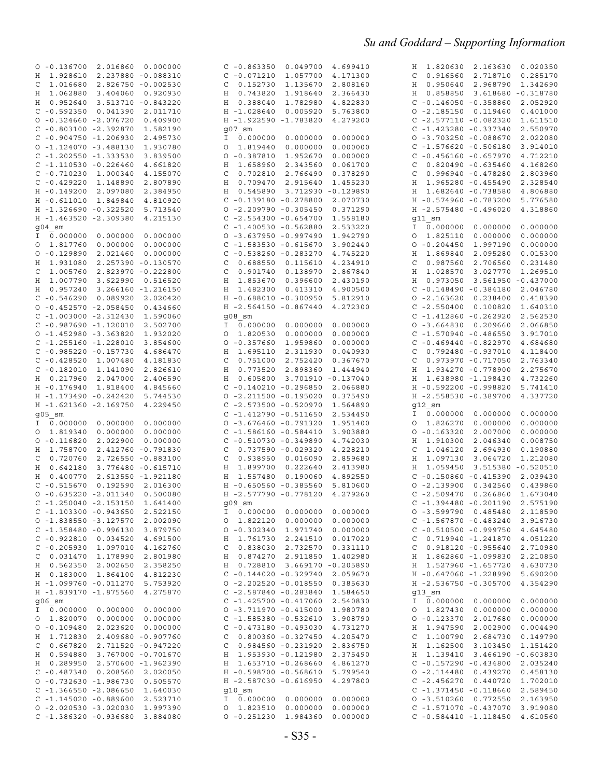| $0 - 0.136700$<br>2.016860<br>0.000000                             | 0.049700<br>$C - 0.863350$            | 4.699410             | 1.820630 2.163630<br>H               | 0.020350 |
|--------------------------------------------------------------------|---------------------------------------|----------------------|--------------------------------------|----------|
| H 1.928610<br>2.237880 -0.088310                                   | $C - 0.071210$<br>1.057700            | 4.171300             | 0.916560<br>2.718710<br>C            | 0.285170 |
| 1.016680<br>2.826750 -0.002530<br>C                                | 0.152730<br>1.135670<br>C             | 2.808160             | 0.950640 2.968790<br>H               | 1.342690 |
| H 1.062880<br>3.404060<br>0.920930                                 | 0.743820<br>1.918640<br>Η             | 2.366430             | 0.858850<br>3.618680 -0.318780<br>Η  |          |
| H 0.952640<br>3.513710 -0.843220                                   | 0.388040<br>1.782980<br>Η             | 4.822830             | $C - 0.146050 - 0.358860$            | 2.052920 |
| $C - 0.592350$<br>0.041390<br>2.011710                             | H -1.028640<br>0.005920               | 5.763800             | $0 - 2.185150$<br>0.119460           | 0.401000 |
| $0 - 0.324660 - 2.076720$<br>0.409900                              | H -1.922590 -1.783820                 | 4.279200             | $C - 2.577110 - 0.082320$            | 1.611510 |
| $C - 0.803100 - 2.392870$<br>1.582190                              | g07 sm                                |                      | $C - 1.423280 - 0.337340$            | 2.550970 |
| $C - 0.904750 - 1.206930$<br>2.495730                              | 0.000000<br>0.000000<br>I             | 0.000000             | $0 - 3.703250 - 0.088670$            | 2.022080 |
| $0 - 1.124070 - 3.488130$<br>1.930780                              | 1.819440<br>0.000000<br>0             | 0.000000             | $C - 1.576620 - 0.506180$            | 3.914010 |
| $C - 1.202550 - 1.333530$<br>3.839500                              | $0 - 0.387810$<br>1.952670            | 0.000000             | $C - 0.456160 - 0.657970$            | 4.712210 |
| $C - 1.110530 - 0.226460$<br>4.661820                              | 1.658960<br>2.343560<br>Н             | 0.061700             | $0.820490 - 0.635460$<br>C           | 4.168260 |
| $C - 0.710230$<br>1.000340<br>4.155070                             | 0.702810<br>2.766490<br>C             | 0.378290             | $0.996940 - 0.478280$<br>C           | 2.803960 |
| $C - 0.429220$<br>1.148890<br>2.807890                             | 0.709470<br>2.915640<br>Н             | 1.455230             | 1.965280 -0.455490<br>Η              | 2.328540 |
| $H - 0.149200$<br>2.097080<br>2.384950                             | 3.712930 -0.129890<br>Η<br>0.545890   |                      | 1.682640 -0.738580<br>Η              | 4.806880 |
| $H - 0.611010$<br>1.849840<br>4.810920                             | $C - 0.139180 - 0.278800$             | 2.070730             | H -0.574960 -0.783200                | 5.776580 |
| H -1.326690 -0.322520<br>5.713540                                  | $0 - 2.209790 - 0.305450$             | 0.371290             | H -2.575480 -0.496020                | 4.318860 |
| H -1.463520 -2.309380<br>4.215130                                  | $C - 2.554300 - 0.654700$             | 1.558180             | $911$ sm                             |          |
| $904$ sm                                                           | $C - 1.400530 - 0.562880$             | 2.533220             | 0.000000<br>0.000000<br>$\mathbf{I}$ | 0.000000 |
| I 0.000000<br>0.000000<br>0.000000                                 | $0 - 3.637950 - 0.997490$             | 1.942790             | 1.825110<br>0.000000<br>0            | 0.000000 |
| 0 1.817760<br>0.000000<br>0.000000                                 | $C - 1.583530 - 0.615670$             | 3.902440             | $0 - 0.204450$<br>1.997190           | 0.000000 |
| $0 - 0.129890$<br>2.021460<br>0.000000                             | $C - 0.538260 - 0.283270$             | 4.745220             | 1.869840<br>2.095280<br>Η            | 0.015300 |
| H 1.931080<br>2.257390 -0.130570                                   | 0.688550<br>C<br>0.115610             | 4.234910             | 0.987560<br>2.706560<br>C            | 0.231480 |
| 1.005760<br>2.823970 -0.222800<br>C                                | 0.901740<br>0.138970<br>C             | 2.867840             | 1.028570<br>3.027770<br>Н            | 1.269510 |
| H 1.007790<br>3.622990<br>0.516520                                 | 0.396600<br>1.853670<br>Н             | 2.430190             | 0.973050<br>3.561950 -0.437000<br>Η  |          |
| H 0.957240<br>3.266160 -1.216150                                   | 1.482300<br>0.413310<br>Η             | 4.900500             | $C - 0.148490 - 0.384180$            | 2.046780 |
| $C - 0.546290$<br>0.089920<br>2.020420                             | H -0.688010 -0.300950                 | 5.812910             | $0 - 2.163620$<br>0.238400           | 0.418390 |
| $0 - 0.452570 - 2.058450$<br>0.434660                              | H -2.564150 -0.867440                 | 4.272300             | $C - 2.550400$<br>0.100820           | 1.640310 |
| $C - 1.003000 - 2.312430$<br>1.590060                              | g08 sm                                |                      | $-1.412860 - 0.262920$<br>C          | 2.562530 |
| $C - 0.987690 - 1.120010$<br>2.502700                              | 0.000000<br>0.000000<br>Ι.            | 0.000000             | $0 - 3.664830$<br>0.209660           | 2.066850 |
| $0 - 1.452980 - 3.363820$<br>1.932020                              | 1.820530<br>0.000000<br>O             | 0.000000             | $C - 1.570940 - 0.486550$            | 3.917010 |
| $C - 1.255160 - 1.228010$<br>3.854600                              | $0 - 0.357660$<br>1.959860            | 0.000000             | $C - 0.469440 - 0.822970$            | 4.684680 |
| $C - 0.985220 - 0.157730$<br>4.686470                              | 1.695110<br>2.311930<br>Н             | 0.040930             | 0.792480 -0.937010<br>C              | 4.118400 |
| $C - 0.428520$<br>1.007480<br>4.181830                             | 0.751000<br>2.752420<br>C             | 0.367670             | $0.973970 - 0.717050$<br>C           | 2.763340 |
| $C - 0.182010$<br>2.826610<br>1.141090                             | 0.773520<br>2.898360<br>H             | 1.444940             | 1.934270 -0.778900<br>Η              | 2.275670 |
| H 0.217960<br>2.047000<br>2.406590                                 | 0.605800<br>3.701910 -0.137040<br>Η   |                      | 1.638980 -1.198430<br>Н              | 4.732260 |
|                                                                    |                                       |                      |                                      |          |
|                                                                    |                                       |                      |                                      |          |
| H - 0.176940<br>1.818400<br>4.845660                               | $C - 0.140210 - 0.296850$             | 2.066880             | H -0.592200 -0.998820                | 5.741410 |
| H -1.173490 -0.242420<br>5.744530                                  | $0 - 2.211500 - 0.195020$             | 0.375490             | H -2.558530 -0.389700                | 4.337720 |
| H -1.621360 -2.169750<br>4.229450                                  | $C - 2.573500 - 0.520970$             | 1.564890             | g12 sm                               |          |
| $905$ sm                                                           | $C - 1.412790 - 0.511650$             | 2.534490             | $I \ 0.000000$<br>0.000000           | 0.000000 |
| I 0.000000<br>0.000000<br>0.000000                                 | $0 - 3.676460 - 0.791320$             | 1.951400             | 1.826270<br>0.000000<br>O            | 0.000000 |
| 0 1.819340<br>0.000000<br>0.000000                                 | $C - 1.586160 - 0.584410$             | 3.903880             | $0 - 0.163320$<br>2.007000           | 0.000000 |
| $0 - 0.116820$<br>2.022900<br>0.000000                             | $C - 0.510730 - 0.349890$             | 4.742030             | 1.910300<br>Η<br>2.046340            | 0.008750 |
| H 1.758700<br>2.412760 -0.791830                                   | $0.737590 - 0.029320$<br>C            | 4.228210             | 1.046120<br>2.694930<br>C            | 0.190880 |
| 0.720760<br>2.726550 -0.883100<br>C                                | 0.938950<br>0.016090<br>C             | 2.859680             | 1.097130<br>Η<br>3.064720            | 1.212080 |
| H 0.642180<br>3.776480 -0.615710                                   | 1.899700<br>0.222640<br>Η             | 2.413980             | 1.059450<br>3.515380 -0.520510<br>Η  |          |
| H 0.400770<br>2.613550 -1.921180                                   | 1.557480<br>0.190060<br>Н             | 4.892550             | $C - 0.150860 - 0.415390$            | 2.039430 |
| $C - 0.515670$<br>0.192590<br>2.016300                             | H -0.650560 -0.385560                 | 5.810600             | $0 - 2.139900$<br>0.342560           | 0.439860 |
| $0 - 0.635220 - 2.011340$<br>0.500080                              | H -2.577790 -0.778120                 | 4.279260             | $C - 2.509470$<br>0.266860           | 1.673040 |
| $C - 1.250040 - 2.153150 1.641400$                                 | $909$ _sm                             |                      | $C - 1.394480 - 0.201190 2.575190$   |          |
| $C - 1.103300 - 0.943650$<br>2.522150                              | 0.000000<br>0.000000<br>I.            | 0.000000             | $0 - 3.599790 0.485480$              | 2.118590 |
| $0 - 1.838550 - 3.127570$<br>2.002090                              | 1.822120<br>0.000000<br>0             | 0.000000             | $C - 1.567870 - 0.483240$            | 3.916730 |
| $C - 1.358480 - 0.996130$<br>3.879750                              | $0 - 0.302340$<br>1.971740            | 0.000000             | $C - 0.510500 - 0.999750$            | 4.645480 |
| $C - 0.922810 0.034520$<br>4.691500                                | 1.761730<br>2.241510<br>Η             | 0.017020             | $0.719940 - 1.241870$<br>С           | 4.051220 |
| $C - 0.205930$<br>4.162760<br>1.097010                             | 0.838030<br>2.732570<br>C             | 0.331110             | $0.918120 - 0.955640$<br>C           | 2.710980 |
| 0.031470 1.178990<br>2.801980<br>C                                 | 0.874270<br>2.911850<br>Η             | 1.402980             | 1.862860 -1.099830<br>Н              | 2.210850 |
| H 0.562350<br>2.002650<br>2.358250                                 | 0.728810<br>3.669170 -0.205890<br>Η   |                      | 1.527960 -1.657720<br>Н              | 4.630730 |
| H  0.183000  1.864100<br>4.812230                                  | $C - 0.144020 - 0.329740$             | 2.059670             | H -0.647060 -1.228990                | 5.690200 |
| H -1.099760 -0.011270<br>5.753920                                  | $0 - 2.202520 - 0.018550$             | 0.385630             | H -2.536750 -0.305700                | 4.354290 |
| H -1.839170 -1.875560<br>4.275870                                  | $C - 2.587840 - 0.283840$             | 1.584650             | g13 sm                               |          |
| $906$ sm                                                           | $C - 1.425700 - 0.417060$             | 2.540830             | $I \ 0.000000$<br>0.000000           | 0.000000 |
| I 0.000000 0.000000<br>0.000000                                    | $0 - 3.711970 - 0.415000$             | 1.980780             | 1.827430<br>0.000000<br>O            | 0.000000 |
| 0.000000<br>0 1.820070<br>0.000000                                 | $C - 1.585380 - 0.532610$             | 3.908790             | $0 - 0.123370$<br>2.017680           | 0.000000 |
| $0 - 0.109480 2.023620$<br>0.000000                                | $C - 0.473180 - 0.493030$             | 4.731270             | H 1.947590<br>2.002900               | 0.004490 |
| H 1.712830<br>2.409680 -0.907760                                   | 0.800360 -0.327450<br>C               | 4.205470             | 1.100790<br>C<br>2.684730            | 0.149790 |
| 0.667820 2.711520 -0.947220<br>C                                   | 0.984560 -0.231920<br>C               | 2.836750             | H 1.162500<br>3.103450               | 1.151420 |
| H 0.594880<br>3.767000 -0.701670                                   | 1.953930 -0.121980<br>Н               | 2.375490             | H 1.139410<br>3.466190 -0.603830     |          |
| H 0.289950 2.570600 -1.962390                                      | H 1.653710 -0.268660                  | 4.861270             | $C - 0.157290 - 0.434800$            | 2.035240 |
| $C - 0.487340 0.208560$<br>2.020050                                | H -0.598700 -0.568610                 | 5.799540             | $0 - 2.114480$<br>0.439270           | 0.458130 |
| $0 - 0.732630 - 1.986730$<br>0.505570                              | H -2.587030 -0.616950                 | 4.297800             | $C - 2.456270$<br>0.440720           | 1.702010 |
| $C - 1.366550 - 2.086650$<br>1.640030                              | $q10$ sm                              |                      | $C - 1.371450 - 0.118660$            | 2.589450 |
| $C - 1.145020 - 0.889600$<br>2.523710                              | 0.000000<br>0.000000<br>I.            | 0.000000             | $0 - 3.51026000.772550$              | 2.163950 |
| $0 - 2.020530 - 3.020030$<br>1.997390<br>$C - 1.386320 - 0.936680$ | 0.000000<br>1.823510<br>O<br>1.984360 | 0.000000<br>0.000000 | $C - 1.571070 - 0.437070$            | 3.919080 |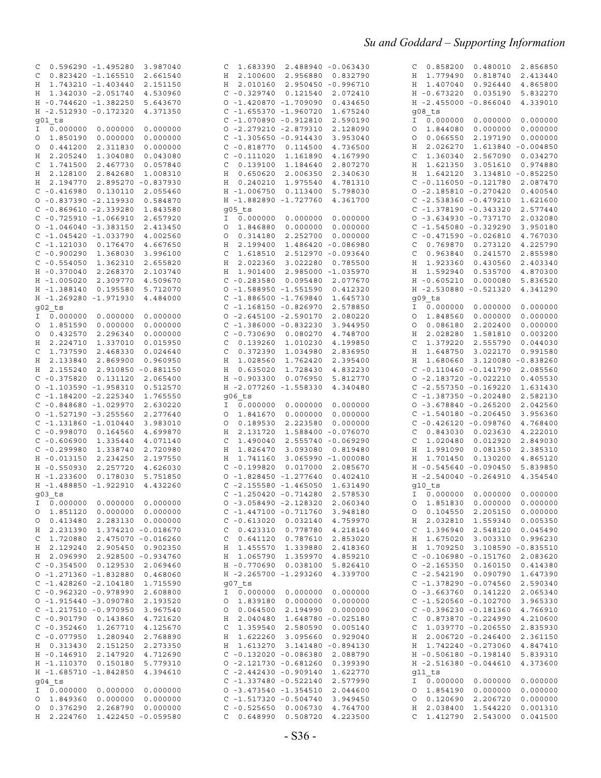| 0.596290 -1.495280 3.987040<br>C             |                      | 1.683390 2.488940 -0.063430<br>C                          |          | 0.858200  0.480010  2.856850<br>C                  |                      |
|----------------------------------------------|----------------------|-----------------------------------------------------------|----------|----------------------------------------------------|----------------------|
| $0.823420 - 1.165510$<br>C                   | 2.661540             | H 2.100600<br>2.956880 0.832790                           |          | H 1.779490<br>0.818740                             | 2.413440             |
| H 1.743210 -1.403440                         | 2.151150             | H 2.010160 2.950450 -0.996710                             |          | H 1.407040<br>0.926440                             | 4.865800             |
| H 1.342030 -2.051740                         | 4.530960             | $C - 0.329740$<br>0.121540                                | 2.072410 | $H - 0.673220$<br>0.035190                         | 5.832270             |
| H -0.744620 -1.382250                        | 5.643670             | $0 - 1.420870 - 1.709090$                                 | 0.434650 | $H - 2.455000 - 0.866040$                          | 4.339010             |
| H -2.512930 -0.172320                        | 4.371350             | $C - 1.655370 - 1.960720$                                 | 1.675240 | g08 ts                                             |                      |
| g01 ts                                       |                      | $C - 1.070890 - 0.912810$                                 | 2.590190 | 0.000000 0.000000<br>I                             | 0.000000             |
| I 0.000000<br>0.000000                       | 0.000000             | $0 - 2.279210 - 2.879310$                                 | 2.128090 | 1.844080<br>0.000000<br>0                          | 0.000000             |
| 1.850190<br>0.000000<br>0                    | 0.000000             | $C - 1.305650 - 0.914430$                                 | 3.953040 | 0.066550<br>2.197190<br>O                          | 0.000000             |
| 0.441200<br>2.311830<br>O                    | 0.000000             | $C - 0.818770$ 0.114500                                   | 4.736500 | 2.026270 1.613840 -0.004850<br>Η                   |                      |
| 2.205240<br>1.304080<br>H                    | 0.043080             | $C - 0.111020$<br>1.161890                                | 4.167990 | 1.360340 2.567090<br>C                             | 0.034270             |
| 1.741500<br>2.467730<br>C                    | 0.057840             | 0.139100<br>1.184640<br>C                                 | 2.807270 | 1.621350 3.051610<br>H                             | 0.974880             |
| H 2.128100<br>2.842680                       | 1.008310             | 0.650620<br>2.006350<br>Η                                 | 2.340630 | H 1.642120 3.134810 -0.852250                      |                      |
| H 2.194770<br>2.895270 -0.837930             |                      | 0.240210<br>1.975540<br>Н                                 | 4.781310 | $C - 0.116050 - 0.121780$                          | 2.087470             |
| $C - 0.416980$<br>0.130110                   | 2.055460             | H -1.006750<br>0.113400                                   | 5.798030 | $0 - 2.185810 - 0.270420$                          | 0.400540             |
| $0 - 0.837390 - 2.119930$                    | 0.584870             | H -1.882890 -1.727760                                     | 4.361700 | $C - 2.538360 - 0.479210$                          | 1.621600             |
| $C - 0.869610 - 2.339280$                    | 1.843580             | $905$ ts                                                  |          | $C - 1.378190 - 0.343320$                          | 2.577440             |
| $C - 0.725910 - 1.066910$                    | 2.657920             | 0.000000<br>0.000000<br>I.                                | 0.000000 | $0 - 3.634930 - 0.737170$                          | 2.032080             |
| $0 - 1.046040 - 3.383150$                    | 2.413450             | 1.846880<br>0.000000<br>O                                 | 0.000000 | $C - 1.545080 - 0.329290$                          | 3.950180             |
| $C - 1.045420 - 1.033790$                    | 4.002560             | 0.314180<br>2.252700<br>O                                 | 0.000000 | $C - 0.471590 - 0.026810$                          | 4.767030             |
| $C - 1.121030$<br>0.176470                   | 4.667650             | 2.199400<br>1.486420 -0.086980<br>Н                       |          | 0.769870 0.273120<br>C                             | 4.225790             |
| $C - 0.900290 1.368030$                      | 3.996100             | 1.618510<br>2.512970 -0.093640<br>C                       |          | 0.963840 0.241570<br>C                             | 2.855980             |
| $C - 0.554050$<br>1.362310                   | 2.655820             | 2.022360<br>3.022280<br>Η                                 | 0.785500 | H 1.923360 0.430560                                | 2.403340             |
| $H - 0.370040$<br>2.268370                   | 2.103740             | 2.985000 -1.035970<br>H 1.901400                          |          | H 1.592940<br>0.535700                             | 4.870300             |
| H -1.005020<br>2.309770                      | 4.509670             | $C - 0.283580$<br>0.095480                                | 2.077670 | $H - 0.605210$<br>0.000080                         | 5.836520             |
| H -1.388140<br>0.195580                      | 5.712070             | $0 - 1.588950 - 1.551590$                                 | 0.412320 | H -2.530880 -0.521320                              | 4.341290             |
| H -1.269280 -1.971930                        | 4.484000             | $C - 1.886500 - 1.769840$                                 | 1.645730 | g09 ts                                             |                      |
| $902$ ts                                     |                      | $C - 1.168150 - 0.826970$                                 | 2.578850 | I 0.000000<br>0.000000                             | 0.000000             |
| I 0.000000<br>0.000000                       | 0.000000             | $0 - 2.645100 - 2.590170$                                 | 2.080220 | 1.848560<br>0.000000<br>0                          | 0.000000             |
| 1.851590<br>0.000000<br>0                    | 0.000000             | $C - 1.386000 - 0.832230$                                 | 3.944950 | 0.086180<br>2.202400<br>O                          | 0.000000             |
| 0.432570<br>2.296340<br>O                    | 0.000000             | $C - 0.730690 0.080270$                                   | 4.748700 | 2.028280 1.581810<br>H                             | 0.003200             |
| H 2.224710<br>1.337010                       | 0.015950             | 0.139260<br>1.010230<br>C                                 | 4.199850 | 1.379220 2.555790<br>C                             | 0.044030             |
| 1.737590<br>2.468330<br>C                    | 0.024640             | 0.372390<br>1.034980<br>C                                 | 2.836950 | 1.648750<br>3.022170<br>H                          | 0.991580             |
| H 2.133840 2.869900                          | 0.960950             | 1.028560<br>1.762420<br>Н                                 | 2.395400 | H 1.680660 3.120080 -0.838260                      |                      |
| H 2.155240<br>2.910850 -0.881150             |                      | 0.635020<br>1.728430<br>Н                                 | 4.832230 | $C - 0.110460 - 0.141790$                          | 2.085560             |
| $C - 0.375820$<br>0.131120                   | 2.065400             | $H - 0.903300$<br>0.076950                                | 5.812770 | $0 - 2.183720 - 0.022210$                          | 0.405530             |
| $0 - 1.103590 - 1.958310$                    | 0.512570             | H -2.077260 -1.558330                                     | 4.340480 | $C - 2.557350 - 0.169220$                          | 1.631430             |
| $C - 1.184200 - 2.225340$                    | 1.765550             | $906$ ts                                                  |          | $C - 1.387350 - 0.202480$                          | 2.582130             |
| $C - 0.848680 - 1.029970$                    | 2.630220             | I 0.000000<br>0.000000                                    | 0.000000 | $0 - 3.678840 - 0.265200$                          | 2.042560             |
| $0 - 1.527190 - 3.255560$                    | 2.277640             | 1.841670<br>0.000000<br>O                                 | 0.000000 | $C - 1.540180 - 0.206450$                          | 3.956360             |
| $C - 1.131860 - 1.010440$                    | 3.983010             | 0.189530<br>2.223580<br>O                                 | 0.000000 | $C - 0.426120 - 0.098760$                          | 4.768400<br>4.222010 |
| $C - 0.998070$<br>0.164560<br>$C - 0.606900$ | 4.699870             | 2.131720<br>1.588400 -0.076070<br>Н<br>2.555740 -0.069290 |          | 0.843030 0.023630<br>C<br>1.020480 0.012920        |                      |
| 1.335440<br>$C - 0.299980$<br>1.338740       | 4.071140<br>2.720980 | 1.490040<br>C<br>1.826470<br>3.093080 0.819480<br>Η       |          | C<br>1.991090<br>0.081350<br>Η                     | 2.849030<br>2.385310 |
| 2.234250                                     |                      | 3.065990 -1.000080                                        |          | 1.701450<br>0.130200<br>H                          | 4.865120             |
| $H - 0.013150$<br>$H - 0.550930$             | 2.197550             | 1.741160<br>Н<br>0.017000                                 | 2.085670 |                                                    | 5.839850             |
| 2.257720<br>H -1.233600<br>0.178030          | 4.626030<br>5.751850 | $C - 0.199820$<br>$0 - 1.828450 - 1.277640$               | 0.402410 | $H - 0.545640 - 0.090450$<br>H -2.540040 -0.264910 | 4.354540             |
| H -1.488850 -1.922910                        | 4.432260             | $C - 2.155580 - 1.465050$                                 | 1.631490 | $g10$ ts                                           |                      |
| $q03$ ts                                     |                      | $C - 1.250420 - 0.714280$                                 | 2.578530 | I 0.000000 0.000000 0.000000                       |                      |
| I 0.000000 0.000000 0.000000                 |                      | $0 - 3.058490 - 2.128320$ 2.060340                        |          | $0$ 1.851830 0.000000 0.000000                     |                      |
| 0 1.851120 0.000000 0.000000                 |                      | $C - 1.447100 - 0.711760$ 3.948180                        |          | $0$ 0.104550 2.205150 0.000000                     |                      |
| $0$ 0.413480 2.283130 0.000000               |                      | $C - 0.613020 0.032140 4.759970$                          |          | H 2.032810 1.559340 0.005350                       |                      |
| H 2.231390 1.374210 -0.018670                |                      | C 0.423310 0.778780 4.218140                              |          | $C$ 1.396940 2.548120 0.045490                     |                      |
| $C$ 1.720880 2.475070 -0.016260              |                      | C 0.641120 0.787610 2.853020                              |          | H 1.675020 3.003310 0.996230                       |                      |
| H 2.129240 2.905450 0.902350                 |                      | H 1.455570 1.339880 2.418360                              |          | H 1.709250 3.108590 -0.835510                      |                      |
| H 2.096990 2.928500 -0.934760                |                      | H 1.065790 1.359970 4.859210                              |          | $C - 0.106980 - 0.151760 2.083620$                 |                      |
| $C - 0.354500 0.129530 2.069460$             |                      | H -0.770690 0.038100 5.826410                             |          | $0 - 2.165350 0.160150 0.414380$                   |                      |
| $0 - 1.271360 - 1.832880 0.468060$           |                      | H -2.265700 -1.293260 4.339700                            |          | $C - 2.542190 0.090790 1.647390$                   |                      |
| $C - 1.428260 - 2.104180 1.715590$           |                      | $q07$ ts                                                  |          | $C - 1.378290 - 0.074560 2.590340$                 |                      |
| $C - 0.962320 - 0.978990 2.608800$           |                      | I 0.000000 0.000000 0.000000                              |          | $0 - 3.663760 0.141220 2.065340$                   |                      |
| 0 -1.915440 -3.090780 2.193520               |                      | $0$ 1.839180 0.000000 0.000000                            |          | $C - 1.520560 - 0.102700$ 3.965330                 |                      |
| $C - 1.217510 - 0.970950$ 3.967540           |                      | 0 0.064500 2.194990 0.000000                              |          | $C - 0.396230 - 0.181360$ 4.766910                 |                      |
| $C - 0.901790 0.143860$                      | 4.721620             | H 2.040480 1.648780 -0.025180                             |          | $C$ 0.873870 -0.224990 4.210600                    |                      |
| $C - 0.352460$ 1.267710                      | 4.125670             | C 1.359540 2.580590 0.005140                              |          | $C$ 1.039770 -0.206550 2.835930                    |                      |
| $C - 0.077950$ 1.280940                      | 2.768890             | H 1.622260 3.095660 0.929040                              |          | H 2.006720 -0.246400                               | 2.361150             |
| H  0.313430  2.151250                        | 2.273350             | H 1.613270 3.141480 -0.894130                             |          | H 1.742240 -0.273060 4.847410                      |                      |
| H -0.146910 2.147920 4.712690                |                      | $C - 0.132020 - 0.086380$ 2.088790                        |          | H -0.506180 -0.198140 5.839310                     |                      |
| H -1.110370 0.150180 5.779310                |                      | $0 - 2.121730 - 0.681260 0.399390$                        |          | H -2.516380 -0.044610 4.373600                     |                      |
| H -1.685710 -1.842850 4.394610               |                      | $C - 2.442430 - 0.909140$ 1.622770                        |          | g11 ts                                             |                      |
| g04 ts                                       |                      | $C - 1.337480 - 0.522140 2.577990$                        |          | I 0.000000 0.000000                                | 0.000000             |
| I 0.000000 0.000000 0.000000                 |                      | $0 - 3.473540 - 1.354510 2.044600$                        |          | 0 1.854190 0.000000                                | 0.000000             |
| $0$ 1.849360 0.000000 0.000000               |                      | $C - 1.517320 - 0.504740$ 3.949450                        |          | $0$ 0.120690 2.206720                              | 0.000000             |
| $0$ 0.376290 2.268790 0.000000               |                      | $C - 0.525650 0.006730 4.764700$                          |          | H 2.038400 1.544220                                | 0.001310             |
| H 2.224760<br>1.422450 -0.059580             |                      | C 0.648990 0.508720 4.223500                              |          | C 1.412790 2.543000                                | 0.041500             |
|                                              |                      |                                                           |          |                                                    |                      |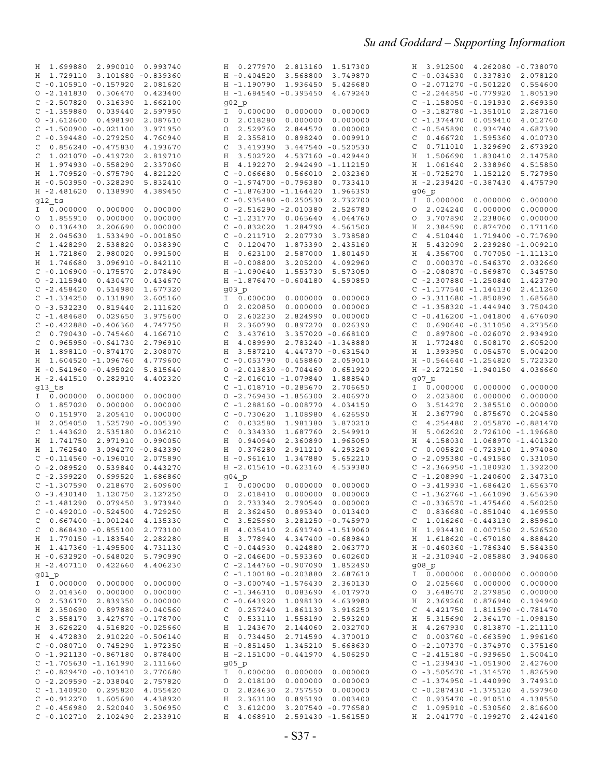| 1.699880 2.990010 0.993740<br>H.            | 0.277970<br>2.813160<br>1.517300<br>Η  | H 3.912500 4.262080 -0.738070          |
|---------------------------------------------|----------------------------------------|----------------------------------------|
| H 1.729110<br>3.101680 -0.839360            | $H - 0.404520$<br>3.568800<br>3.749870 | $C - 0.034530$<br>0.337830 2.078120    |
| $C - 0.105910 - 0.157920$<br>2.081620       | H -1.190790<br>1.936450<br>5.426680    | $0 - 2.071270 - 0.501220$<br>0.554600  |
| $0 - 2.141830$<br>0.306470<br>0.423400      | H -1.684540 -0.395450<br>4.679240      | $C - 2.244850 - 0.779920$<br>1.805190  |
| $C - 2.507820$<br>0.316390<br>1.662100      | g02 p                                  | $C - 1.158050 - 0.191930$<br>2.669350  |
| $C - 1.359880$<br>0.039440<br>2.597950      | 0.000000<br>0.000000<br>0.000000<br>I. | $0 - 3.182780 - 1.351010$<br>2.287160  |
| $0 - 3.612600$<br>0.498190<br>2.087610      | 2.018280<br>0.000000<br>0.000000<br>O  | $C - 1.374470$<br>0.059410<br>4.012760 |
| $C - 1.500900 - 0.021100$<br>3.971950       | 2.529760<br>2.844570<br>0.000000<br>O  | $C - 0.545890$<br>0.934740<br>4.687390 |
| $C - 0.394480 - 0.279250$<br>4.760940       | 2.355810<br>0.898240<br>0.009910<br>Η  | 0.466720<br>1.595360<br>4.010730<br>C  |
| $0.856240 - 0.475830$<br>4.193670<br>C      | 3.419390<br>3.447540 -0.520530<br>C    | 1.329690<br>2.673920<br>C<br>0.711010  |
| 1.021070 -0.419720<br>2.819710<br>C         | 3.502720<br>4.537160 -0.429440<br>Η    | 1.506690 1.830410<br>2.147580<br>Η     |
| 1.974930 -0.558290<br>Η<br>2.337060         | 4.192270<br>2.942490 -1.112150<br>Η    | 1.061640<br>2.338960<br>4.515850<br>H  |
| H 1.709520 -0.675790<br>4.821220            | $C - 0.066680$<br>0.566010<br>2.032360 | H -0.725270<br>1.152120<br>5.727950    |
| H -0.503950 -0.328290<br>5.832410           | $0 - 1.974700 - 0.796380$<br>0.733410  | H -2.239420 -0.387430<br>4.475790      |
| H -2.481620 0.138990<br>4.389450            | $C - 1.876300 - 1.164420$<br>1.966390  | q06 p                                  |
|                                             |                                        | I.                                     |
| g12 ts                                      | $C - 0.935480 - 0.250530$<br>2.732700  | 0.000000<br>0.000000<br>0.000000       |
| 0.000000<br>Ι.                              | $0 - 2.516290 - 2.010380$<br>2.526780  | 2.024240<br>0.000000<br>0.000000<br>O  |
| 1.855910<br>0.000000<br>0.000000<br>$\circ$ | $C - 1.2317700000065640$<br>4.044760   | 3.707890<br>2.238060<br>0.000000<br>O  |
| 0.000000<br>0.136430<br>2.206690<br>O       | $C - 0.832020$<br>1.284790<br>4.561500 | 0.874700<br>Η<br>2.384590<br>0.171160  |
| 1.533490 -0.001850<br>2.045630<br>Н         | $C - 0.211710$<br>2.207730<br>3.738580 | 4.510440 1.719400 -0.717690<br>C       |
| 1.428290<br>2.538820<br>C<br>0.038390       | 0.120470<br>1.873390<br>2.435160<br>C  | 5.432090 2.239280 -1.009210<br>Η       |
| 1.721860<br>2.980020<br>0.991500<br>H       | 0.623100<br>2.587000<br>1.801490<br>H  | 4.356700  0.707050 -1.111310<br>H      |
| 3.096910 -0.842110<br>H 1.746680            | $H - 0.008800$<br>3.205200<br>4.092960 | $0.000370 - 0.546370 2.032660$<br>C    |
| $C - 0.106900 - 0.175570$<br>2.078490       | H -1.090640<br>1.553730<br>5.573050    | $0 - 2.080870 - 0.569870$<br>0.345750  |
| $0 - 2.115940$<br>0.430470<br>0.434670      | H -1.876470 -0.604180<br>4.590850      | $C - 2.307880 - 1.250840$<br>1.423790  |
| $C - 2.458420$<br>0.514980<br>1.677320      | g03 p                                  | $C - 1.177540 - 1.144130$<br>2.411260  |
| $C - 1.334250$<br>0.131890<br>2.605160      | 0.000000<br>0.000000<br>0.000000<br>I. | $0 - 3.311680 - 1.850890$<br>1.685680  |
| $0 - 3.532230$<br>0.819440<br>2.111620      | 2.020850<br>0.000000<br>0.000000<br>O  | $C - 1.358320 - 1.444940$<br>3.750420  |
| $C - 1.484680$<br>0.029650<br>3.975600      | 2.602230<br>2.824990<br>0.000000<br>O  | $C - 0.416200 - 1.041800$<br>4.676090  |
| $C - 0.422880 - 0.406360$<br>4.747750       | 2.360790<br>0.897270<br>0.026390<br>Н  | $0.690640 - 0.311050$<br>4.273560<br>C |
| $0.790430 - 0.745460$<br>C<br>4.166710      | 3.437610<br>3.357020 -0.668100<br>C    | $0.897800 - 0.026070$<br>2.934920<br>C |
| $0.965950 - 0.641730$<br>2.796910<br>C      | 4.089990<br>2.783240 -1.348880<br>Η    | 1.772480 0.508170<br>2.605200<br>Η     |
| H 1.898110 -0.874170<br>2.308070            | 3.587210<br>4.447370 -0.631540<br>Η    | 1.393950<br>0.054570<br>5.004200<br>H  |
| 1.604520 -1.096760<br>4.779600<br>Н         | $C - 0.053790$<br>0.458860<br>2.059010 | H -0.564640 -1.254820<br>5.722320      |
| H -0.541960 -0.495020<br>5.815640           | $0 - 2.013830 - 0.704460$<br>0.651920  | H -2.272150 -1.940150<br>4.036660      |
| H -2.441510 0.282910<br>4.402320            | $C - 2.016010 - 1.079840$<br>1.888540  | g07 p                                  |
| $g13$ ts                                    | $C - 1.018710 - 0.285670$<br>2.706650  | 0.000000<br>I.<br>0.000000<br>0.000000 |
| 0.000000<br>0.000000<br>0.000000<br>Ι.      | $0 - 2.769430 - 1.856300$<br>2.406970  | 2.023800<br>0.000000<br>0.000000<br>O  |
|                                             |                                        |                                        |
| 0 1.857020<br>0.000000<br>0.000000          | $C - 1.288160 - 0.008770$<br>4.034150  | 3.514270<br>0.000000<br>2.385510<br>O  |
| 0.151970<br>2.205410<br>0.000000<br>O       | $C - 0.730620$ 1.108980<br>4.626590    | 2.367790<br>0.875670<br>0.204580<br>Η  |
| 2.054050<br>1.525790 -0.005390<br>Н         | 0.032580<br>1.981380<br>3.870210<br>C  | 4.254480<br>2.055870 -0.881470<br>C    |
| 1.443620<br>2.535180<br>0.036210<br>C       | 0.334330<br>1.687760<br>2.549910<br>C  | 5.062620 2.726100 -1.196680<br>Η       |
| 1.741750<br>2.971910<br>0.990050<br>H       | 0.940940<br>2.360890<br>1.965050<br>Н  | 4.158030 1.068970 -1.401320<br>Η       |
| H 1.762540<br>3.094270 -0.843390            | 0.376280<br>2.911210<br>4.293260<br>Η  | 0.005820 -0.723910 1.974080<br>C       |
| $C - 0.114560 - 0.196010$<br>2.075890       | $H - 0.961610$<br>1.347880<br>5.652210 | $0 - 2.095380 - 0.491580$<br>0.331050  |
| $0 - 2.089520$<br>0.539840<br>0.443270      | H -2.015610 -0.623160<br>4.539380      | $C - 2.366950 - 1.180920$<br>1.392200  |
| $C - 2.399220$<br>0.699520<br>1.686860      | g04 p                                  | $C - 1.208990 - 1.240600$<br>2.347310  |
| $C - 1.307590$<br>0.218670<br>2.609600      | 0.000000<br>0.000000<br>0.000000<br>I. | $0 - 3.419930 - 1.686420$<br>1.656370  |
| $0 - 3.430140$<br>1.120750<br>2.127250      | 2.018410<br>0.000000<br>0.000000<br>O  | $C - 1.362760 - 1.661090$<br>3.656390  |
| C -1.481290 0.079450 3.973940               | 0 2.733340 2.790540 0.000000           | $C - 0.336570 - 1.475460 4.560250$     |
| $C - 0.492010 - 0.524500$ 4.729250          | H 2.362450 0.895340 0.013400           | $C$ 0.836680 -0.851040 4.169550        |
| $C$ 0.667400 -1.001240 4.135330             | $C$ 3.525960 3.281250 -0.745970        | $C$ 1.016260 -0.443130 2.859610        |
| $C$ 0.868430 -0.855100 2.773100             | H 4.035410 2.691740 -1.519060          | H 1.934430 0.007150 2.526520           |
| H 1.770150 -1.183540 2.282280               | H 3.778940 4.347400 -0.689840          | H 1.618620 -0.670180 4.888420          |
| H 1.417360 -1.495500 4.731130               | $C - 0.044930 0.424880 2.063770$       | H -0.460360 -1.786340 5.584350         |
| H -0.632920 -0.648020 5.790990              | $0 - 2.046600 - 0.593360 0.602600$     | H -2.310940 -2.085880 3.940680         |
| H -2.407110 0.422660 4.406230               | $C - 2.144760 - 0.907090 1.852490$     | q08 p                                  |
| g01 p                                       | $C - 1.100180 - 0.203880 2.687610$     | I 0.000000 0.000000 0.000000           |
| I 0.000000 0.000000 0.000000                | $0 - 3.000740 - 1.576430 2.360130$     | $0$ 2.025660 0.000000 0.000000         |
| $0$ 2.014360 0.000000 0.000000              | $C - 1.346310 0.083690 4.017970$       | $0$ 3.648670 2.279850 0.000000         |
| $0$ 2.536170 2.839350 0.000000              | $C - 0.643920$ 1.098130 4.639980       | H 2.369260 0.876940 0.194960           |
|                                             |                                        |                                        |
| H 2.350690 0.897880 -0.040560               | $C$ 0.257240 1.861130 3.916250         | $C$ 4.421750 1.811590 -0.781470        |
| $C$ 3.558170 3.427670 -0.178700             | C 0.533110 1.558190 2.593200           | H 5.315690 2.364170 -1.098150          |
| H 3.626220 4.516820 -0.025660               | H 1.243670 2.144060 2.032700           | H 4.267930 0.813870 -1.211110          |
| H 4.472830 2.910220 -0.506140               | H 0.734450 2.714590 4.370010           | $C$ 0.003760 -0.663590 1.996160        |
| $C - 0.080710$ 0.745290 1.972350            | H - 0.851450 1.345210 5.668630         | $0 - 2.107370 - 0.374970 0.375160$     |
| 0 -1.921130 -0.867180 0.878400              | H -2.151000 -0.441970 4.506290         | $C - 2.415180 - 0.939650 1.500410$     |
| $C - 1.705630 - 1.161990 2.111660$          | g05 p                                  | $C - 1.239430 - 1.051900 2.427600$     |
| $C - 0.829470 - 0.103410 2.770680$          | I 0.000000 0.000000 0.000000           | $0 -3.505670 -1.314570$ 1.826590       |
| $0 - 2.209590 - 2.038040 2.757820$          | 0 2.018100 0.000000 0.000000           | $C - 1.374950 - 1.440990 3.749310$     |
| $C - 1.140920 0.295820 4.055420$            | $0$ 2.824630 2.757550 0.000000         | $C - 0.287430 - 1.375120$ 4.597960     |
| $C - 0.912270$ 1.605690<br>4.438920         | H 2.363100 0.895190 0.003400           | $C$ 0.935470 -0.910510 4.138550        |
|                                             |                                        |                                        |
| $C - 0.456980 2.520040 3.506950$            | $C$ 3.612000 3.207540 -0.776580        | $C$ 1.095910 -0.530560 2.816600        |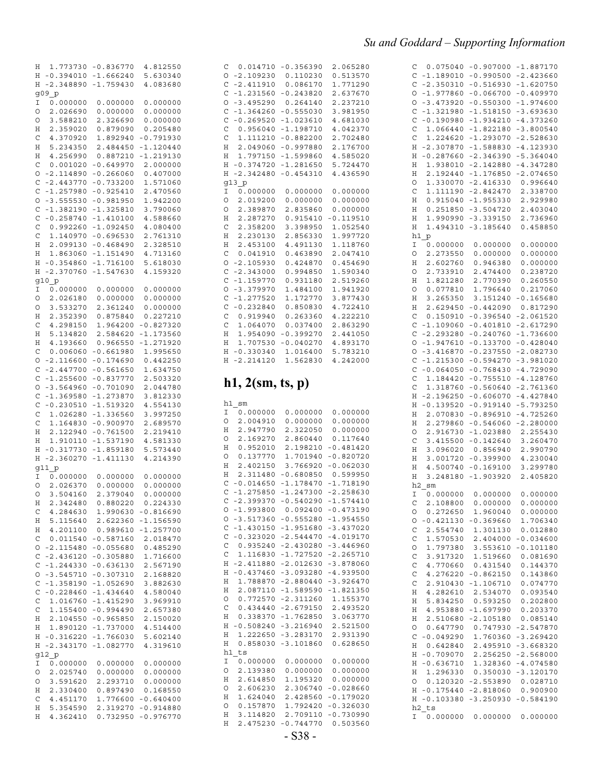| Η            | 1.773730    | $-0.836770$ | 4.812550    |
|--------------|-------------|-------------|-------------|
| Η            | $-0.394010$ | $-1.666240$ | 5.630340    |
| Η            | $-2.348890$ | $-1.759430$ | 4.083680    |
|              |             |             |             |
|              | g09 p       |             |             |
| I            | 0.000000    | 0.000000    | 0.000000    |
| O            | 2.026690    | 0.000000    | 0.000000    |
| O            | 3.588210    | 2.326690    | 0.000000    |
| Η            | 2.359020    | 0.879090    | 0.205480    |
| C            | 4.370920    | 1.892940    | $-0.791930$ |
| Η            | 5.234350    | 2.484450    | $-1.120440$ |
| Η            | 4.256990    | 0.887210    | $-1.219130$ |
| C            | 0.001020    | $-0.649970$ | 2.000000    |
| O            | $-2.114890$ | $-0.266060$ | 0.407000    |
| C            | $-2.443770$ | $-0.733200$ | 1.571060    |
| C            | -1.257980   | $-0.925410$ | 2.470560    |
| O            |             |             | 1.942200    |
|              | $-3.555530$ | $-0.981950$ |             |
| C            | $-1.382190$ | $-1.325810$ | 3.790060    |
| C            | $-0.258740$ | $-1.410100$ | 4.588660    |
| C            | 0.992260    | $-1.092450$ | 4.080400    |
| C            | 1.140970    | $-0.696530$ | 2.761310    |
| Η            | 2.099130    | -0.468490   | 2.328510    |
| Η            | 1.863060    | $-1.151490$ | 4.713160    |
| Η            | $-0.354860$ | -1.716100   | 5.618030    |
| Η            | $-2.370760$ | $-1.547630$ | 4.159320    |
|              | g10_p       |             |             |
| Ι            | 0.000000    | 0.000000    | 0.000000    |
| 0            | 2.026180    | 0.000000    | 0.000000    |
| O            | 3.533270    | 2.361240    | 0.000000    |
| Η            | 2.352390    | 0.875840    | 0.227210    |
| C            | 4.298150    | 1.964200    | $-0.827320$ |
|              |             |             |             |
| Η            | 5.134820    | 2.584620    | $-1.173560$ |
| Η            | 4.193660    | 0.966550    | $-1.271920$ |
| C            | 0.006060    | $-0.661980$ | 1.995650    |
| O            | $-2.116600$ | $-0.174690$ | 0.442250    |
| C            | $-2.447700$ | $-0.561650$ | 1.634750    |
| C            | $-1.255600$ | -0.837770   | 2.503320    |
| O            | $-3.564960$ | $-0.701090$ | 2.044780    |
| C            | $-1.369580$ | $-1.273870$ | 3.812330    |
| C            | $-0.230510$ | $-1.519320$ | 4.554130    |
| C            | 1.026280    | $-1.336560$ | 3.997250    |
| C            | 1.164830    | $-0.900970$ | 2.689570    |
| Η            | 2.122940    | $-0.761500$ | 2.219410    |
| Η            | 1.910110    | $-1.537190$ | 4.581330    |
| Η            | $-0.317730$ | $-1.859180$ | 5.573440    |
|              |             | $-1.411130$ |             |
| Η            | $-2.360270$ |             | 4.214390    |
|              | g11 p       |             |             |
| Ι            | 0.000000    | 0.000000    | 0.000000    |
| 0            | 2.026370    | 0.000000    | 0.000000    |
| O            | 3.504160    | 2.379040    | 0.000000    |
| H            | 2.342480    | 0.880220    | 0.224330    |
| С            | 4.284630    | 1.990630    | $-0.816690$ |
| Η            | 5.115640    | 2.622360    | $-1.156590$ |
| Η            | 4.201100    | 0.989610    | $-1.257700$ |
| C            | 0.011540    | $-0.587160$ | 2.018470    |
| O            | -2.115480   | $-0.055680$ | 0.485290    |
| $\mathsf{C}$ | -2.436120   | $-0.305880$ | 1.716600    |
| $\mathbf C$  | $-1.244330$ | $-0.636130$ | 2.567190    |
| O            | $-3.545710$ | $-0.307310$ | 2.168820    |
| C            | $-1.358190$ | $-1.052690$ | 3.882630    |
|              |             | $-1.434640$ |             |
| C            | $-0.228460$ |             | 4.580040    |
| C            | 1.016760    | $-1.415290$ | 3.969910    |
| C            | 1.155400    | $-0.994490$ | 2.657380    |
| Η            | 2.104550    | $-0.965850$ | 2.150020    |
| Η            | 1.890120    | $-1.737000$ | 4.514400    |
| Η            | $-0.316220$ | $-1.766030$ | 5.602140    |
| Η            | $-2.343170$ | $-1.082770$ | 4.319610    |
|              | g12 p       |             |             |
| Ι            | 0.000000    | 0.000000    | 0.000000    |
| O            | 2.025740    | 0.000000    | 0.000000    |
| O            | 3.591620    | 2.293710    | 0.000000    |
| Η            | 2.330400    | 0.897490    | 0.168550    |
| C            | 4.451170    | 1.776600    | $-0.640400$ |
| Η            | 5.354590    | 2.319270    | $-0.914880$ |
| Η            | 4.362410    | 0.732950    | $-0.976770$ |

| 0.014710<br>С<br>O<br>$-2.109230$<br>C<br>$-2.411910$<br>C<br>$-1.231560$<br>$-3.495290$<br>O<br>C<br>$-1.364260$<br>C<br>$-0.269520$<br>C<br>0.956040<br>C<br>1.111210<br>2.049060<br>Η<br>1.797150<br>Η<br>$-0.374720$<br>Η<br>$-2.342480$<br>Η                                                                                                                                                                                                                                            | $-0.356390$<br>0.110230<br>0.086170<br>$-0.243820$<br>0.264140<br>$-0.555030$<br>$-1.023610$<br>$-1.198710$<br>$-0.882200$<br>$-0.997880$<br>$-1.599860$<br>$-1.281650$<br>$-0.454310$                                                                                                                                                                                                   | 2.065280<br>0.513570<br>1.771290<br>2.637670<br>2.237210<br>3.981950<br>4.681030<br>4.042370<br>2.702480<br>2.176700<br>4.585020<br>5.724470<br>4.436590                                                                                                                                                                                                                           |
|----------------------------------------------------------------------------------------------------------------------------------------------------------------------------------------------------------------------------------------------------------------------------------------------------------------------------------------------------------------------------------------------------------------------------------------------------------------------------------------------|------------------------------------------------------------------------------------------------------------------------------------------------------------------------------------------------------------------------------------------------------------------------------------------------------------------------------------------------------------------------------------------|------------------------------------------------------------------------------------------------------------------------------------------------------------------------------------------------------------------------------------------------------------------------------------------------------------------------------------------------------------------------------------|
| g13 p<br>I<br>0.000000<br>2.019200<br>O<br>О<br>2.389870<br>2.287270<br>Η<br>2.358200<br>С<br>2.230130<br>Η<br>2.453100<br>Η<br>C<br>0.041910<br>O<br>$-2.105930$<br>C<br>$-2.343000$<br>$-1.159770$<br>C<br>O<br>$-3.379970$<br>C<br>$-1.277520$<br>C<br>$-0.232840$<br>C<br>0.919940<br>C<br>1.064070<br>1.954090<br>Η<br>1.707530<br>Η<br>$-0.330340$<br>Η<br>$-2.214120$<br>Η                                                                                                            | 0.000000<br>0.000000<br>2.835860<br>0.915410<br>3.398950<br>2.856330<br>4.491130<br>0.463890<br>0.424870<br>0.994850<br>0.931180<br>1.484100<br>1.172770<br>0.850830<br>0.263360<br>0.037400<br>$-0.399270$<br>$-0.040270$<br>1.016400<br>1.562830                                                                                                                                       | 0.000000<br>0.000000<br>0.000000<br>$-0.119510$<br>1.052540<br>1.997720<br>1.118760<br>2.047410<br>0.454690<br>1.590340<br>2.519260<br>1.941920<br>3.877430<br>4.722410<br>4.222210<br>2.863290<br>2.441050<br>4.893170<br>5.783210<br>4.242000                                                                                                                                    |
| h1, 2(sm, ts, p)                                                                                                                                                                                                                                                                                                                                                                                                                                                                             |                                                                                                                                                                                                                                                                                                                                                                                          |                                                                                                                                                                                                                                                                                                                                                                                    |
|                                                                                                                                                                                                                                                                                                                                                                                                                                                                                              |                                                                                                                                                                                                                                                                                                                                                                                          |                                                                                                                                                                                                                                                                                                                                                                                    |
| h1 sm<br>0.000000<br>Ι<br>2.004910<br>O<br>2.947790<br>Η<br>2.169270<br>O<br>0.952010<br>Η<br>0.137770<br>O<br>2.402150<br>Η<br>2.311480<br>Η<br>$-0.014650$<br>C<br>C<br>$-1.275850$<br>$-2.399370$<br>C<br>О<br>O<br>C<br>$-1.430150$<br>C<br>$-0.323020$<br>C<br>0.935240<br>C<br>1.116830<br>Η<br>$-2.411880$<br>$-0.437460$<br>Η<br>Η<br>1.788870<br>Η<br>2.087110<br>O<br>0.772570<br>C<br>0.434440<br>0.338370<br>Η<br>$-0.508240$<br>Η<br>Η<br>1.222650<br>Η<br>0.858030<br>$h1$ _ts | 0.000000<br>0.000000<br>2.322050<br>2.860440<br>2.198210<br>1.701940<br>3.766920<br>$-0.680850$<br>$-1.178470$<br>$-1.247300$<br>$-0.540290$<br>$-1.993800$ 0.092400 $-0.473190$<br>$-3.517360 -0.555280 -1.954550$<br>$-2.430280$<br>$-1.727520$<br>$-2.012630$<br>$-2.880440$<br>$-1.589590$<br>$-2.311260$<br>$-2.679150$<br>$-1.762850$<br>$-3.216940$<br>$-3.283170$<br>$-3.101860$ | 0.000000<br>0.000000<br>0.000000<br>0.117640<br>$-0.481420$<br>$-0.820720$<br>$-0.062030$<br>0.599950<br>$-1.718190$<br>$-2.258630$<br>$-1.574410$<br>$-1.951680 - 3.437020$<br>$-2.544470 - 4.019170$<br>$-3.446960$<br>$-2.265710$<br>$-3.878060$<br>$-3.093280 -4.939500$<br>$-3.926470$<br>$-1.821350$<br>1.155370<br>2.493520<br>3.063770<br>2.521500<br>2.931390<br>0.628650 |

| С                      | 0.075040                                           | $-0.907000$                                              | $-1.887170$                                              |
|------------------------|----------------------------------------------------|----------------------------------------------------------|----------------------------------------------------------|
| C                      | $-1.189010$                                        | $-0.990500$                                              | $-2.423660$                                              |
| C                      | $-2.350310$                                        | $-0.516930$                                              | $-1.620750$                                              |
| O                      | $-1.977860$                                        | $-0.066700$                                              | $-0.409970$                                              |
| $\circ$                | $-3.473920$                                        | $-0.550300$                                              | $-1.974600$                                              |
| $\mathbf C$            | $-1.321980$                                        | $-1.518150$                                              | $-3.693630$                                              |
| C<br>$\mathsf{C}$<br>C | $-0.190980$<br>1.066440<br>1.224620<br>$-2.307870$ | $-1.934210$<br>$-1.822180$<br>$-1.293070$<br>$-1.588830$ | $-4.373260$<br>$-3.800540$<br>$-2.528630$<br>$-4.123930$ |
| Η<br>Η<br>Η<br>Η       | $-0.287660$<br>1.938010<br>2.192440<br>1.330070    | $-2.346390$<br>$-2.142880$<br>$-1.176850$                | $-5.364040$<br>$-4.347280$<br>$-2.074650$                |
| O<br>С<br>Η<br>Η       | 1.111190<br>0.915040<br>0.251850                   | $-2.416330$<br>$-2.842470$<br>$-1.955330$<br>$-3.504720$ | 0.996640<br>2.338700<br>2.929980<br>2.403040             |
| Η<br>Η<br>h1<br>Ι      | 1.990990<br>1.494310<br>p<br>0.000000              | $-3.339150$<br>$-3.185640$<br>0.000000                   | 2.736960<br>0.458850<br>0.000000                         |
| 0                      | 2.273550                                           | 0.000000                                                 | 0.000000                                                 |
| Η                      | 2.602760                                           | 0.946380                                                 | 0.000000                                                 |
| O                      | 2.733910                                           | 2.474400                                                 | 0.238720                                                 |
| Η                      | 1.821280                                           | 2.770390                                                 | 0.260550                                                 |
| 0                      | 0.077810                                           | 1.796640                                                 | 0.217060                                                 |
| Η                      | 3.265350                                           | 3.151240                                                 | $-0.165680$                                              |
| Η                      | 2.629450                                           | $-0.442090$                                              | 0.817290                                                 |
| C                      | 0.150910                                           | $-0.396540$                                              | $-2.061520$                                              |
| C                      | $-1.109060$                                        | $-0.401810$                                              | $-2.617290$                                              |
| C                      | $-2.293280$                                        | $-0.240760$                                              | $-1.736600$                                              |
| O                      | $-1.947610$                                        | $-0.133700$                                              | $-0.428040$                                              |
| O                      | $-3.416870$                                        | $-0.237550$                                              | $-2.082730$                                              |
| C                      | $-1.215300$                                        | $-0.594270$                                              | $-3.981020$                                              |
| C                      | $-0.064050$                                        | $-0.768430$                                              | $-4.729090$                                              |
| C                      | 1.184420                                           | $-0.755510$                                              | $-4.128760$                                              |
| C                      | 1.318760                                           | $-0.560640$                                              | $-2.761360$                                              |
| Η                      | $-2.196250$                                        | $-0.606070$                                              | $-4.427840$                                              |
| Η                      | $-0.139520$                                        | $-0.919140$                                              | $-5.793250$                                              |
| Η                      | 2.070830                                           | $-0.896910$                                              | $-4.725260$                                              |
| Η                      | 2.279860                                           | $-0.546060$                                              | $-2.280000$                                              |
| O                      | 2.916730                                           | $-1.023880$                                              | 2.255430                                                 |
| С                      | 3.415500                                           | $-0.142640$                                              | 3.260470                                                 |
| Η                      | 3.096020                                           | 0.856940                                                 | 2.990790                                                 |
| Η                      | 3.001720                                           | $-0.399900$                                              | 4.230040                                                 |
| Η<br>Η<br>h2<br>Ι      | 4.500740<br>3.248180<br>sm<br>0.000000             | $-0.169100$<br>$-1.903920$<br>0.000000                   | 3.299780<br>2.405820<br>0.000000                         |
| C                      | 2.108800                                           | 0.000000                                                 | 0.000000                                                 |
| $\circ$                | 0.272650                                           | 1.960040                                                 | 0.000000                                                 |
| $\circ$                | $-0.421130$                                        | $-0.369660$                                              | 1.706340                                                 |
| $\mathbf C$            | 2.554740                                           | 1.301130                                                 | 0.012880                                                 |
| $\mathbf C$            | 1.570530                                           | 2.404000                                                 | $-0.034600$                                              |
| $\circ$                | 1.797380                                           | 3.553610                                                 | $-0.101180$                                              |
| $\mathbf C$            | 3.917320                                           | 1.519660                                                 | 0.081690                                                 |
| $\mathcal{C}$          | 4.770660                                           | 0.431540                                                 | 0.144370                                                 |
| $\mathbf C$            | 4.276220                                           | $-0.862150$                                              | 0.143860                                                 |
| $\mathsf{C}$           | 2.910430                                           | $-1.106710$                                              | 0.074770                                                 |
| Η                      | 4.282610                                           | 2.534070                                                 | 0.093540                                                 |
| Η                      | 5.834250                                           | 0.593250                                                 | 0.202800                                                 |
| Η                      | 4.953880                                           | -1.697990                                                | 0.203370                                                 |
| Η                      | 2.510680                                           | $-2.105180$                                              | 0.085140                                                 |
| O                      | 0.647790                                           | 0.747930                                                 | $-2.547870$                                              |
| C                      | $-0.049290$                                        | 1.760360                                                 | $-3.269420$                                              |
| Η                      | 0.642840                                           | 2.495910                                                 | $-3.668320$                                              |
| Η                      | $-0.709070$                                        | 2.256250                                                 | $-2.568000$                                              |
| Η                      | $-0.636710$                                        | 1.328360                                                 | $-4.074580$                                              |
| Η                      | 1.296330                                           | 0.350030                                                 | $-3.120170$                                              |
| 0                      | 0.120320                                           | $-2.553890$                                              | 0.028710                                                 |
| Η                      | $-0.175440$                                        | $-2.818060$                                              | 0.900900                                                 |
| Η                      | $-0.103380$                                        | $-3.250930$                                              | $-0.584190$                                              |
| Ι                      | h2 ts<br>0.000000                                  | 0.000000                                                 | 0.000000                                                 |